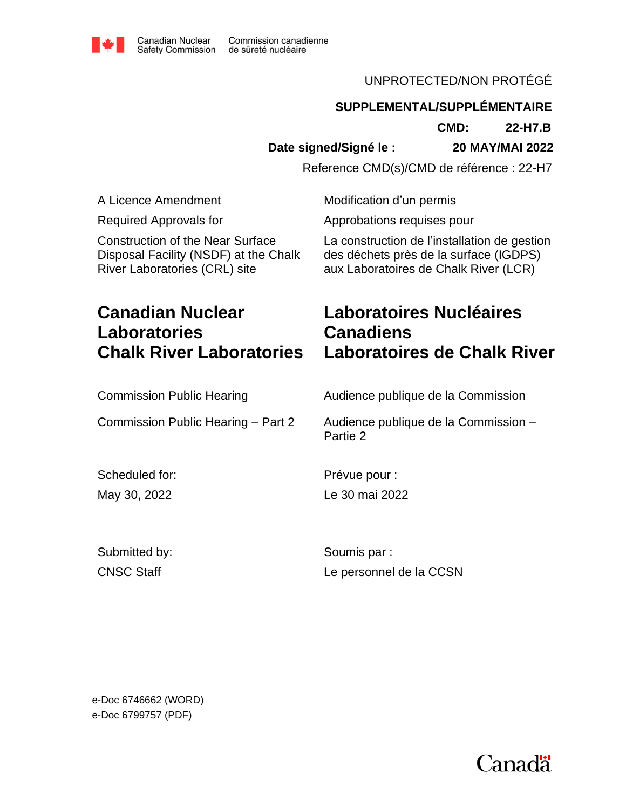

## UNPROTECTED/NON PROTÉGÉ

#### **SUPPLEMENTAL/SUPPLÉMENTAIRE**

**CMD: 22-H7.B**

**Date signed/Signé le : 20 MAY/MAI 2022**

Reference CMD(s)/CMD de référence : 22-H7

A Licence Amendment

Required Approvals for

Construction of the Near Surface Disposal Facility (NSDF) at the Chalk River Laboratories (CRL) site

Modification d'un permis

Approbations requises pour

La construction de l'installation de gestion des déchets près de la surface (IGDPS) aux Laboratoires de Chalk River (LCR)

# **Canadian Nuclear Laboratories Chalk River Laboratories**

# **Laboratoires Nucléaires Canadiens Laboratoires de Chalk River**

Commission Public Hearing

Scheduled for: May 30, 2022

Audience publique de la Commission

Commission Public Hearing – Part 2 Audience publique de la Commission – Partie 2

> Prévue pour : Le 30 mai 2022

Submitted by: CNSC Staff

Soumis par : Le personnel de la CCSN

e-Doc 6746662 (WORD) e-Doc 6799757 (PDF)

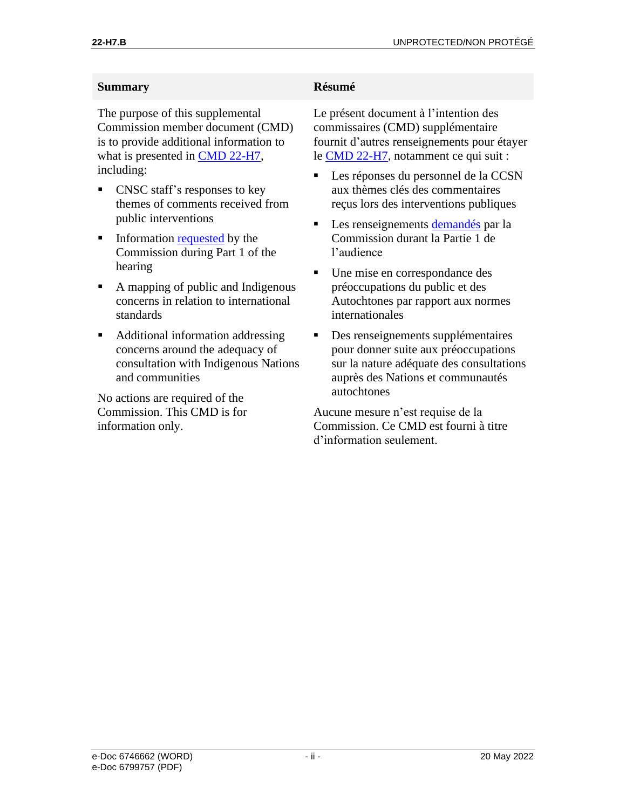#### **Summary Résumé**

The purpose of this supplemental Commission member document (CMD) is to provide additional information to what is presented in **CMD 22-H7**, including:

- CNSC staff's responses to key themes of comments received from public interventions
- **•** Information [requested](http://www.nuclearsafety.gc.ca/eng/the-commission/pdf/Transcript-Feb22-Hearing-e.pdf) by the Commission during Part 1 of the hearing
- A mapping of public and Indigenous concerns in relation to international standards
- Additional information addressing concerns around the adequacy of consultation with Indigenous Nations and communities

No actions are required of the Commission. This CMD is for information only.

Le présent document à l'intention des commissaires (CMD) supplémentaire fournit d'autres renseignements pour étayer le [CMD 22-H7,](https://www.nuclearsafety.gc.ca/eng/the-commission/hearings/cmd/pdf/CMD22/CMD22-H7.pdf) notamment ce qui suit :

- Les réponses du personnel de la CCSN aux thèmes clés des commentaires reçus lors des interventions publiques
- Les renseignements [demandés](http://www.nuclearsafety.gc.ca/eng/the-commission/pdf/Transcript-Feb22-Hearing-e.pdf) par la Commission durant la Partie 1 de l'audience
- Une mise en correspondance des préoccupations du public et des Autochtones par rapport aux normes internationales
- Des renseignements supplémentaires pour donner suite aux préoccupations sur la nature adéquate des consultations auprès des Nations et communautés autochtones

Aucune mesure n'est requise de la Commission. Ce CMD est fourni à titre d'information seulement.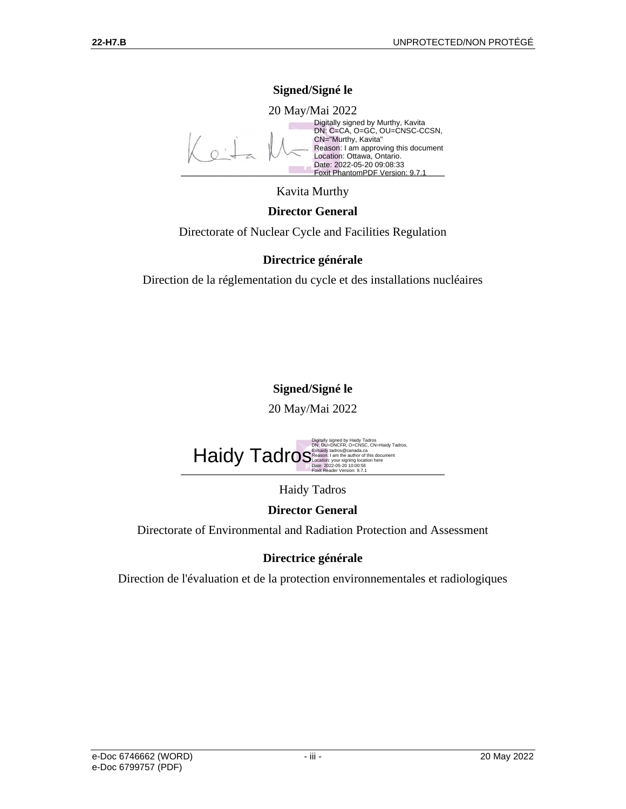#### **Signed/Signé le**

20 May/Mai 2022



Digitally signed by Murthy, Kavita DN: C=CA, O=GC, OU=CNSC-CCSN, CN="Murthy, Kavita" Reason: I am approving this document Location: Ottawa, Ontario. Date: 2022-05-20 09:08:33

Kavita Murthy

#### **Director General**

Directorate of Nuclear Cycle and Facilities Regulation

#### **Directrice générale**

Direction de la réglementation du cycle et des installations nucléaires

## **Signed/Signé le**

20 May/Mai 2022



Haidy Tadros

#### **Director General**

Directorate of Environmental and Radiation Protection and Assessment

#### **Directrice générale**

Direction de l'évaluation et de la protection environnementales et radiologiques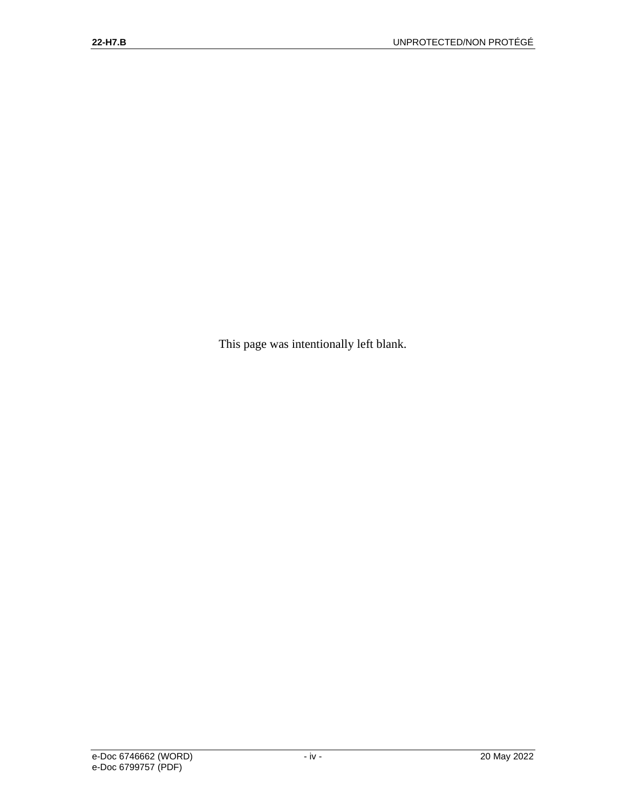This page was intentionally left blank.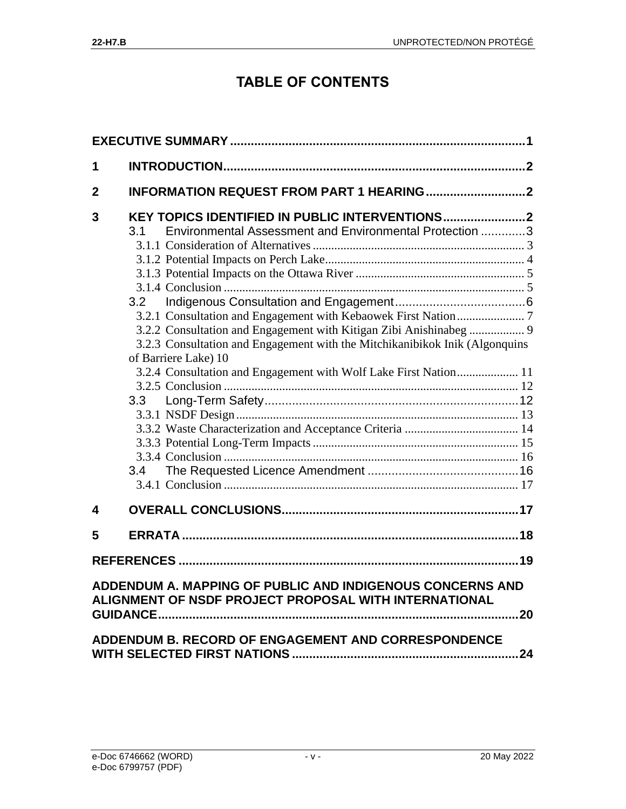# **TABLE OF CONTENTS**

| 1                                                                                                                  |                                                                                                                                                                                                                                                                |  |  |
|--------------------------------------------------------------------------------------------------------------------|----------------------------------------------------------------------------------------------------------------------------------------------------------------------------------------------------------------------------------------------------------------|--|--|
| $\mathbf{2}$                                                                                                       |                                                                                                                                                                                                                                                                |  |  |
| 3                                                                                                                  | Environmental Assessment and Environmental Protection 3<br>3.1<br>3.2<br>3.2.3 Consultation and Engagement with the Mitchikanibikok Inik (Algonquins<br>of Barriere Lake) 10<br>3.2.4 Consultation and Engagement with Wolf Lake First Nation 11<br>3.3<br>3.4 |  |  |
| 4                                                                                                                  |                                                                                                                                                                                                                                                                |  |  |
| 5                                                                                                                  |                                                                                                                                                                                                                                                                |  |  |
|                                                                                                                    |                                                                                                                                                                                                                                                                |  |  |
| ADDENDUM A. MAPPING OF PUBLIC AND INDIGENOUS CONCERNS AND<br>ALIGNMENT OF NSDF PROJECT PROPOSAL WITH INTERNATIONAL |                                                                                                                                                                                                                                                                |  |  |
| ADDENDUM B. RECORD OF ENGAGEMENT AND CORRESPONDENCE                                                                |                                                                                                                                                                                                                                                                |  |  |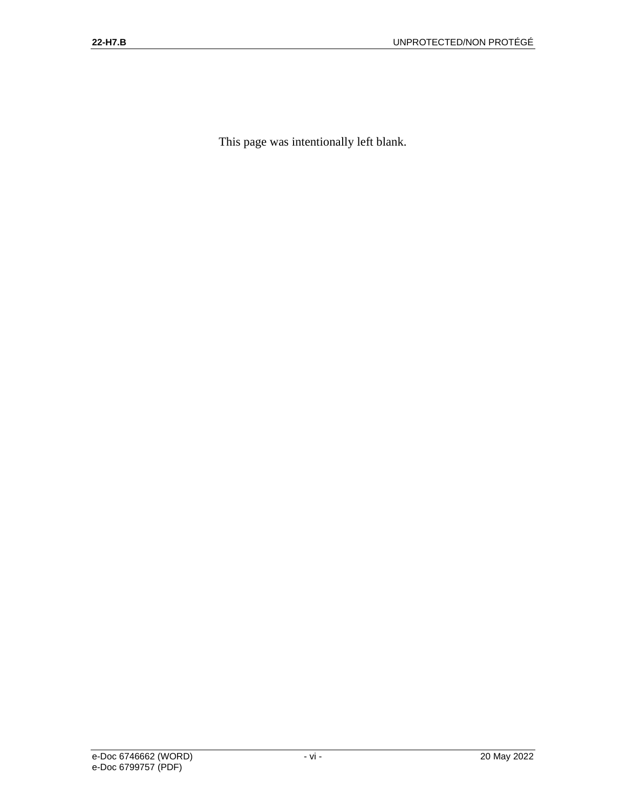This page was intentionally left blank.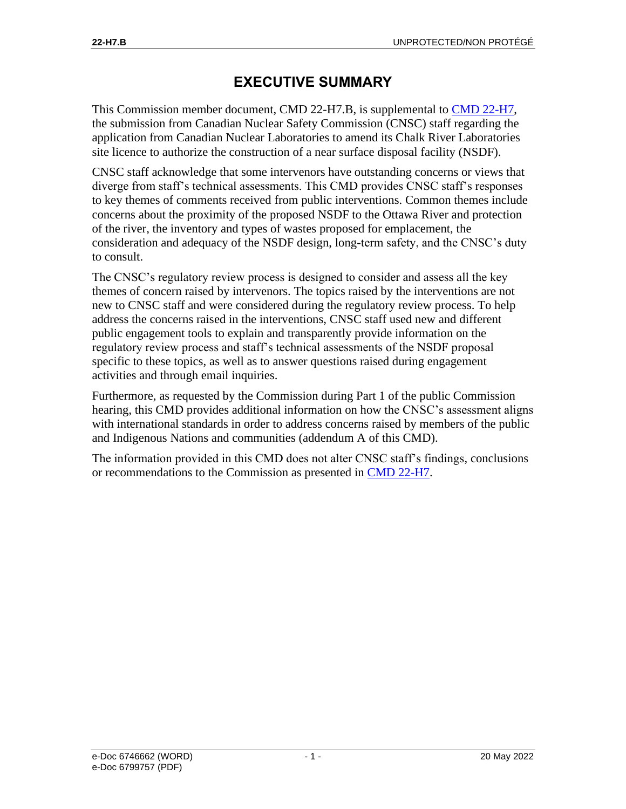# **EXECUTIVE SUMMARY**

<span id="page-6-0"></span>This Commission member document, CMD 22-H7.B, is supplemental to [CMD 22-H7,](https://www.nuclearsafety.gc.ca/eng/the-commission/hearings/cmd/pdf/CMD22/CMD22-H7.pdf) the submission from Canadian Nuclear Safety Commission (CNSC) staff regarding the application from Canadian Nuclear Laboratories to amend its Chalk River Laboratories site licence to authorize the construction of a near surface disposal facility (NSDF).

CNSC staff acknowledge that some intervenors have outstanding concerns or views that diverge from staff's technical assessments. This CMD provides CNSC staff's responses to key themes of comments received from public interventions. Common themes include concerns about the proximity of the proposed NSDF to the Ottawa River and protection of the river, the inventory and types of wastes proposed for emplacement, the consideration and adequacy of the NSDF design, long-term safety, and the CNSC's duty to consult.

The CNSC's regulatory review process is designed to consider and assess all the key themes of concern raised by intervenors. The topics raised by the interventions are not new to CNSC staff and were considered during the regulatory review process. To help address the concerns raised in the interventions, CNSC staff used new and different public engagement tools to explain and transparently provide information on the regulatory review process and staff's technical assessments of the NSDF proposal specific to these topics, as well as to answer questions raised during engagement activities and through email inquiries.

Furthermore, as requested by the Commission during Part 1 of the public Commission hearing, this CMD provides additional information on how the CNSC's assessment aligns with international standards in order to address concerns raised by members of the public and Indigenous Nations and communities (addendum A of this CMD).

The information provided in this CMD does not alter CNSC staff's findings, conclusions or recommendations to the Commission as presented in [CMD 22-H7.](https://www.nuclearsafety.gc.ca/eng/the-commission/hearings/cmd/pdf/CMD22/CMD22-H7.pdf)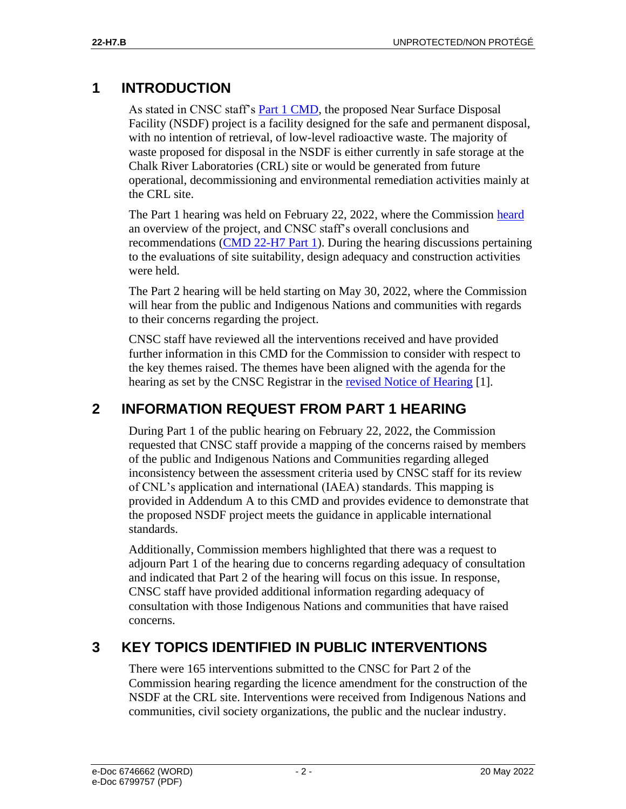# <span id="page-7-0"></span>**1 INTRODUCTION**

As stated in CNSC staff's [Part 1 CMD,](https://www.nuclearsafety.gc.ca/eng/the-commission/hearings/cmd/pdf/CMD22/CMD22-H7.pdf) the proposed Near Surface Disposal Facility (NSDF) project is a facility designed for the safe and permanent disposal, with no intention of retrieval, of low-level radioactive waste. The majority of waste proposed for disposal in the NSDF is either currently in safe storage at the Chalk River Laboratories (CRL) site or would be generated from future operational, decommissioning and environmental remediation activities mainly at the CRL site.

The Part 1 hearing was held on February 22, 2022, where the Commission [heard](http://www.nuclearsafety.gc.ca/eng/the-commission/pdf/Transcript-Feb22-Hearing-e.pdf) an overview of the project, and CNSC staff's overall conclusions and recommendations [\(CMD 22-H7 Part 1\)](https://www.nuclearsafety.gc.ca/eng/the-commission/hearings/cmd/pdf/CMD22/CMD22-H7.pdf). During the hearing discussions pertaining to the evaluations of site suitability, design adequacy and construction activities were held.

The Part 2 hearing will be held starting on May 30, 2022, where the Commission will hear from the public and Indigenous Nations and communities with regards to their concerns regarding the project.

CNSC staff have reviewed all the interventions received and have provided further information in this CMD for the Commission to consider with respect to the key themes raised. The themes have been aligned with the agenda for the hearing as set by the CNSC Registrar in the [revised Notice of Hearing](https://www.nuclearsafety.gc.ca/eng/the-commission/pdf/NoticeRev1-PublicHearing-CNL-NSDF-22-H7-e.pdf) [1].

# <span id="page-7-1"></span>**2 INFORMATION REQUEST FROM PART 1 HEARING**

During Part 1 of the public hearing on February 22, 2022, the Commission requested that CNSC staff provide a mapping of the concerns raised by members of the public and Indigenous Nations and Communities regarding alleged inconsistency between the assessment criteria used by CNSC staff for its review of CNL's application and international (IAEA) standards. This mapping is provided in Addendum A to this CMD and provides evidence to demonstrate that the proposed NSDF project meets the guidance in applicable international standards.

Additionally, Commission members highlighted that there was a request to adjourn Part 1 of the hearing due to concerns regarding adequacy of consultation and indicated that Part 2 of the hearing will focus on this issue. In response, CNSC staff have provided additional information regarding adequacy of consultation with those Indigenous Nations and communities that have raised concerns.

# <span id="page-7-2"></span>**3 KEY TOPICS IDENTIFIED IN PUBLIC INTERVENTIONS**

There were 165 interventions submitted to the CNSC for Part 2 of the Commission hearing regarding the licence amendment for the construction of the NSDF at the CRL site. Interventions were received from Indigenous Nations and communities, civil society organizations, the public and the nuclear industry.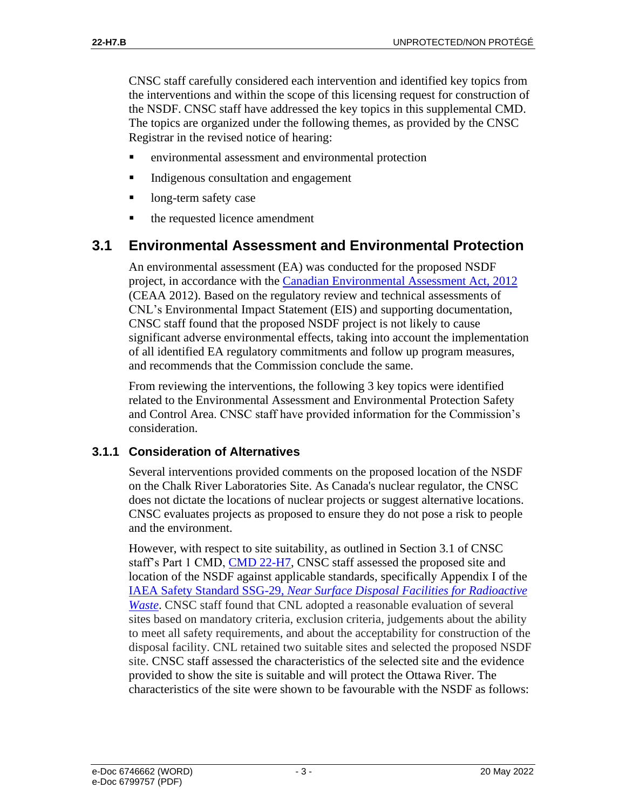CNSC staff carefully considered each intervention and identified key topics from the interventions and within the scope of this licensing request for construction of the NSDF. CNSC staff have addressed the key topics in this supplemental CMD. The topics are organized under the following themes, as provided by the CNSC Registrar in the [revised notice of hearing:](http://www.nuclearsafety.gc.ca/eng/the-commission/pdf/NoticeRev1-PublicHearing-CNL-NSDF-22-H7-e.pdf)

- environmental assessment and environmental protection
- **Indigenous consultation and engagement**
- long-term safety case
- the requested licence amendment

# <span id="page-8-0"></span>**3.1 Environmental Assessment and Environmental Protection**

An environmental assessment (EA) was conducted for the proposed NSDF project, in accordance with the [Canadian Environmental Assessment Act, 2012](https://laws-lois.justice.gc.ca/PDF/C-15.21.pdf) (CEAA 2012). Based on the regulatory review and technical assessments of CNL's Environmental Impact Statement (EIS) and supporting documentation, CNSC staff found that the proposed NSDF project is not likely to cause significant adverse environmental effects, taking into account the implementation of all identified EA regulatory commitments and follow up program measures, and recommends that the Commission conclude the same.

From reviewing the interventions, the following 3 key topics were identified related to the Environmental Assessment and Environmental Protection Safety and Control Area. CNSC staff have provided information for the Commission's consideration.

## <span id="page-8-1"></span>**3.1.1 Consideration of Alternatives**

Several interventions provided comments on the proposed location of the NSDF on the Chalk River Laboratories Site. As Canada's nuclear regulator, the CNSC does not dictate the locations of nuclear projects or suggest alternative locations. CNSC evaluates projects as proposed to ensure they do not pose a risk to people and the environment.

However, with respect to site suitability, as outlined in Section 3.1 of CNSC staff's Part 1 CMD, [CMD 22-H7,](https://www.nuclearsafety.gc.ca/eng/the-commission/hearings/cmd/pdf/CMD22/CMD22-H7.pdf) CNSC staff assessed the proposed site and location of the NSDF against applicable standards, specifically Appendix I of the IAEA Safety Standard SSG-29, *[Near Surface Disposal Facilities for Radioactive](http://www-pub.iaea.org/MTCD/Publications/PDF/Pub1637_web.pdf)  [Waste](http://www-pub.iaea.org/MTCD/Publications/PDF/Pub1637_web.pdf)*. CNSC staff found that CNL adopted a reasonable evaluation of several sites based on mandatory criteria, exclusion criteria, judgements about the ability to meet all safety requirements, and about the acceptability for construction of the disposal facility. CNL retained two suitable sites and selected the proposed NSDF site. CNSC staff assessed the characteristics of the selected site and the evidence provided to show the site is suitable and will protect the Ottawa River. The characteristics of the site were shown to be favourable with the NSDF as follows: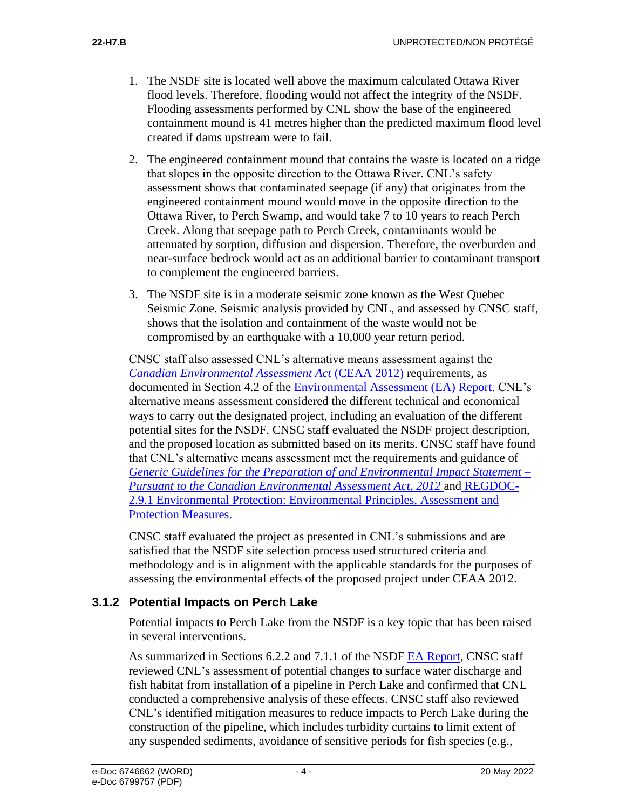- 1. The NSDF site is located well above the maximum calculated Ottawa River flood levels. Therefore, flooding would not affect the integrity of the NSDF. Flooding assessments performed by CNL show the base of the engineered containment mound is 41 metres higher than the predicted maximum flood level created if dams upstream were to fail.
- 2. The engineered containment mound that contains the waste is located on a ridge that slopes in the opposite direction to the Ottawa River. CNL's safety assessment shows that contaminated seepage (if any) that originates from the engineered containment mound would move in the opposite direction to the Ottawa River, to Perch Swamp, and would take 7 to 10 years to reach Perch Creek. Along that seepage path to Perch Creek, contaminants would be attenuated by sorption, diffusion and dispersion. Therefore, the overburden and near-surface bedrock would act as an additional barrier to contaminant transport to complement the engineered barriers.
- 3. The NSDF site is in a moderate seismic zone known as the West Quebec Seismic Zone. Seismic analysis provided by CNL, and assessed by CNSC staff, shows that the isolation and containment of the waste would not be compromised by an earthquake with a 10,000 year return period.

CNSC staff also assessed CNL's alternative means assessment against the *[Canadian Environmental Assessment Act](https://www.canada.ca/en/impact-assessment-agency/services/policy-guidance/canadian-environmental-assessment-act-overview.html)* (CEAA 2012) requirements, as documented in Section 4.2 of the [Environmental Assessment \(EA\) Report.](https://www.nuclearsafety.gc.ca/eng/the-commission/hearings/cmd/pdf/CMD22/CMD22-H7.pdf) CNL's alternative means assessment considered the different technical and economical ways to carry out the designated project, including an evaluation of the different potential sites for the NSDF. CNSC staff evaluated the NSDF project description, and the proposed location as submitted based on its merits. CNSC staff have found that CNL's alternative means assessment met the requirements and guidance of *[Generic Guidelines for the Preparation of and Environmental Impact Statement –](http://www.nuclearsafety.gc.ca/eng/resources/environmental-protection/ceaa-2012-generic-eis-guidelines.cfm) [Pursuant to the Canadian Environmental Assessment Act, 2012](http://www.nuclearsafety.gc.ca/eng/resources/environmental-protection/ceaa-2012-generic-eis-guidelines.cfm)* and [REGDOC-](http://www.nuclearsafety.gc.ca/eng/acts-and-regulations/regulatory-documents/published/html/regdoc2-9-1-vol1-2/index.cfm)[2.9.1 Environmental Protection: Environmental Principles, Assessment and](http://www.nuclearsafety.gc.ca/eng/acts-and-regulations/regulatory-documents/published/html/regdoc2-9-1-vol1-2/index.cfm)  [Protection Measures.](http://www.nuclearsafety.gc.ca/eng/acts-and-regulations/regulatory-documents/published/html/regdoc2-9-1-vol1-2/index.cfm)

CNSC staff evaluated the project as presented in CNL's submissions and are satisfied that the NSDF site selection process used structured criteria and methodology and is in alignment with the applicable standards for the purposes of assessing the environmental effects of the proposed project under CEAA 2012.

## <span id="page-9-0"></span>**3.1.2 Potential Impacts on Perch Lake**

Potential impacts to Perch Lake from the NSDF is a key topic that has been raised in several interventions.

As summarized in Sections 6.2.2 and 7.1.1 of the NSDF [EA Report,](https://www.nuclearsafety.gc.ca/eng/the-commission/hearings/cmd/pdf/CMD22/CMD22-H7.pdf) CNSC staff reviewed CNL's assessment of potential changes to surface water discharge and fish habitat from installation of a pipeline in Perch Lake and confirmed that CNL conducted a comprehensive analysis of these effects. CNSC staff also reviewed CNL's identified mitigation measures to reduce impacts to Perch Lake during the construction of the pipeline, which includes turbidity curtains to limit extent of any suspended sediments, avoidance of sensitive periods for fish species (e.g.,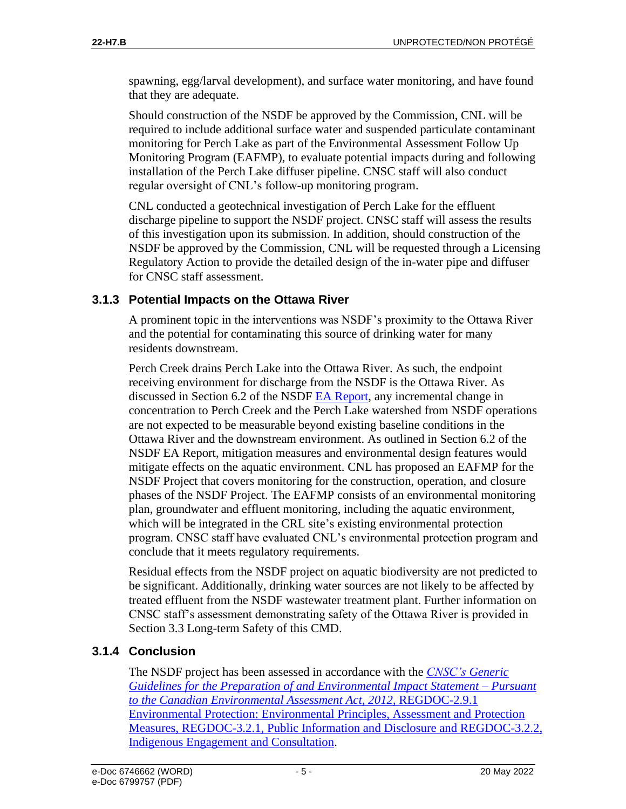spawning, egg/larval development), and surface water monitoring, and have found that they are adequate.

Should construction of the NSDF be approved by the Commission, CNL will be required to include additional surface water and suspended particulate contaminant monitoring for Perch Lake as part of the Environmental Assessment Follow Up Monitoring Program (EAFMP), to evaluate potential impacts during and following installation of the Perch Lake diffuser pipeline. CNSC staff will also conduct regular oversight of CNL's follow-up monitoring program.

CNL conducted a geotechnical investigation of Perch Lake for the effluent discharge pipeline to support the NSDF project. CNSC staff will assess the results of this investigation upon its submission. In addition, should construction of the NSDF be approved by the Commission, CNL will be requested through a Licensing Regulatory Action to provide the detailed design of the in-water pipe and diffuser for CNSC staff assessment.

## <span id="page-10-0"></span>**3.1.3 Potential Impacts on the Ottawa River**

A prominent topic in the interventions was NSDF's proximity to the Ottawa River and the potential for contaminating this source of drinking water for many residents downstream.

Perch Creek drains Perch Lake into the Ottawa River. As such, the endpoint receiving environment for discharge from the NSDF is the Ottawa River. As discussed in Section 6.2 of the NSDF [EA Report,](https://www.nuclearsafety.gc.ca/eng/the-commission/hearings/cmd/pdf/CMD22/CMD22-H7.pdf) any incremental change in concentration to Perch Creek and the Perch Lake watershed from NSDF operations are not expected to be measurable beyond existing baseline conditions in the Ottawa River and the downstream environment. As outlined in Section 6.2 of the NSDF EA Report, mitigation measures and environmental design features would mitigate effects on the aquatic environment. CNL has proposed an EAFMP for the NSDF Project that covers monitoring for the construction, operation, and closure phases of the NSDF Project. The EAFMP consists of an environmental monitoring plan, groundwater and effluent monitoring, including the aquatic environment, which will be integrated in the CRL site's existing environmental protection program. CNSC staff have evaluated CNL's environmental protection program and conclude that it meets regulatory requirements.

Residual effects from the NSDF project on aquatic biodiversity are not predicted to be significant. Additionally, drinking water sources are not likely to be affected by treated effluent from the NSDF wastewater treatment plant. Further information on CNSC staff's assessment demonstrating safety of the Ottawa River is provided in Section 3.3 Long-term Safety of this CMD.

## <span id="page-10-1"></span>**3.1.4 Conclusion**

The NSDF project has been assessed in accordance with the *CNSC's [Generic](http://www.nuclearsafety.gc.ca/eng/resources/environmental-protection/ceaa-2012-generic-eis-guidelines.cfm)  [Guidelines for the Preparation of and Environmental Impact Statement –](http://www.nuclearsafety.gc.ca/eng/resources/environmental-protection/ceaa-2012-generic-eis-guidelines.cfm) Pursuant [to the Canadian Environmental Assessment Act, 2012](http://www.nuclearsafety.gc.ca/eng/resources/environmental-protection/ceaa-2012-generic-eis-guidelines.cfm)*, [REGDOC-2.9.1](https://www.nuclearsafety.gc.ca/pubs_catalogue/uploads/REGDOC-2-9-1-Environmental-Principles-Assessments-and-Protection-Measures-Phase-II.pdf)  [Environmental Protection: Environmental Principles, Assessment and Protection](https://www.nuclearsafety.gc.ca/pubs_catalogue/uploads/REGDOC-2-9-1-Environmental-Principles-Assessments-and-Protection-Measures-Phase-II.pdf)  [Measures,](https://www.nuclearsafety.gc.ca/pubs_catalogue/uploads/REGDOC-2-9-1-Environmental-Principles-Assessments-and-Protection-Measures-Phase-II.pdf) [REGDOC-3.2.1, Public Information and Disclosure](http://www.nuclearsafety.gc.ca/eng/acts-and-regulations/regulatory-documents/published/html/regdoc3-2-1/index.cfm) and [REGDOC-3.2.2,](https://nuclearsafety.gc.ca/eng/acts-and-regulations/regulatory-documents/published/html/regdoc3-2-2-v1-2/index.cfm)  [Indigenous Engagement and Consultation.](https://nuclearsafety.gc.ca/eng/acts-and-regulations/regulatory-documents/published/html/regdoc3-2-2-v1-2/index.cfm)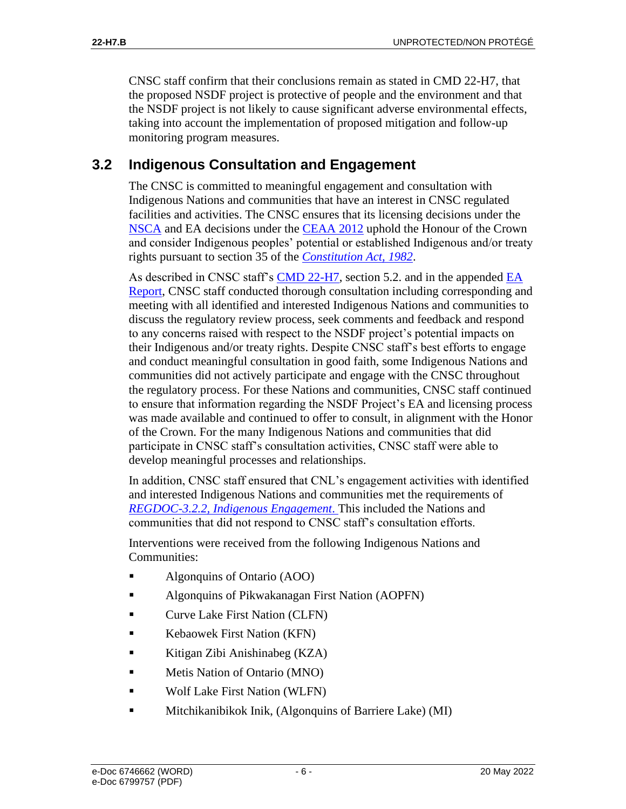CNSC staff confirm that their conclusions remain as stated in [CMD 22-H7,](https://www.nuclearsafety.gc.ca/eng/the-commission/hearings/cmd/pdf/CMD22/CMD22-H7.pdf) that the proposed NSDF project is protective of people and the environment and that the NSDF project is not likely to cause significant adverse environmental effects, taking into account the implementation of proposed mitigation and follow-up monitoring program measures.

# <span id="page-11-0"></span>**3.2 Indigenous Consultation and Engagement**

The CNSC is committed to meaningful engagement and consultation with Indigenous Nations and communities that have an interest in CNSC regulated facilities and activities. The CNSC ensures that its licensing decisions under the [NSCA](https://laws-lois.justice.gc.ca/PDF/N-28.3.pdf) and EA decisions under the [CEAA 2012](https://laws-lois.justice.gc.ca/PDF/C-15.21.pdf) uphold the Honour of the Crown and consider Indigenous peoples' potential or established Indigenous and/or treaty rights pursuant to section 35 of the *[Constitution Act, 1982](https://laws.justice.gc.ca/PDF/CONST_TRD.pdf)*.

As described in CNSC staff's [CMD 22-H7,](https://www.nuclearsafety.gc.ca/eng/the-commission/hearings/cmd/pdf/CMD22/CMD22-H7.pdf) section 5.2. and in the appended [EA](https://www.nuclearsafety.gc.ca/eng/the-commission/hearings/cmd/pdf/CMD22/CMD22-H7.pdf)  [Report,](https://www.nuclearsafety.gc.ca/eng/the-commission/hearings/cmd/pdf/CMD22/CMD22-H7.pdf) CNSC staff conducted thorough consultation including corresponding and meeting with all identified and interested Indigenous Nations and communities to discuss the regulatory review process, seek comments and feedback and respond to any concerns raised with respect to the NSDF project's potential impacts on their Indigenous and/or treaty rights. Despite CNSC staff's best efforts to engage and conduct meaningful consultation in good faith, some Indigenous Nations and communities did not actively participate and engage with the CNSC throughout the regulatory process. For these Nations and communities, CNSC staff continued to ensure that information regarding the NSDF Project's EA and licensing process was made available and continued to offer to consult, in alignment with the Honor of the Crown. For the many Indigenous Nations and communities that did participate in CNSC staff's consultation activities, CNSC staff were able to develop meaningful processes and relationships.

In addition, CNSC staff ensured that CNL's engagement activities with identified and interested Indigenous Nations and communities met the requirements of *[REGDOC-3.2.2, Indigenous Engagement](https://nuclearsafety.gc.ca/eng/acts-and-regulations/regulatory-documents/published/html/regdoc3-2-2-v1-2/index.cfm)*. This included the Nations and communities that did not respond to CNSC staff's consultation efforts.

Interventions were received from the following Indigenous Nations and Communities:

- Algonquins of Ontario (AOO)
- Algonquins of Pikwakanagan First Nation (AOPFN)
- Curve Lake First Nation (CLFN)
- Kebaowek First Nation (KFN)
- Kitigan Zibi Anishinabeg (KZA)
- Metis Nation of Ontario (MNO)
- Wolf Lake First Nation (WLFN)
- Mitchikanibikok Inik, (Algonquins of Barriere Lake) (MI)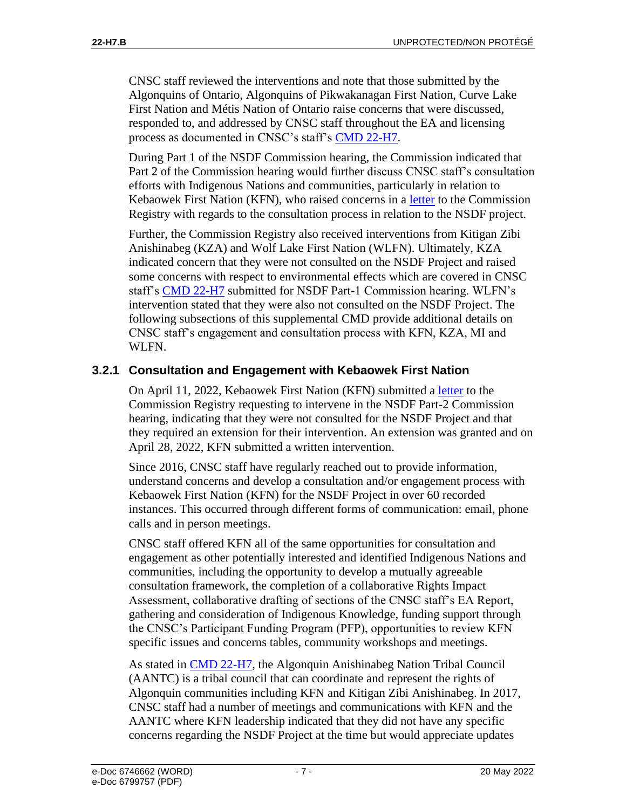CNSC staff reviewed the interventions and note that those submitted by the Algonquins of Ontario, Algonquins of Pikwakanagan First Nation, Curve Lake First Nation and Métis Nation of Ontario raise concerns that were discussed, responded to, and addressed by CNSC staff throughout the EA and licensing process as documented in CNSC's staff's [CMD 22-H7.](https://www.nuclearsafety.gc.ca/eng/the-commission/hearings/cmd/pdf/CMD22/CMD22-H7.pdf)

During Part 1 of the NSDF Commission hearing, the Commission indicated that Part 2 of the Commission hearing would further discuss CNSC staff's consultation efforts with Indigenous Nations and communities, particularly in relation to Kebaowek First Nation (KFN), who raised concerns in a [letter](http://www.nuclearsafety.gc.ca/eng/the-commission/pdf/LetterFromKFN-RequestAdjournHearing.pdf) to the Commission Registry with regards to the consultation process in relation to the NSDF project.

Further, the Commission Registry also received interventions from Kitigan Zibi Anishinabeg (KZA) and Wolf Lake First Nation (WLFN). Ultimately, KZA indicated concern that they were not consulted on the NSDF Project and raised some concerns with respect to environmental effects which are covered in CNSC staff's [CMD 22-H7](https://www.nuclearsafety.gc.ca/eng/the-commission/hearings/cmd/pdf/CMD22/CMD22-H7.pdf) submitted for NSDF Part-1 Commission hearing. WLFN's intervention stated that they were also not consulted on the NSDF Project. The following subsections of this supplemental CMD provide additional details on CNSC staff's engagement and consultation process with KFN, KZA, MI and WLFN.

## <span id="page-12-0"></span>**3.2.1 Consultation and Engagement with Kebaowek First Nation**

On April 11, 2022, Kebaowek First Nation (KFN) submitted a [letter](http://www.nuclearsafety.gc.ca/eng/the-commission/pdf/LetterFromKFN-RequestAdjournHearing.pdf) to the Commission Registry requesting to intervene in the NSDF Part-2 Commission hearing, indicating that they were not consulted for the NSDF Project and that they required an extension for their intervention. An extension was granted and on April 28, 2022, KFN submitted a written intervention.

Since 2016, CNSC staff have regularly reached out to provide information, understand concerns and develop a consultation and/or engagement process with Kebaowek First Nation (KFN) for the NSDF Project in over 60 recorded instances. This occurred through different forms of communication: email, phone calls and in person meetings.

CNSC staff offered KFN all of the same opportunities for consultation and engagement as other potentially interested and identified Indigenous Nations and communities, including the opportunity to develop a mutually agreeable consultation framework, the completion of a collaborative Rights Impact Assessment, collaborative drafting of sections of the CNSC staff's EA Report, gathering and consideration of Indigenous Knowledge, funding support through the CNSC's Participant Funding Program (PFP), opportunities to review KFN specific issues and concerns tables, community workshops and meetings.

As stated in [CMD 22-H7,](https://www.nuclearsafety.gc.ca/eng/the-commission/hearings/cmd/pdf/CMD22/CMD22-H7.pdf) the Algonquin Anishinabeg Nation Tribal Council (AANTC) is a tribal council that can coordinate and represent the rights of Algonquin communities including KFN and Kitigan Zibi Anishinabeg. In 2017, CNSC staff had a number of meetings and communications with KFN and the AANTC where KFN leadership indicated that they did not have any specific concerns regarding the NSDF Project at the time but would appreciate updates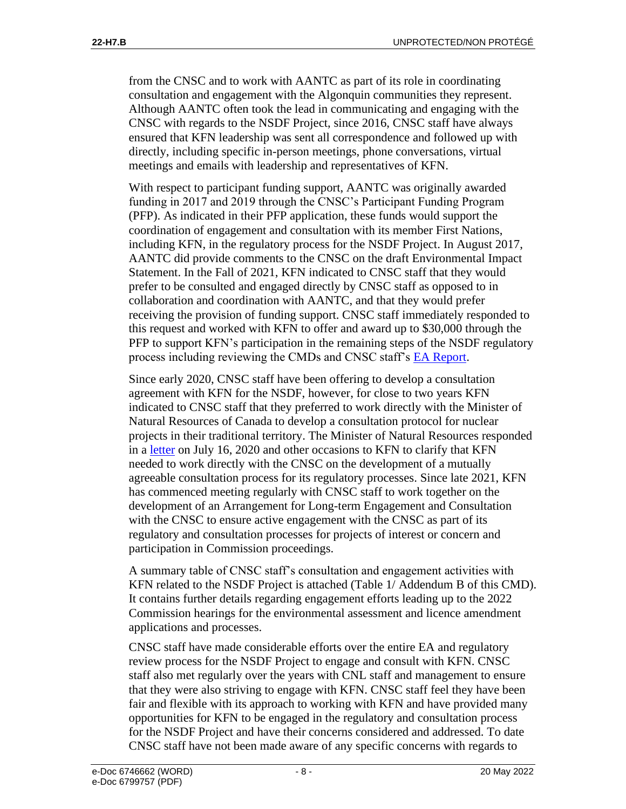from the CNSC and to work with AANTC as part of its role in coordinating consultation and engagement with the Algonquin communities they represent. Although AANTC often took the lead in communicating and engaging with the CNSC with regards to the NSDF Project, since 2016, CNSC staff have always ensured that KFN leadership was sent all correspondence and followed up with directly, including specific in-person meetings, phone conversations, virtual meetings and emails with leadership and representatives of KFN.

With respect to participant funding support, AANTC was originally awarded funding in 2017 and 2019 through the CNSC's Participant Funding Program (PFP). As indicated in their PFP application, these funds would support the coordination of engagement and consultation with its member First Nations, including KFN, in the regulatory process for the NSDF Project. In August 2017, AANTC did provide comments to the CNSC on the draft Environmental Impact Statement. In the Fall of 2021, KFN indicated to CNSC staff that they would prefer to be consulted and engaged directly by CNSC staff as opposed to in collaboration and coordination with AANTC, and that they would prefer receiving the provision of funding support. CNSC staff immediately responded to this request and worked with KFN to offer and award up to \$30,000 through the PFP to support KFN's participation in the remaining steps of the NSDF regulatory process including reviewing the CMDs and CNSC staff's [EA Report.](https://www.nuclearsafety.gc.ca/eng/the-commission/hearings/cmd/pdf/CMD22/CMD22-H7.pdf)

Since early 2020, CNSC staff have been offering to develop a consultation agreement with KFN for the NSDF, however, for close to two years KFN indicated to CNSC staff that they preferred to work directly with the Minister of Natural Resources of Canada to develop a consultation protocol for nuclear projects in their traditional territory. The Minister of Natural Resources responded in a [letter](https://www.ceaa.gc.ca/050/evaluations/document/135493) on July 16, 2020 and other occasions to KFN to clarify that KFN needed to work directly with the CNSC on the development of a mutually agreeable consultation process for its regulatory processes. Since late 2021, KFN has commenced meeting regularly with CNSC staff to work together on the development of an Arrangement for Long-term Engagement and Consultation with the CNSC to ensure active engagement with the CNSC as part of its regulatory and consultation processes for projects of interest or concern and participation in Commission proceedings.

A summary table of CNSC staff's consultation and engagement activities with KFN related to the NSDF Project is attached (Table 1/ Addendum B of this CMD). It contains further details regarding engagement efforts leading up to the 2022 Commission hearings for the environmental assessment and licence amendment applications and processes.

CNSC staff have made considerable efforts over the entire EA and regulatory review process for the NSDF Project to engage and consult with KFN. CNSC staff also met regularly over the years with CNL staff and management to ensure that they were also striving to engage with KFN. CNSC staff feel they have been fair and flexible with its approach to working with KFN and have provided many opportunities for KFN to be engaged in the regulatory and consultation process for the NSDF Project and have their concerns considered and addressed. To date CNSC staff have not been made aware of any specific concerns with regards to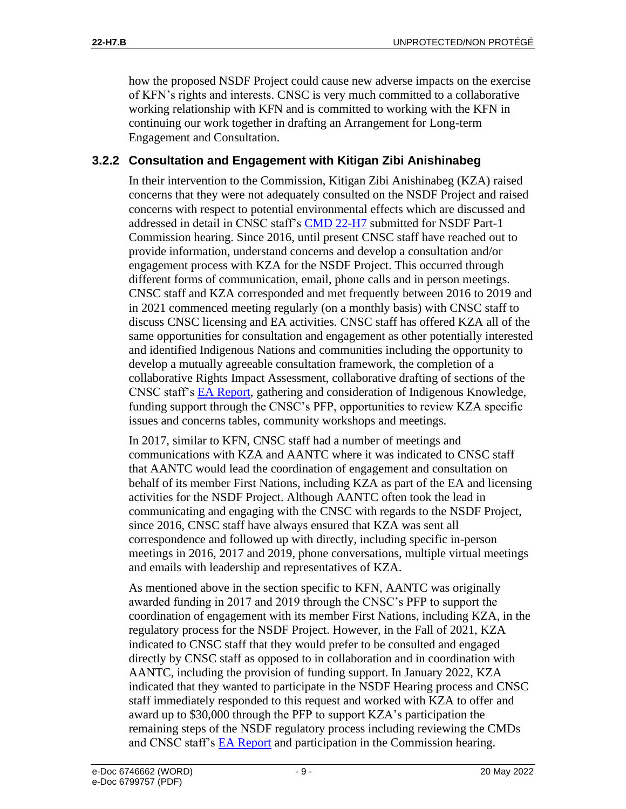how the proposed NSDF Project could cause new adverse impacts on the exercise of KFN's rights and interests. CNSC is very much committed to a collaborative working relationship with KFN and is committed to working with the KFN in continuing our work together in drafting an Arrangement for Long-term Engagement and Consultation.

## <span id="page-14-0"></span>**3.2.2 Consultation and Engagement with Kitigan Zibi Anishinabeg**

In their intervention to the Commission, Kitigan Zibi Anishinabeg (KZA) raised concerns that they were not adequately consulted on the NSDF Project and raised concerns with respect to potential environmental effects which are discussed and addressed in detail in CNSC staff's [CMD 22-H7](https://www.nuclearsafety.gc.ca/eng/the-commission/hearings/cmd/pdf/CMD22/CMD22-H7.pdf) submitted for NSDF Part-1 Commission hearing. Since 2016, until present CNSC staff have reached out to provide information, understand concerns and develop a consultation and/or engagement process with KZA for the NSDF Project. This occurred through different forms of communication, email, phone calls and in person meetings. CNSC staff and KZA corresponded and met frequently between 2016 to 2019 and in 2021 commenced meeting regularly (on a monthly basis) with CNSC staff to discuss CNSC licensing and EA activities. CNSC staff has offered KZA all of the same opportunities for consultation and engagement as other potentially interested and identified Indigenous Nations and communities including the opportunity to develop a mutually agreeable consultation framework, the completion of a collaborative Rights Impact Assessment, collaborative drafting of sections of the CNSC staff's [EA Report,](https://www.nuclearsafety.gc.ca/eng/the-commission/hearings/cmd/pdf/CMD22/CMD22-H7.pdf) gathering and consideration of Indigenous Knowledge, funding support through the CNSC's PFP, opportunities to review KZA specific issues and concerns tables, community workshops and meetings.

In 2017, similar to KFN, CNSC staff had a number of meetings and communications with KZA and AANTC where it was indicated to CNSC staff that AANTC would lead the coordination of engagement and consultation on behalf of its member First Nations, including KZA as part of the EA and licensing activities for the NSDF Project. Although AANTC often took the lead in communicating and engaging with the CNSC with regards to the NSDF Project, since 2016, CNSC staff have always ensured that KZA was sent all correspondence and followed up with directly, including specific in-person meetings in 2016, 2017 and 2019, phone conversations, multiple virtual meetings and emails with leadership and representatives of KZA.

As mentioned above in the section specific to KFN, AANTC was originally awarded funding in 2017 and 2019 through the CNSC's PFP to support the coordination of engagement with its member First Nations, including KZA, in the regulatory process for the NSDF Project. However, in the Fall of 2021, KZA indicated to CNSC staff that they would prefer to be consulted and engaged directly by CNSC staff as opposed to in collaboration and in coordination with AANTC, including the provision of funding support. In January 2022, KZA indicated that they wanted to participate in the NSDF Hearing process and CNSC staff immediately responded to this request and worked with KZA to offer and award up to \$30,000 through the PFP to support KZA's participation the remaining steps of the NSDF regulatory process including reviewing the CMDs and CNSC staff's [EA Report](https://www.nuclearsafety.gc.ca/eng/the-commission/hearings/cmd/pdf/CMD22/CMD22-H7.pdf) and participation in the Commission hearing.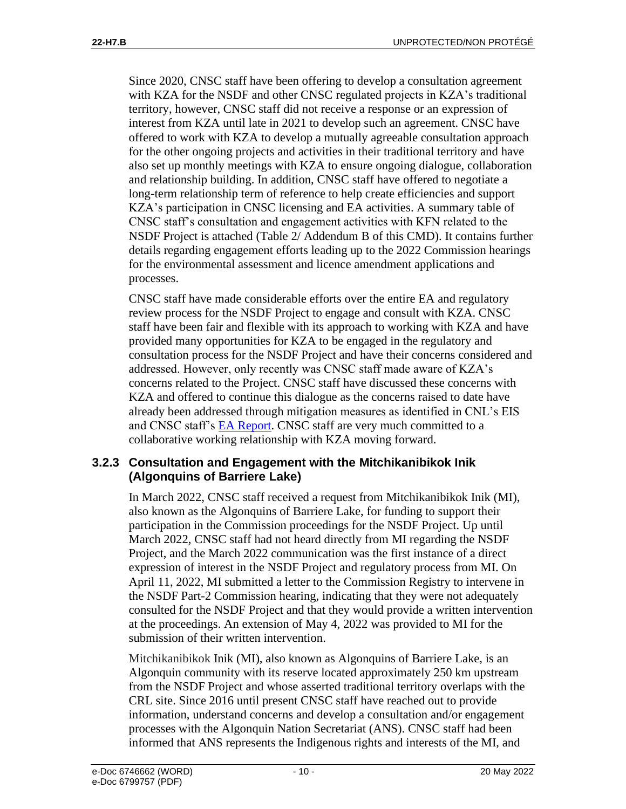Since 2020, CNSC staff have been offering to develop a consultation agreement with KZA for the NSDF and other CNSC regulated projects in KZA's traditional territory, however, CNSC staff did not receive a response or an expression of interest from KZA until late in 2021 to develop such an agreement. CNSC have offered to work with KZA to develop a mutually agreeable consultation approach for the other ongoing projects and activities in their traditional territory and have also set up monthly meetings with KZA to ensure ongoing dialogue, collaboration and relationship building. In addition, CNSC staff have offered to negotiate a long-term relationship term of reference to help create efficiencies and support KZA's participation in CNSC licensing and EA activities. A summary table of CNSC staff's consultation and engagement activities with KFN related to the NSDF Project is attached (Table 2/ Addendum B of this CMD). It contains further details regarding engagement efforts leading up to the 2022 Commission hearings for the environmental assessment and licence amendment applications and processes.

CNSC staff have made considerable efforts over the entire EA and regulatory review process for the NSDF Project to engage and consult with KZA. CNSC staff have been fair and flexible with its approach to working with KZA and have provided many opportunities for KZA to be engaged in the regulatory and consultation process for the NSDF Project and have their concerns considered and addressed. However, only recently was CNSC staff made aware of KZA's concerns related to the Project. CNSC staff have discussed these concerns with KZA and offered to continue this dialogue as the concerns raised to date have already been addressed through mitigation measures as identified in CNL's EIS and CNSC staff's [EA Report.](https://www.nuclearsafety.gc.ca/eng/the-commission/hearings/cmd/pdf/CMD22/CMD22-H7.pdf) CNSC staff are very much committed to a collaborative working relationship with KZA moving forward.

#### <span id="page-15-0"></span>**3.2.3 Consultation and Engagement with the Mitchikanibikok Inik (Algonquins of Barriere Lake)**

In March 2022, CNSC staff received a request from Mitchikanibikok Inik (MI), also known as the Algonquins of Barriere Lake, for funding to support their participation in the Commission proceedings for the NSDF Project. Up until March 2022, CNSC staff had not heard directly from MI regarding the NSDF Project, and the March 2022 communication was the first instance of a direct expression of interest in the NSDF Project and regulatory process from MI. On April 11, 2022, MI submitted a letter to the Commission Registry to intervene in the NSDF Part-2 Commission hearing, indicating that they were not adequately consulted for the NSDF Project and that they would provide a written intervention at the proceedings. An extension of May 4, 2022 was provided to MI for the submission of their written intervention.

Mitchikanibikok Inik (MI), also known as Algonquins of Barriere Lake, is an Algonquin community with its reserve located approximately 250 km upstream from the NSDF Project and whose asserted traditional territory overlaps with the CRL site. Since 2016 until present CNSC staff have reached out to provide information, understand concerns and develop a consultation and/or engagement processes with the Algonquin Nation Secretariat (ANS). CNSC staff had been informed that ANS represents the Indigenous rights and interests of the MI, and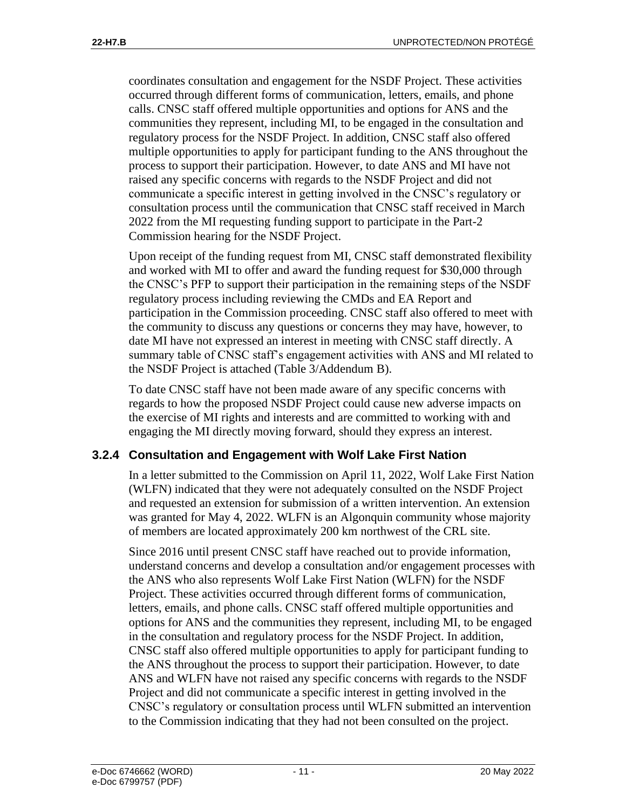coordinates consultation and engagement for the NSDF Project. These activities occurred through different forms of communication, letters, emails, and phone calls. CNSC staff offered multiple opportunities and options for ANS and the communities they represent, including MI, to be engaged in the consultation and regulatory process for the NSDF Project. In addition, CNSC staff also offered multiple opportunities to apply for participant funding to the ANS throughout the process to support their participation. However, to date ANS and MI have not raised any specific concerns with regards to the NSDF Project and did not communicate a specific interest in getting involved in the CNSC's regulatory or consultation process until the communication that CNSC staff received in March 2022 from the MI requesting funding support to participate in the Part-2 Commission hearing for the NSDF Project.

Upon receipt of the funding request from MI, CNSC staff demonstrated flexibility and worked with MI to offer and award the funding request for \$30,000 through the CNSC's PFP to support their participation in the remaining steps of the NSDF regulatory process including reviewing the CMDs and EA Report and participation in the Commission proceeding. CNSC staff also offered to meet with the community to discuss any questions or concerns they may have, however, to date MI have not expressed an interest in meeting with CNSC staff directly. A summary table of CNSC staff's engagement activities with ANS and MI related to the NSDF Project is attached (Table 3/Addendum B).

To date CNSC staff have not been made aware of any specific concerns with regards to how the proposed NSDF Project could cause new adverse impacts on the exercise of MI rights and interests and are committed to working with and engaging the MI directly moving forward, should they express an interest.

#### <span id="page-16-0"></span>**3.2.4 Consultation and Engagement with Wolf Lake First Nation**

In a letter submitted to the Commission on April 11, 2022, Wolf Lake First Nation (WLFN) indicated that they were not adequately consulted on the NSDF Project and requested an extension for submission of a written intervention. An extension was granted for May 4, 2022. WLFN is an Algonquin community whose majority of members are located approximately 200 km northwest of the CRL site.

Since 2016 until present CNSC staff have reached out to provide information, understand concerns and develop a consultation and/or engagement processes with the ANS who also represents Wolf Lake First Nation (WLFN) for the NSDF Project. These activities occurred through different forms of communication, letters, emails, and phone calls. CNSC staff offered multiple opportunities and options for ANS and the communities they represent, including MI, to be engaged in the consultation and regulatory process for the NSDF Project. In addition, CNSC staff also offered multiple opportunities to apply for participant funding to the ANS throughout the process to support their participation. However, to date ANS and WLFN have not raised any specific concerns with regards to the NSDF Project and did not communicate a specific interest in getting involved in the CNSC's regulatory or consultation process until WLFN submitted an intervention to the Commission indicating that they had not been consulted on the project.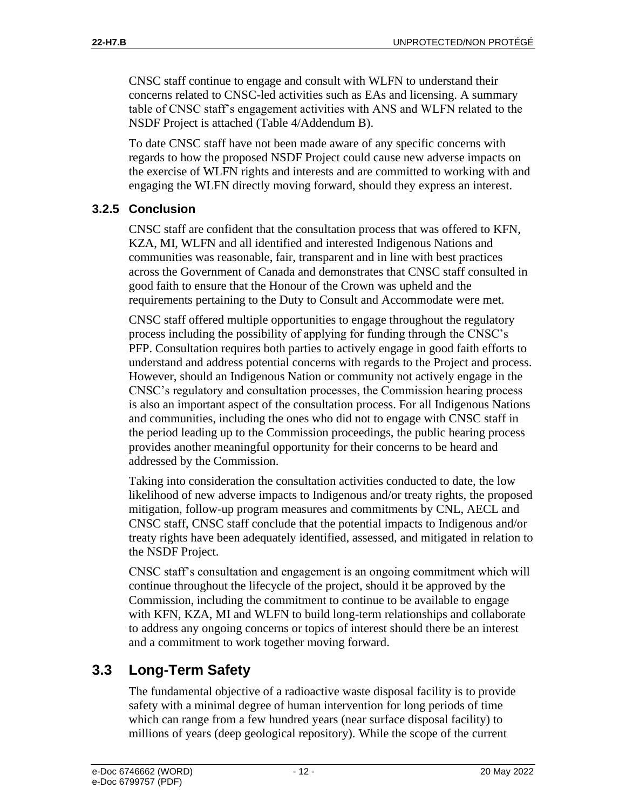CNSC staff continue to engage and consult with WLFN to understand their concerns related to CNSC-led activities such as EAs and licensing. A summary table of CNSC staff's engagement activities with ANS and WLFN related to the NSDF Project is attached (Table 4/Addendum B).

To date CNSC staff have not been made aware of any specific concerns with regards to how the proposed NSDF Project could cause new adverse impacts on the exercise of WLFN rights and interests and are committed to working with and engaging the WLFN directly moving forward, should they express an interest.

## <span id="page-17-0"></span>**3.2.5 Conclusion**

CNSC staff are confident that the consultation process that was offered to KFN, KZA, MI, WLFN and all identified and interested Indigenous Nations and communities was reasonable, fair, transparent and in line with best practices across the Government of Canada and demonstrates that CNSC staff consulted in good faith to ensure that the Honour of the Crown was upheld and the requirements pertaining to the Duty to Consult and Accommodate were met.

CNSC staff offered multiple opportunities to engage throughout the regulatory process including the possibility of applying for funding through the CNSC's PFP. Consultation requires both parties to actively engage in good faith efforts to understand and address potential concerns with regards to the Project and process. However, should an Indigenous Nation or community not actively engage in the CNSC's regulatory and consultation processes, the Commission hearing process is also an important aspect of the consultation process. For all Indigenous Nations and communities, including the ones who did not to engage with CNSC staff in the period leading up to the Commission proceedings, the public hearing process provides another meaningful opportunity for their concerns to be heard and addressed by the Commission.

Taking into consideration the consultation activities conducted to date, the low likelihood of new adverse impacts to Indigenous and/or treaty rights, the proposed mitigation, follow-up program measures and commitments by CNL, AECL and CNSC staff, CNSC staff conclude that the potential impacts to Indigenous and/or treaty rights have been adequately identified, assessed, and mitigated in relation to the NSDF Project.

CNSC staff's consultation and engagement is an ongoing commitment which will continue throughout the lifecycle of the project, should it be approved by the Commission, including the commitment to continue to be available to engage with KFN, KZA, MI and WLFN to build long-term relationships and collaborate to address any ongoing concerns or topics of interest should there be an interest and a commitment to work together moving forward.

# <span id="page-17-1"></span>**3.3 Long-Term Safety**

The fundamental objective of a radioactive waste disposal facility is to provide safety with a minimal degree of human intervention for long periods of time which can range from a few hundred years (near surface disposal facility) to millions of years (deep geological repository). While the scope of the current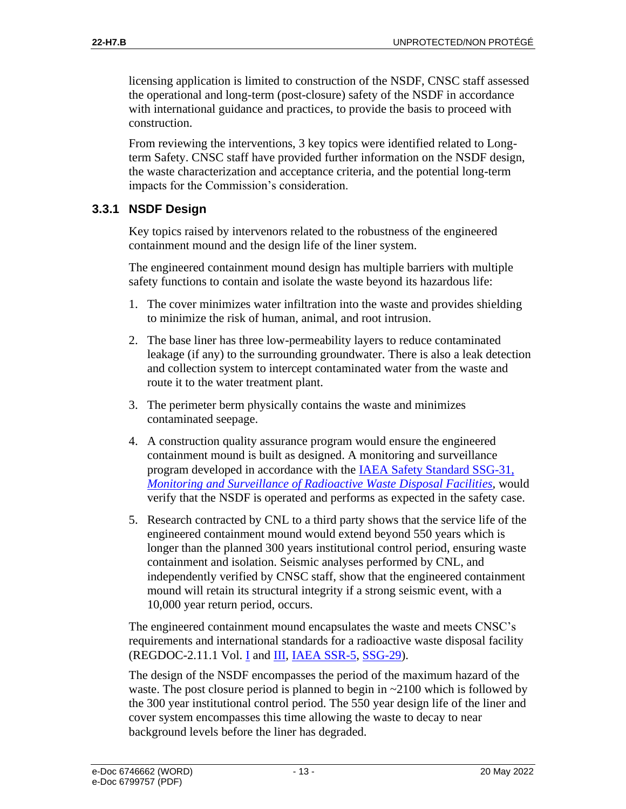licensing application is limited to construction of the NSDF, CNSC staff assessed the operational and long-term (post-closure) safety of the NSDF in accordance with international guidance and practices, to provide the basis to proceed with construction.

From reviewing the interventions, 3 key topics were identified related to Longterm Safety. CNSC staff have provided further information on the NSDF design, the waste characterization and acceptance criteria, and the potential long-term impacts for the Commission's consideration.

## <span id="page-18-0"></span>**3.3.1 NSDF Design**

Key topics raised by intervenors related to the robustness of the engineered containment mound and the design life of the liner system.

The engineered containment mound design has multiple barriers with multiple safety functions to contain and isolate the waste beyond its hazardous life:

- 1. The cover minimizes water infiltration into the waste and provides shielding to minimize the risk of human, animal, and root intrusion.
- 2. The base liner has three low-permeability layers to reduce contaminated leakage (if any) to the surrounding groundwater. There is also a leak detection and collection system to intercept contaminated water from the waste and route it to the water treatment plant.
- 3. The perimeter berm physically contains the waste and minimizes contaminated seepage.
- 4. A construction quality assurance program would ensure the engineered containment mound is built as designed. A monitoring and surveillance program developed in accordance with the [IAEA Safety Standard SSG-31,](http://www-pub.iaea.org/MTCD/Publications/PDF/Pub1640_web.pdf)  *[Monitoring and Surveillance of Radioactive Waste Disposal Facilities,](http://www-pub.iaea.org/MTCD/Publications/PDF/Pub1640_web.pdf)* would verify that the NSDF is operated and performs as expected in the safety case.
- 5. Research contracted by CNL to a third party shows that the service life of the engineered containment mound would extend beyond 550 years which is longer than the planned 300 years institutional control period, ensuring waste containment and isolation. Seismic analyses performed by CNL, and independently verified by CNSC staff, show that the engineered containment mound will retain its structural integrity if a strong seismic event, with a 10,000 year return period, occurs.

The engineered containment mound encapsulates the waste and meets CNSC's requirements and international standards for a radioactive waste disposal facility (REGDOC-2.11.1 Vol. [I](https://www.nuclearsafety.gc.ca/pubs_catalogue/uploads/REGDOC-2-11-1-volume-I-management-of-radioactive-waste.pdf) and [III,](https://www.nuclearsafety.gc.ca/pubs_catalogue/uploads/REGDOC-2-11-1-vol3-Assessing-the-Long-Term-Safety-eng.pdf) [IAEA SSR-5,](http://www-pub.iaea.org/MTCD/Publications/PDF/Pub1449_web.pdf) [SSG-29\)](http://www-pub.iaea.org/MTCD/Publications/PDF/Pub1637_web.pdf).

The design of the NSDF encompasses the period of the maximum hazard of the waste. The post closure period is planned to begin in ~2100 which is followed by the 300 year institutional control period. The 550 year design life of the liner and cover system encompasses this time allowing the waste to decay to near background levels before the liner has degraded.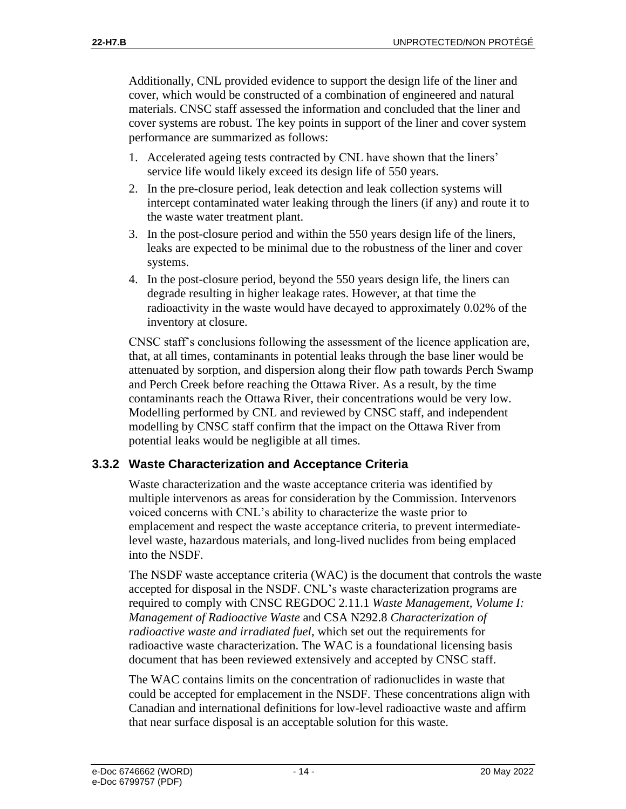Additionally, CNL provided evidence to support the design life of the liner and cover, which would be constructed of a combination of engineered and natural materials. CNSC staff assessed the information and concluded that the liner and cover systems are robust. The key points in support of the liner and cover system performance are summarized as follows:

- 1. Accelerated ageing tests contracted by CNL have shown that the liners' service life would likely exceed its design life of 550 years.
- 2. In the pre-closure period, leak detection and leak collection systems will intercept contaminated water leaking through the liners (if any) and route it to the waste water treatment plant.
- 3. In the post-closure period and within the 550 years design life of the liners, leaks are expected to be minimal due to the robustness of the liner and cover systems.
- 4. In the post-closure period, beyond the 550 years design life, the liners can degrade resulting in higher leakage rates. However, at that time the radioactivity in the waste would have decayed to approximately 0.02% of the inventory at closure.

CNSC staff's conclusions following the assessment of the licence application are, that, at all times, contaminants in potential leaks through the base liner would be attenuated by sorption, and dispersion along their flow path towards Perch Swamp and Perch Creek before reaching the Ottawa River. As a result, by the time contaminants reach the Ottawa River, their concentrations would be very low. Modelling performed by CNL and reviewed by CNSC staff, and independent modelling by CNSC staff confirm that the impact on the Ottawa River from potential leaks would be negligible at all times.

## <span id="page-19-0"></span>**3.3.2 Waste Characterization and Acceptance Criteria**

Waste characterization and the waste acceptance criteria was identified by multiple intervenors as areas for consideration by the Commission. Intervenors voiced concerns with CNL's ability to characterize the waste prior to emplacement and respect the waste acceptance criteria, to prevent intermediatelevel waste, hazardous materials, and long-lived nuclides from being emplaced into the NSDF.

The NSDF waste acceptance criteria (WAC) is the document that controls the waste accepted for disposal in the NSDF. CNL's waste characterization programs are required to comply with CNSC REGDOC 2.11.1 *Waste Management, Volume I: Management of Radioactive Waste* and CSA N292.8 *Characterization of radioactive waste and irradiated fuel*, which set out the requirements for radioactive waste characterization. The WAC is a foundational licensing basis document that has been reviewed extensively and accepted by CNSC staff.

The WAC contains limits on the concentration of radionuclides in waste that could be accepted for emplacement in the NSDF. These concentrations align with Canadian and international definitions for low-level radioactive waste and affirm that near surface disposal is an acceptable solution for this waste.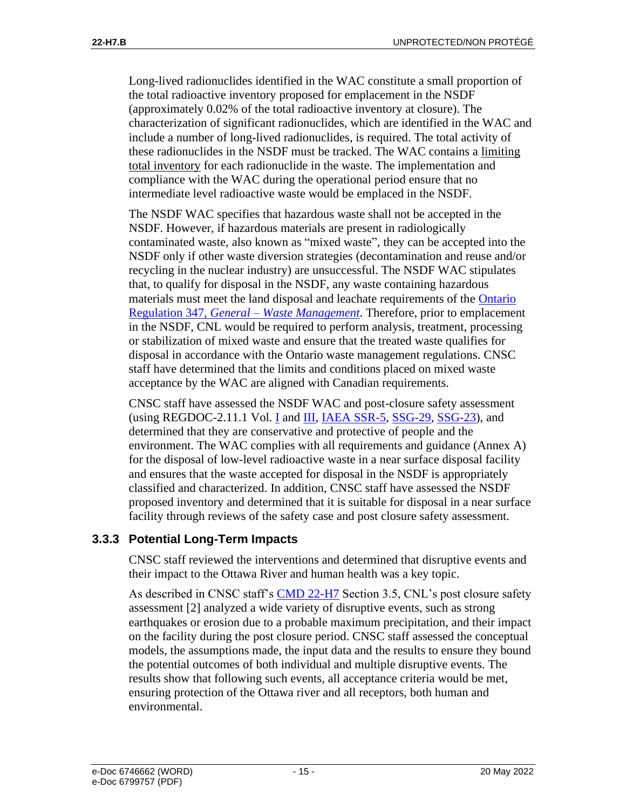Long-lived radionuclides identified in the WAC constitute a small proportion of the total radioactive inventory proposed for emplacement in the NSDF (approximately 0.02% of the total radioactive inventory at closure). The characterization of significant radionuclides, which are identified in the WAC and include a number of long-lived radionuclides, is required. The total activity of these radionuclides in the NSDF must be tracked. The WAC contains a limiting total inventory for each radionuclide in the waste. The implementation and compliance with the WAC during the operational period ensure that no intermediate level radioactive waste would be emplaced in the NSDF.

The NSDF WAC specifies that hazardous waste shall not be accepted in the NSDF. However, if hazardous materials are present in radiologically contaminated waste, also known as "mixed waste", they can be accepted into the NSDF only if other waste diversion strategies (decontamination and reuse and/or recycling in the nuclear industry) are unsuccessful. The NSDF WAC stipulates that, to qualify for disposal in the NSDF, any waste containing hazardous materials must meet the land disposal and leachate requirements of the [Ontario](https://www.ontario.ca/laws/regulation/900347)  Regulation 347, *General – [Waste Management](https://www.ontario.ca/laws/regulation/900347)*. Therefore, prior to emplacement in the NSDF, CNL would be required to perform analysis, treatment, processing or stabilization of mixed waste and ensure that the treated waste qualifies for disposal in accordance with the Ontario waste management regulations. CNSC staff have determined that the limits and conditions placed on mixed waste acceptance by the WAC are aligned with Canadian requirements.

CNSC staff have assessed the NSDF WAC and post-closure safety assessment (using REGDOC-2.11.1 Vol. [I](https://www.nuclearsafety.gc.ca/pubs_catalogue/uploads/REGDOC-2-11-1-volume-I-management-of-radioactive-waste.pdf) and [III,](https://www.nuclearsafety.gc.ca/pubs_catalogue/uploads/REGDOC-2-11-1-vol3-Assessing-the-Long-Term-Safety-eng.pdf) [IAEA SSR-5,](http://www-pub.iaea.org/MTCD/Publications/PDF/Pub1449_web.pdf) [SSG-29,](http://www-pub.iaea.org/MTCD/Publications/PDF/Pub1637_web.pdf) [SSG-23\)](http://www-pub.iaea.org/MTCD/Publications/PDF/Pub1553_web.pdf), and determined that they are conservative and protective of people and the environment. The WAC complies with all requirements and guidance (Annex A) for the disposal of low-level radioactive waste in a near surface disposal facility and ensures that the waste accepted for disposal in the NSDF is appropriately classified and characterized. In addition, CNSC staff have assessed the NSDF proposed inventory and determined that it is suitable for disposal in a near surface facility through reviews of the safety case and post closure safety assessment.

#### <span id="page-20-0"></span>**3.3.3 Potential Long-Term Impacts**

CNSC staff reviewed the interventions and determined that disruptive events and their impact to the Ottawa River and human health was a key topic.

As described in CNSC staff's [CMD 22-H7](https://www.nuclearsafety.gc.ca/eng/the-commission/hearings/cmd/pdf/CMD22/CMD22-H7.pdf) Section 3.5, CNL's post closure safety assessment [2] analyzed a wide variety of disruptive events, such as strong earthquakes or erosion due to a probable maximum precipitation, and their impact on the facility during the post closure period. CNSC staff assessed the conceptual models, the assumptions made, the input data and the results to ensure they bound the potential outcomes of both individual and multiple disruptive events. The results show that following such events, all acceptance criteria would be met, ensuring protection of the Ottawa river and all receptors, both human and environmental.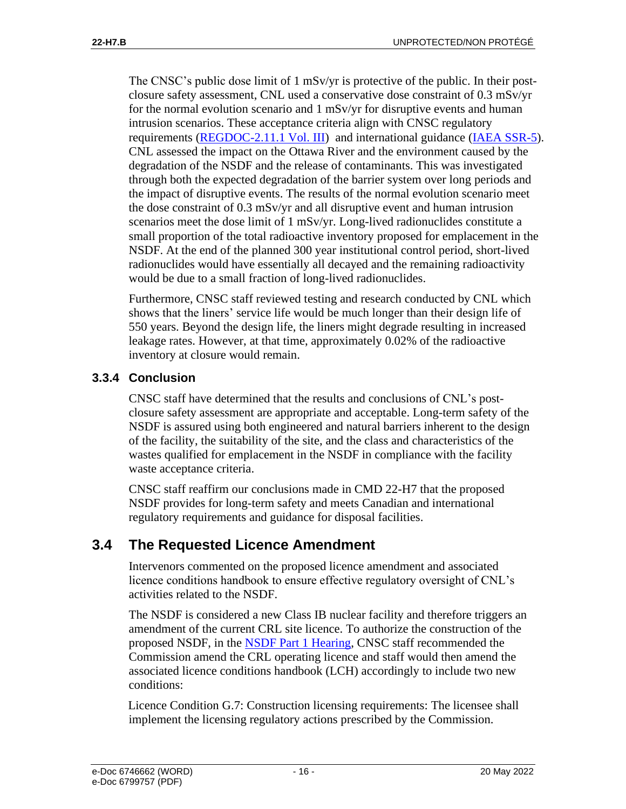The CNSC's public dose limit of 1 mSv/yr is protective of the public. In their postclosure safety assessment, CNL used a conservative dose constraint of 0.3 mSv/yr for the normal evolution scenario and 1 mSv/yr for disruptive events and human intrusion scenarios. These acceptance criteria align with CNSC regulatory requirements [\(REGDOC-2.11.1 Vol. III\)](https://www.nuclearsafety.gc.ca/pubs_catalogue/uploads/REGDOC-2-11-1-vol3-Assessing-the-Long-Term-Safety-eng.pdf) and international guidance [\(IAEA SSR-5\)](http://www-pub.iaea.org/MTCD/Publications/PDF/Pub1449_web.pdf). CNL assessed the impact on the Ottawa River and the environment caused by the degradation of the NSDF and the release of contaminants. This was investigated through both the expected degradation of the barrier system over long periods and the impact of disruptive events. The results of the normal evolution scenario meet the dose constraint of 0.3 mSv/yr and all disruptive event and human intrusion scenarios meet the dose limit of 1 mSv/yr. Long-lived radionuclides constitute a small proportion of the total radioactive inventory proposed for emplacement in the NSDF. At the end of the planned 300 year institutional control period, short-lived radionuclides would have essentially all decayed and the remaining radioactivity would be due to a small fraction of long-lived radionuclides.

Furthermore, CNSC staff reviewed testing and research conducted by CNL which shows that the liners' service life would be much longer than their design life of 550 years. Beyond the design life, the liners might degrade resulting in increased leakage rates. However, at that time, approximately 0.02% of the radioactive inventory at closure would remain.

## <span id="page-21-0"></span>**3.3.4 Conclusion**

CNSC staff have determined that the results and conclusions of CNL's postclosure safety assessment are appropriate and acceptable. Long-term safety of the NSDF is assured using both engineered and natural barriers inherent to the design of the facility, the suitability of the site, and the class and characteristics of the wastes qualified for emplacement in the NSDF in compliance with the facility waste acceptance criteria.

CNSC staff reaffirm our conclusions made in CMD 22-H7 that the proposed NSDF provides for long-term safety and meets Canadian and international regulatory requirements and guidance for disposal facilities.

## <span id="page-21-1"></span>**3.4 The Requested Licence Amendment**

Intervenors commented on the proposed licence amendment and associated licence conditions handbook to ensure effective regulatory oversight of CNL's activities related to the NSDF.

The NSDF is considered a new Class IB nuclear facility and therefore triggers an amendment of the current CRL site licence. To authorize the construction of the proposed NSDF, in the [NSDF Part 1 Hearing,](https://www.nuclearsafety.gc.ca/eng/the-commission/hearings/cmd/pdf/CMD22/CMD22-H7.pdf) CNSC staff recommended the Commission amend the CRL operating licence and staff would then amend the associated licence conditions handbook (LCH) accordingly to include two new conditions:

Licence Condition G.7: Construction licensing requirements: The licensee shall implement the licensing regulatory actions prescribed by the Commission.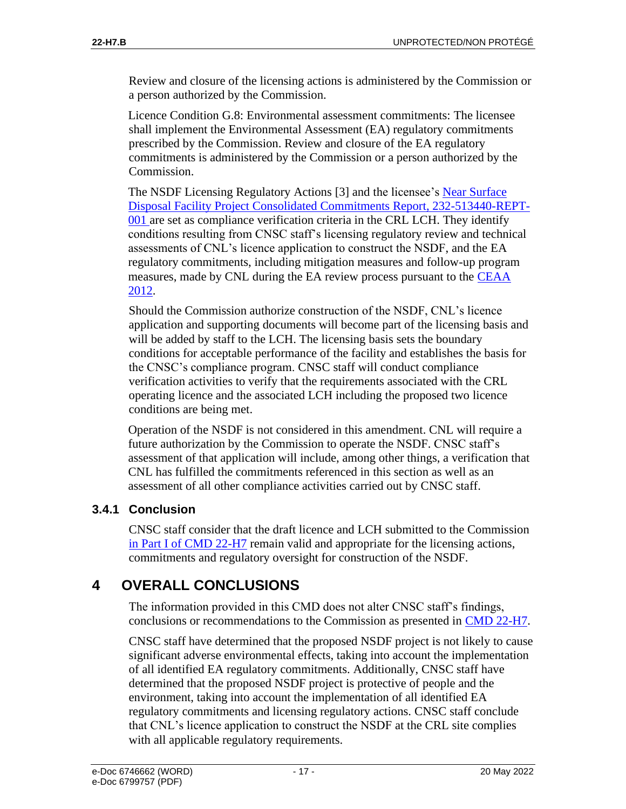Review and closure of the licensing actions is administered by the Commission or a person authorized by the Commission.

Licence Condition G.8: Environmental assessment commitments: The licensee shall implement the Environmental Assessment (EA) regulatory commitments prescribed by the Commission. Review and closure of the EA regulatory commitments is administered by the Commission or a person authorized by the Commission.

The NSDF Licensing Regulatory Actions [3] and the licensee's [Near Surface](https://www.iaac-aeic.gc.ca/050/documents/p80122/139601E.pdf)  [Disposal Facility Project Consolidated Commitments Report,](https://www.iaac-aeic.gc.ca/050/documents/p80122/139601E.pdf) 232-513440-REPT-001 are set as compliance verification criteria in the CRL LCH. They identify conditions resulting from CNSC staff's licensing regulatory review and technical assessments of CNL's licence application to construct the NSDF, and the EA regulatory commitments, including mitigation measures and follow-up program measures, made by CNL during the EA review process pursuant to the [CEAA](https://laws-lois.justice.gc.ca/PDF/C-15.21.pdf)  [2012.](https://laws-lois.justice.gc.ca/PDF/C-15.21.pdf)

Should the Commission authorize construction of the NSDF, CNL's licence application and supporting documents will become part of the licensing basis and will be added by staff to the LCH. The licensing basis sets the boundary conditions for acceptable performance of the facility and establishes the basis for the CNSC's compliance program. CNSC staff will conduct compliance verification activities to verify that the requirements associated with the CRL operating licence and the associated LCH including the proposed two licence conditions are being met.

Operation of the NSDF is not considered in this amendment. CNL will require a future authorization by the Commission to operate the NSDF. CNSC staff's assessment of that application will include, among other things, a verification that CNL has fulfilled the commitments referenced in this section as well as an assessment of all other compliance activities carried out by CNSC staff.

#### <span id="page-22-0"></span>**3.4.1 Conclusion**

CNSC staff consider that the draft licence and LCH submitted to the Commission [in Part I of CMD 22-H7](https://www.nuclearsafety.gc.ca/eng/the-commission/hearings/cmd/pdf/CMD22/CMD22-H7.pdf) remain valid and appropriate for the licensing actions, commitments and regulatory oversight for construction of the NSDF.

# <span id="page-22-1"></span>**4 OVERALL CONCLUSIONS**

The information provided in this CMD does not alter CNSC staff's findings, conclusions or recommendations to the Commission as presented in [CMD 22-H7.](https://www.nuclearsafety.gc.ca/eng/the-commission/hearings/cmd/pdf/CMD22/CMD22-H7.pdf)

CNSC staff have determined that the proposed NSDF project is not likely to cause significant adverse environmental effects, taking into account the implementation of all identified EA regulatory commitments. Additionally, CNSC staff have determined that the proposed NSDF project is protective of people and the environment, taking into account the implementation of all identified EA regulatory commitments and licensing regulatory actions. CNSC staff conclude that CNL's licence application to construct the NSDF at the CRL site complies with all applicable regulatory requirements.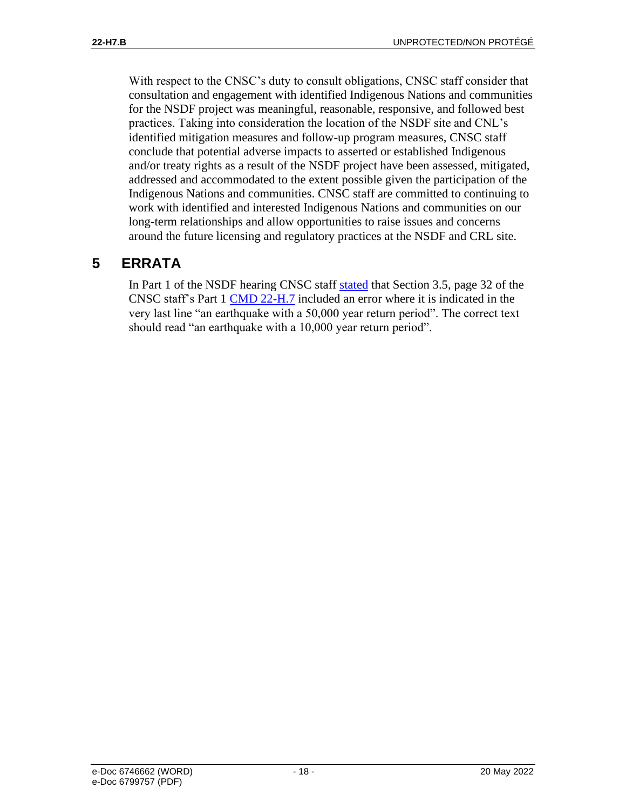With respect to the CNSC's duty to consult obligations, CNSC staff consider that consultation and engagement with identified Indigenous Nations and communities for the NSDF project was meaningful, reasonable, responsive, and followed best practices. Taking into consideration the location of the NSDF site and CNL's identified mitigation measures and follow-up program measures, CNSC staff conclude that potential adverse impacts to asserted or established Indigenous and/or treaty rights as a result of the NSDF project have been assessed, mitigated, addressed and accommodated to the extent possible given the participation of the Indigenous Nations and communities. CNSC staff are committed to continuing to work with identified and interested Indigenous Nations and communities on our long-term relationships and allow opportunities to raise issues and concerns around the future licensing and regulatory practices at the NSDF and CRL site.

# <span id="page-23-0"></span>**5 ERRATA**

In Part 1 of the NSDF hearing CNSC staff [stated](http://www.nuclearsafety.gc.ca/eng/the-commission/pdf/Transcript-Feb22-Hearing-e.pdf) that Section 3.5, page 32 of the CNSC staff's Part 1 CMD [22-H.7](https://www.nuclearsafety.gc.ca/eng/the-commission/hearings/cmd/pdf/CMD22/CMD22-H7.pdf) included an error where it is indicated in the very last line "an earthquake with a 50,000 year return period". The correct text should read "an earthquake with a 10,000 year return period".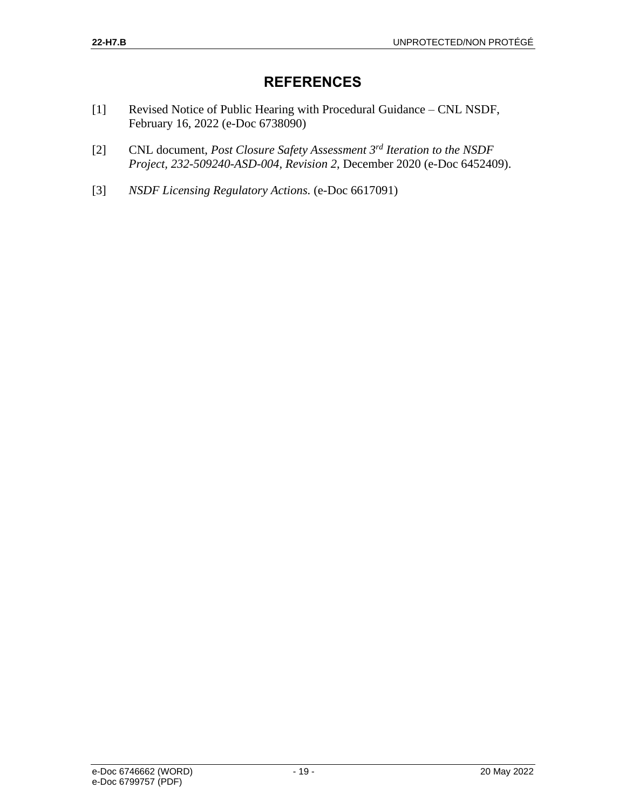# **REFERENCES**

- <span id="page-24-0"></span>[1] Revised Notice of Public Hearing with Procedural Guidance – CNL NSDF, February 16, 2022 (e-Doc 6738090)
- [2] CNL document, *Post Closure Safety Assessment 3rd Iteration to the NSDF Project, 232-509240-ASD-004, Revision 2*, December 2020 (e-Doc 6452409).
- [3] *NSDF Licensing Regulatory Actions.* (e-Doc 6617091)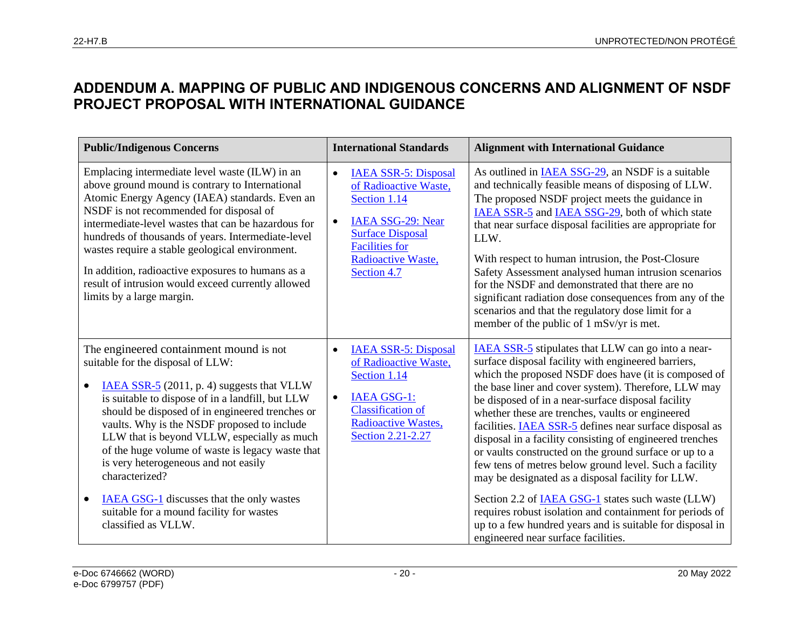# **ADDENDUM A. MAPPING OF PUBLIC AND INDIGENOUS CONCERNS AND ALIGNMENT OF NSDF PROJECT PROPOSAL WITH INTERNATIONAL GUIDANCE**

<span id="page-25-0"></span>

| <b>Public/Indigenous Concerns</b>                                                                                                                                                                                                                                                                                                                                                                                                                                                                                                                                                              | <b>International Standards</b>                                                                                                                                                                               | <b>Alignment with International Guidance</b>                                                                                                                                                                                                                                                                                                                                                                                                                                                                                                                                                                                                                                                                                                                                                                                                                                  |
|------------------------------------------------------------------------------------------------------------------------------------------------------------------------------------------------------------------------------------------------------------------------------------------------------------------------------------------------------------------------------------------------------------------------------------------------------------------------------------------------------------------------------------------------------------------------------------------------|--------------------------------------------------------------------------------------------------------------------------------------------------------------------------------------------------------------|-------------------------------------------------------------------------------------------------------------------------------------------------------------------------------------------------------------------------------------------------------------------------------------------------------------------------------------------------------------------------------------------------------------------------------------------------------------------------------------------------------------------------------------------------------------------------------------------------------------------------------------------------------------------------------------------------------------------------------------------------------------------------------------------------------------------------------------------------------------------------------|
| Emplacing intermediate level waste (ILW) in an<br>above ground mound is contrary to International<br>Atomic Energy Agency (IAEA) standards. Even an<br>NSDF is not recommended for disposal of<br>intermediate-level wastes that can be hazardous for<br>hundreds of thousands of years. Intermediate-level<br>wastes require a stable geological environment.<br>In addition, radioactive exposures to humans as a<br>result of intrusion would exceed currently allowed<br>limits by a large margin.                                                                                         | <b>IAEA SSR-5: Disposal</b><br>$\bullet$<br>of Radioactive Waste,<br>Section 1.14<br>IAEA SSG-29: Near<br>$\bullet$<br><b>Surface Disposal</b><br><b>Facilities for</b><br>Radioactive Waste,<br>Section 4.7 | As outlined in <b>IAEA SSG-29</b> , an NSDF is a suitable<br>and technically feasible means of disposing of LLW.<br>The proposed NSDF project meets the guidance in<br>IAEA SSR-5 and IAEA SSG-29, both of which state<br>that near surface disposal facilities are appropriate for<br>LLW.<br>With respect to human intrusion, the Post-Closure<br>Safety Assessment analysed human intrusion scenarios<br>for the NSDF and demonstrated that there are no<br>significant radiation dose consequences from any of the<br>scenarios and that the regulatory dose limit for a<br>member of the public of 1 mSv/yr is met.                                                                                                                                                                                                                                                      |
| The engineered containment mound is not<br>suitable for the disposal of LLW:<br>IAEA SSR-5 (2011, p. 4) suggests that VLLW<br>$\bullet$<br>is suitable to dispose of in a landfill, but LLW<br>should be disposed of in engineered trenches or<br>vaults. Why is the NSDF proposed to include<br>LLW that is beyond VLLW, especially as much<br>of the huge volume of waste is legacy waste that<br>is very heterogeneous and not easily<br>characterized?<br><b>IAEA GSG-1</b> discusses that the only wastes<br>$\bullet$<br>suitable for a mound facility for wastes<br>classified as VLLW. | <b>IAEA SSR-5: Disposal</b><br>$\bullet$<br>of Radioactive Waste,<br>Section 1.14<br><b>IAEA GSG-1:</b><br>$\bullet$<br><b>Classification of</b><br><b>Radioactive Wastes,</b><br>Section 2.21-2.27          | <b>IAEA SSR-5</b> stipulates that LLW can go into a near-<br>surface disposal facility with engineered barriers,<br>which the proposed NSDF does have (it is composed of<br>the base liner and cover system). Therefore, LLW may<br>be disposed of in a near-surface disposal facility<br>whether these are trenches, vaults or engineered<br>facilities. <b>IAEA SSR-5</b> defines near surface disposal as<br>disposal in a facility consisting of engineered trenches<br>or vaults constructed on the ground surface or up to a<br>few tens of metres below ground level. Such a facility<br>may be designated as a disposal facility for LLW.<br>Section 2.2 of <b>IAEA GSG-1</b> states such waste (LLW)<br>requires robust isolation and containment for periods of<br>up to a few hundred years and is suitable for disposal in<br>engineered near surface facilities. |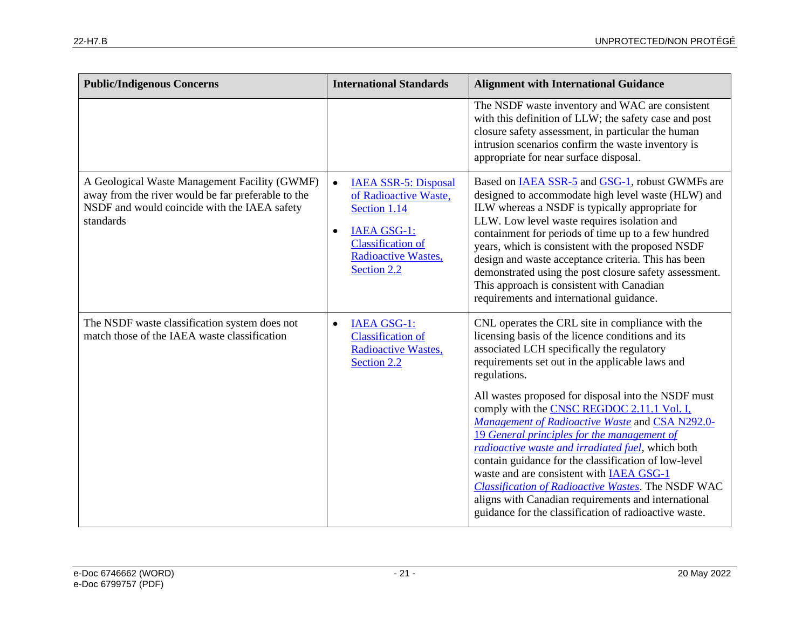| <b>Public/Indigenous Concerns</b>                                                                                                                                | <b>International Standards</b>                                                                                                                                                         | <b>Alignment with International Guidance</b>                                                                                                                                                                                                                                                                                                                                                                                                                                                                                                                                                                                                                                                                                                                               |
|------------------------------------------------------------------------------------------------------------------------------------------------------------------|----------------------------------------------------------------------------------------------------------------------------------------------------------------------------------------|----------------------------------------------------------------------------------------------------------------------------------------------------------------------------------------------------------------------------------------------------------------------------------------------------------------------------------------------------------------------------------------------------------------------------------------------------------------------------------------------------------------------------------------------------------------------------------------------------------------------------------------------------------------------------------------------------------------------------------------------------------------------------|
|                                                                                                                                                                  |                                                                                                                                                                                        | The NSDF waste inventory and WAC are consistent<br>with this definition of LLW; the safety case and post<br>closure safety assessment, in particular the human<br>intrusion scenarios confirm the waste inventory is<br>appropriate for near surface disposal.                                                                                                                                                                                                                                                                                                                                                                                                                                                                                                             |
| A Geological Waste Management Facility (GWMF)<br>away from the river would be far preferable to the<br>NSDF and would coincide with the IAEA safety<br>standards | <b>IAEA SSR-5: Disposal</b><br>$\bullet$<br>of Radioactive Waste,<br>Section 1.14<br><b>IAEA GSG-1:</b><br>$\bullet$<br><b>Classification of</b><br>Radioactive Wastes,<br>Section 2.2 | Based on <b>IAEA SSR-5</b> and <b>GSG-1</b> , robust GWMFs are<br>designed to accommodate high level waste (HLW) and<br>ILW whereas a NSDF is typically appropriate for<br>LLW. Low level waste requires isolation and<br>containment for periods of time up to a few hundred<br>years, which is consistent with the proposed NSDF<br>design and waste acceptance criteria. This has been<br>demonstrated using the post closure safety assessment.<br>This approach is consistent with Canadian<br>requirements and international guidance.                                                                                                                                                                                                                               |
| The NSDF waste classification system does not<br>match those of the IAEA waste classification                                                                    | <b>IAEA GSG-1:</b><br>$\bullet$<br><b>Classification of</b><br>Radioactive Wastes,<br>Section 2.2                                                                                      | CNL operates the CRL site in compliance with the<br>licensing basis of the licence conditions and its<br>associated LCH specifically the regulatory<br>requirements set out in the applicable laws and<br>regulations.<br>All wastes proposed for disposal into the NSDF must<br>comply with the <b>CNSC REGDOC</b> 2.11.1 Vol. I,<br>Management of Radioactive Waste and CSA N292.0-<br>19 General principles for the management of<br>radioactive waste and irradiated fuel, which both<br>contain guidance for the classification of low-level<br>waste and are consistent with IAEA GSG-1<br><b>Classification of Radioactive Wastes. The NSDF WAC</b><br>aligns with Canadian requirements and international<br>guidance for the classification of radioactive waste. |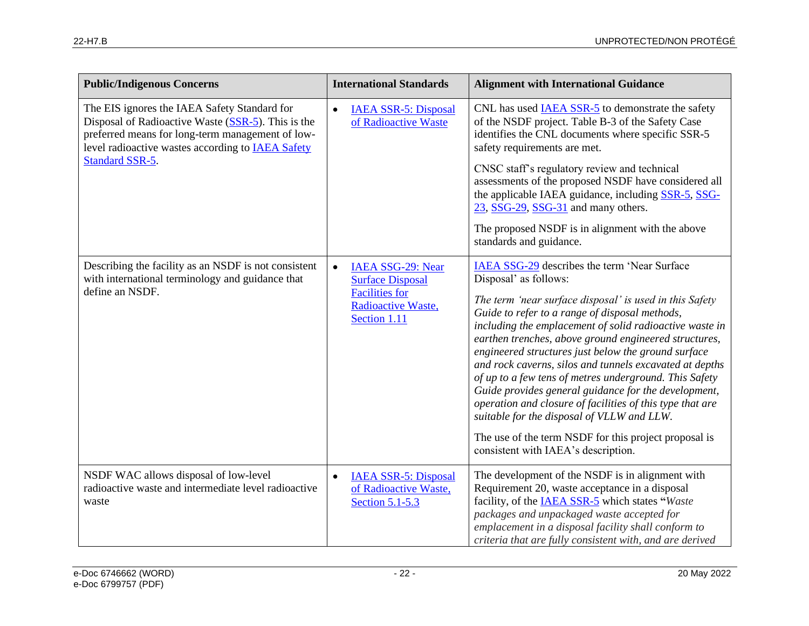| <b>Public/Indigenous Concerns</b>                                                                                                                                                                                  | <b>International Standards</b>                                                                                                  | <b>Alignment with International Guidance</b>                                                                                                                                                                                                                                                                                                                                                                                                                                                                                                                                                                                                                                                                                                          |
|--------------------------------------------------------------------------------------------------------------------------------------------------------------------------------------------------------------------|---------------------------------------------------------------------------------------------------------------------------------|-------------------------------------------------------------------------------------------------------------------------------------------------------------------------------------------------------------------------------------------------------------------------------------------------------------------------------------------------------------------------------------------------------------------------------------------------------------------------------------------------------------------------------------------------------------------------------------------------------------------------------------------------------------------------------------------------------------------------------------------------------|
| The EIS ignores the IAEA Safety Standard for<br>Disposal of Radioactive Waste (SSR-5). This is the<br>preferred means for long-term management of low-<br>level radioactive wastes according to <b>IAEA Safety</b> | <b>IAEA SSR-5: Disposal</b><br>$\bullet$<br>of Radioactive Waste                                                                | CNL has used <b>IAEA SSR-5</b> to demonstrate the safety<br>of the NSDF project. Table B-3 of the Safety Case<br>identifies the CNL documents where specific SSR-5<br>safety requirements are met.                                                                                                                                                                                                                                                                                                                                                                                                                                                                                                                                                    |
| Standard SSR-5.                                                                                                                                                                                                    |                                                                                                                                 | CNSC staff's regulatory review and technical<br>assessments of the proposed NSDF have considered all<br>the applicable IAEA guidance, including SSR-5, SSG-<br>23, SSG-29, SSG-31 and many others.                                                                                                                                                                                                                                                                                                                                                                                                                                                                                                                                                    |
|                                                                                                                                                                                                                    |                                                                                                                                 | The proposed NSDF is in alignment with the above<br>standards and guidance.                                                                                                                                                                                                                                                                                                                                                                                                                                                                                                                                                                                                                                                                           |
| Describing the facility as an NSDF is not consistent<br>with international terminology and guidance that<br>define an NSDF.                                                                                        | <b>IAEA SSG-29: Near</b><br>$\bullet$<br><b>Surface Disposal</b><br><b>Facilities for</b><br>Radioactive Waste,<br>Section 1.11 | IAEA SSG-29 describes the term 'Near Surface<br>Disposal' as follows:<br>The term 'near surface disposal' is used in this Safety<br>Guide to refer to a range of disposal methods,<br>including the emplacement of solid radioactive waste in<br>earthen trenches, above ground engineered structures,<br>engineered structures just below the ground surface<br>and rock caverns, silos and tunnels excavated at depths<br>of up to a few tens of metres underground. This Safety<br>Guide provides general guidance for the development,<br>operation and closure of facilities of this type that are<br>suitable for the disposal of VLLW and LLW.<br>The use of the term NSDF for this project proposal is<br>consistent with IAEA's description. |
| NSDF WAC allows disposal of low-level<br>radioactive waste and intermediate level radioactive<br>waste                                                                                                             | <b>IAEA SSR-5: Disposal</b><br>$\bullet$<br>of Radioactive Waste,<br><b>Section 5.1-5.3</b>                                     | The development of the NSDF is in alignment with<br>Requirement 20, waste acceptance in a disposal<br>facility, of the <b>IAEA SSR-5</b> which states "Waste<br>packages and unpackaged waste accepted for<br>emplacement in a disposal facility shall conform to<br>criteria that are fully consistent with, and are derived                                                                                                                                                                                                                                                                                                                                                                                                                         |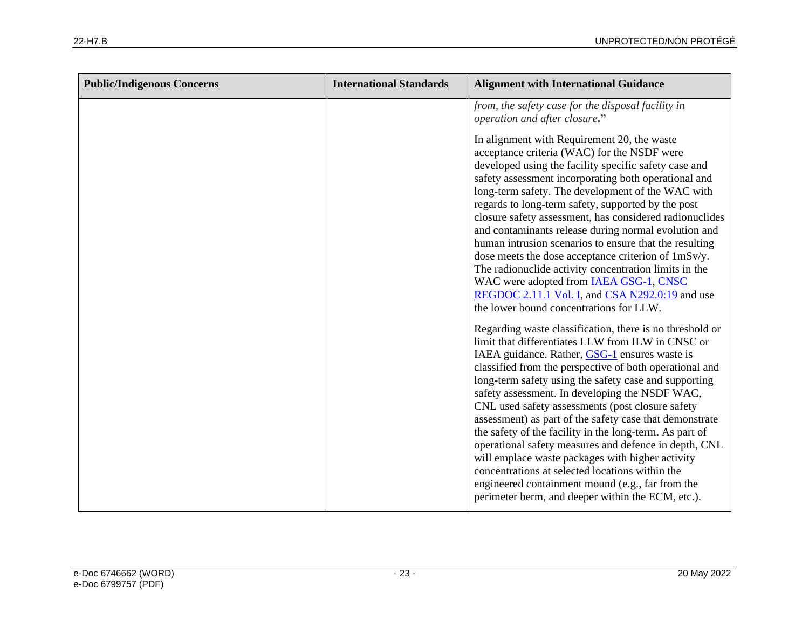| <b>Public/Indigenous Concerns</b> | <b>International Standards</b> | <b>Alignment with International Guidance</b>                                                                                                                                                                                                                                                                                                                                                                                                                                                                                                                                                                                                                                                                                                                                            |
|-----------------------------------|--------------------------------|-----------------------------------------------------------------------------------------------------------------------------------------------------------------------------------------------------------------------------------------------------------------------------------------------------------------------------------------------------------------------------------------------------------------------------------------------------------------------------------------------------------------------------------------------------------------------------------------------------------------------------------------------------------------------------------------------------------------------------------------------------------------------------------------|
|                                   |                                | from, the safety case for the disposal facility in<br>operation and after closure."                                                                                                                                                                                                                                                                                                                                                                                                                                                                                                                                                                                                                                                                                                     |
|                                   |                                | In alignment with Requirement 20, the waste<br>acceptance criteria (WAC) for the NSDF were<br>developed using the facility specific safety case and<br>safety assessment incorporating both operational and<br>long-term safety. The development of the WAC with<br>regards to long-term safety, supported by the post<br>closure safety assessment, has considered radionuclides<br>and contaminants release during normal evolution and<br>human intrusion scenarios to ensure that the resulting<br>dose meets the dose acceptance criterion of 1mSv/y.<br>The radionuclide activity concentration limits in the<br>WAC were adopted from <b>IAEA GSG-1</b> , CNSC<br>REGDOC 2.11.1 Vol. I, and CSA N292.0:19 and use<br>the lower bound concentrations for LLW.                     |
|                                   |                                | Regarding waste classification, there is no threshold or<br>limit that differentiates LLW from ILW in CNSC or<br>IAEA guidance. Rather, GSG-1 ensures waste is<br>classified from the perspective of both operational and<br>long-term safety using the safety case and supporting<br>safety assessment. In developing the NSDF WAC,<br>CNL used safety assessments (post closure safety<br>assessment) as part of the safety case that demonstrate<br>the safety of the facility in the long-term. As part of<br>operational safety measures and defence in depth, CNL<br>will emplace waste packages with higher activity<br>concentrations at selected locations within the<br>engineered containment mound (e.g., far from the<br>perimeter berm, and deeper within the ECM, etc.). |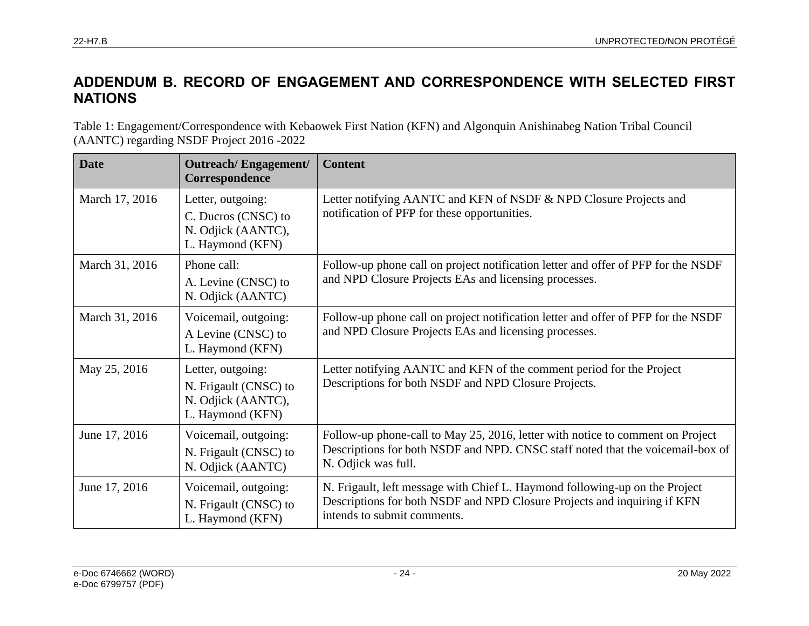# **ADDENDUM B. RECORD OF ENGAGEMENT AND CORRESPONDENCE WITH SELECTED FIRST NATIONS**

Table 1: Engagement/Correspondence with Kebaowek First Nation (KFN) and Algonquin Anishinabeg Nation Tribal Council (AANTC) regarding NSDF Project 2016 -2022

<span id="page-29-0"></span>

| <b>Date</b>    | <b>Outreach/Engagement/</b><br>Correspondence                                        | <b>Content</b>                                                                                                                                                                          |
|----------------|--------------------------------------------------------------------------------------|-----------------------------------------------------------------------------------------------------------------------------------------------------------------------------------------|
| March 17, 2016 | Letter, outgoing:<br>C. Ducros (CNSC) to<br>N. Odjick (AANTC),<br>L. Haymond (KFN)   | Letter notifying AANTC and KFN of NSDF & NPD Closure Projects and<br>notification of PFP for these opportunities.                                                                       |
| March 31, 2016 | Phone call:<br>A. Levine (CNSC) to<br>N. Odjick (AANTC)                              | Follow-up phone call on project notification letter and offer of PFP for the NSDF<br>and NPD Closure Projects EAs and licensing processes.                                              |
| March 31, 2016 | Voicemail, outgoing:<br>A Levine (CNSC) to<br>L. Haymond (KFN)                       | Follow-up phone call on project notification letter and offer of PFP for the NSDF<br>and NPD Closure Projects EAs and licensing processes.                                              |
| May 25, 2016   | Letter, outgoing:<br>N. Frigault (CNSC) to<br>N. Odjick (AANTC),<br>L. Haymond (KFN) | Letter notifying AANTC and KFN of the comment period for the Project<br>Descriptions for both NSDF and NPD Closure Projects.                                                            |
| June 17, 2016  | Voicemail, outgoing:<br>N. Frigault (CNSC) to<br>N. Odjick (AANTC)                   | Follow-up phone-call to May 25, 2016, letter with notice to comment on Project<br>Descriptions for both NSDF and NPD. CNSC staff noted that the voicemail-box of<br>N. Odjick was full. |
| June 17, 2016  | Voicemail, outgoing:<br>N. Frigault (CNSC) to<br>L. Haymond (KFN)                    | N. Frigault, left message with Chief L. Haymond following-up on the Project<br>Descriptions for both NSDF and NPD Closure Projects and inquiring if KFN<br>intends to submit comments.  |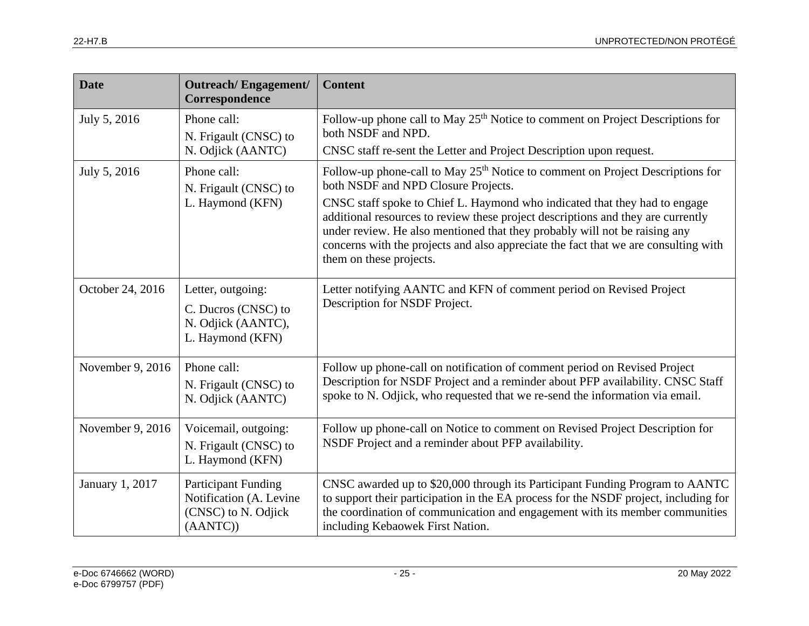| <b>Date</b>      | <b>Outreach/Engagement/</b><br>Correspondence                                            | <b>Content</b>                                                                                                                                                                                                                                                                                                                                                 |
|------------------|------------------------------------------------------------------------------------------|----------------------------------------------------------------------------------------------------------------------------------------------------------------------------------------------------------------------------------------------------------------------------------------------------------------------------------------------------------------|
| July 5, 2016     | Phone call:<br>N. Frigault (CNSC) to                                                     | Follow-up phone call to May 25 <sup>th</sup> Notice to comment on Project Descriptions for<br>both NSDF and NPD.                                                                                                                                                                                                                                               |
|                  | N. Odjick (AANTC)                                                                        | CNSC staff re-sent the Letter and Project Description upon request.                                                                                                                                                                                                                                                                                            |
| July 5, 2016     | Phone call:<br>N. Frigault (CNSC) to<br>L. Haymond (KFN)                                 | Follow-up phone-call to May 25 <sup>th</sup> Notice to comment on Project Descriptions for<br>both NSDF and NPD Closure Projects.                                                                                                                                                                                                                              |
|                  |                                                                                          | CNSC staff spoke to Chief L. Haymond who indicated that they had to engage<br>additional resources to review these project descriptions and they are currently<br>under review. He also mentioned that they probably will not be raising any<br>concerns with the projects and also appreciate the fact that we are consulting with<br>them on these projects. |
| October 24, 2016 | Letter, outgoing:                                                                        | Letter notifying AANTC and KFN of comment period on Revised Project                                                                                                                                                                                                                                                                                            |
|                  | C. Ducros (CNSC) to<br>N. Odjick (AANTC),<br>L. Haymond (KFN)                            | Description for NSDF Project.                                                                                                                                                                                                                                                                                                                                  |
| November 9, 2016 | Phone call:                                                                              | Follow up phone-call on notification of comment period on Revised Project                                                                                                                                                                                                                                                                                      |
|                  | N. Frigault (CNSC) to<br>N. Odjick (AANTC)                                               | Description for NSDF Project and a reminder about PFP availability. CNSC Staff<br>spoke to N. Odjick, who requested that we re-send the information via email.                                                                                                                                                                                                 |
| November 9, 2016 | Voicemail, outgoing:<br>N. Frigault (CNSC) to<br>L. Haymond (KFN)                        | Follow up phone-call on Notice to comment on Revised Project Description for<br>NSDF Project and a reminder about PFP availability.                                                                                                                                                                                                                            |
| January 1, 2017  | <b>Participant Funding</b><br>Notification (A. Levine<br>(CNSC) to N. Odjick<br>(AANTC)) | CNSC awarded up to \$20,000 through its Participant Funding Program to AANTC<br>to support their participation in the EA process for the NSDF project, including for<br>the coordination of communication and engagement with its member communities<br>including Kebaowek First Nation.                                                                       |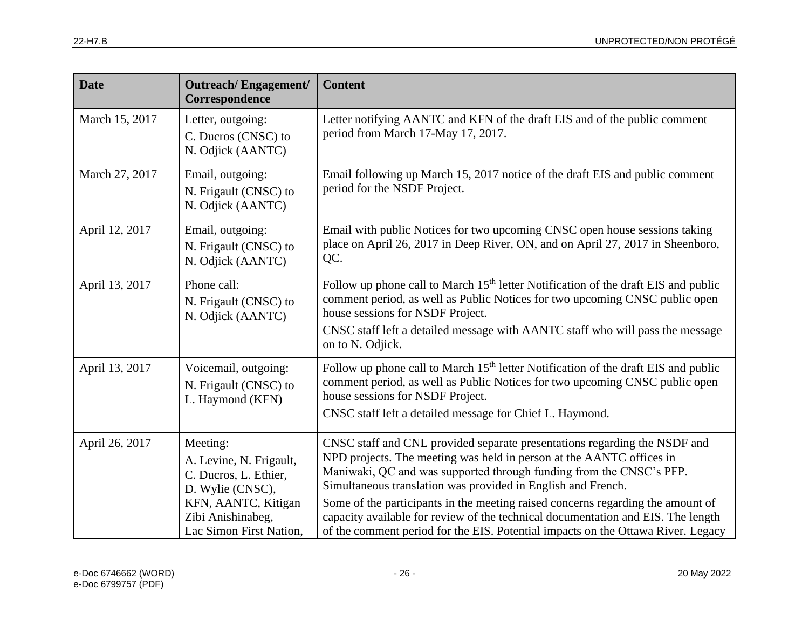| <b>Date</b>    | <b>Outreach/Engagement/</b><br>Correspondence                                                                                                           | <b>Content</b>                                                                                                                                                                                                                                                                                                                                                                                                                                                                                                                                      |
|----------------|---------------------------------------------------------------------------------------------------------------------------------------------------------|-----------------------------------------------------------------------------------------------------------------------------------------------------------------------------------------------------------------------------------------------------------------------------------------------------------------------------------------------------------------------------------------------------------------------------------------------------------------------------------------------------------------------------------------------------|
| March 15, 2017 | Letter, outgoing:<br>C. Ducros (CNSC) to<br>N. Odjick (AANTC)                                                                                           | Letter notifying AANTC and KFN of the draft EIS and of the public comment<br>period from March 17-May 17, 2017.                                                                                                                                                                                                                                                                                                                                                                                                                                     |
| March 27, 2017 | Email, outgoing:<br>N. Frigault (CNSC) to<br>N. Odjick (AANTC)                                                                                          | Email following up March 15, 2017 notice of the draft EIS and public comment<br>period for the NSDF Project.                                                                                                                                                                                                                                                                                                                                                                                                                                        |
| April 12, 2017 | Email, outgoing:<br>N. Frigault (CNSC) to<br>N. Odjick (AANTC)                                                                                          | Email with public Notices for two upcoming CNSC open house sessions taking<br>place on April 26, 2017 in Deep River, ON, and on April 27, 2017 in Sheenboro,<br>QC.                                                                                                                                                                                                                                                                                                                                                                                 |
| April 13, 2017 | Phone call:<br>N. Frigault (CNSC) to<br>N. Odjick (AANTC)                                                                                               | Follow up phone call to March 15 <sup>th</sup> letter Notification of the draft EIS and public<br>comment period, as well as Public Notices for two upcoming CNSC public open<br>house sessions for NSDF Project.<br>CNSC staff left a detailed message with AANTC staff who will pass the message<br>on to N. Odjick.                                                                                                                                                                                                                              |
| April 13, 2017 | Voicemail, outgoing:<br>N. Frigault (CNSC) to<br>L. Haymond (KFN)                                                                                       | Follow up phone call to March 15 <sup>th</sup> letter Notification of the draft EIS and public<br>comment period, as well as Public Notices for two upcoming CNSC public open<br>house sessions for NSDF Project.<br>CNSC staff left a detailed message for Chief L. Haymond.                                                                                                                                                                                                                                                                       |
| April 26, 2017 | Meeting:<br>A. Levine, N. Frigault,<br>C. Ducros, L. Ethier,<br>D. Wylie (CNSC),<br>KFN, AANTC, Kitigan<br>Zibi Anishinabeg,<br>Lac Simon First Nation, | CNSC staff and CNL provided separate presentations regarding the NSDF and<br>NPD projects. The meeting was held in person at the AANTC offices in<br>Maniwaki, QC and was supported through funding from the CNSC's PFP.<br>Simultaneous translation was provided in English and French.<br>Some of the participants in the meeting raised concerns regarding the amount of<br>capacity available for review of the technical documentation and EIS. The length<br>of the comment period for the EIS. Potential impacts on the Ottawa River. Legacy |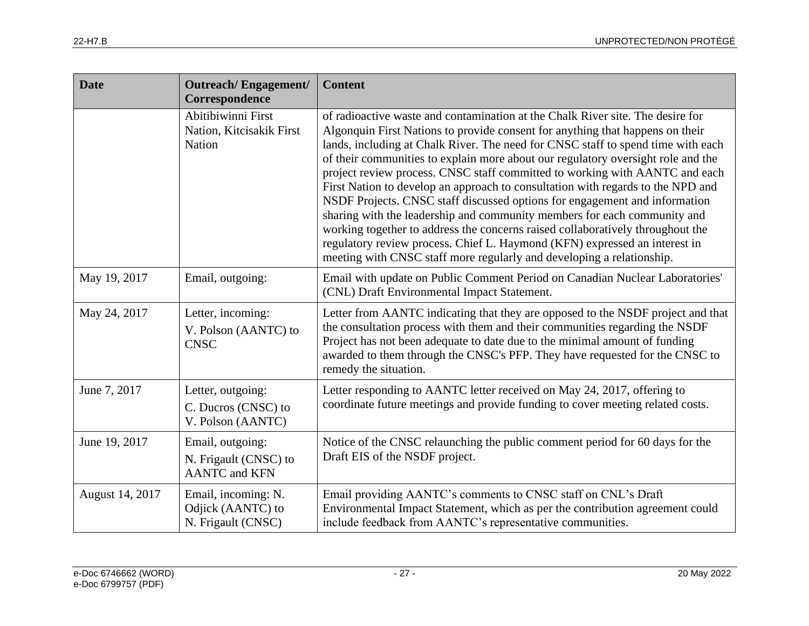| <b>Date</b>     | <b>Outreach/Engagement/</b><br>Correspondence                     | <b>Content</b>                                                                                                                                                                                                                                                                                                                                                                                                                                                                                                                                                                                                                                                                                                                                                                                                                                                                                               |
|-----------------|-------------------------------------------------------------------|--------------------------------------------------------------------------------------------------------------------------------------------------------------------------------------------------------------------------------------------------------------------------------------------------------------------------------------------------------------------------------------------------------------------------------------------------------------------------------------------------------------------------------------------------------------------------------------------------------------------------------------------------------------------------------------------------------------------------------------------------------------------------------------------------------------------------------------------------------------------------------------------------------------|
|                 | Abitibiwinni First<br>Nation, Kitcisakik First<br>Nation          | of radioactive waste and contamination at the Chalk River site. The desire for<br>Algonquin First Nations to provide consent for anything that happens on their<br>lands, including at Chalk River. The need for CNSC staff to spend time with each<br>of their communities to explain more about our regulatory oversight role and the<br>project review process. CNSC staff committed to working with AANTC and each<br>First Nation to develop an approach to consultation with regards to the NPD and<br>NSDF Projects. CNSC staff discussed options for engagement and information<br>sharing with the leadership and community members for each community and<br>working together to address the concerns raised collaboratively throughout the<br>regulatory review process. Chief L. Haymond (KFN) expressed an interest in<br>meeting with CNSC staff more regularly and developing a relationship. |
| May 19, 2017    | Email, outgoing:                                                  | Email with update on Public Comment Period on Canadian Nuclear Laboratories'<br>(CNL) Draft Environmental Impact Statement.                                                                                                                                                                                                                                                                                                                                                                                                                                                                                                                                                                                                                                                                                                                                                                                  |
| May 24, 2017    | Letter, incoming:<br>V. Polson (AANTC) to<br><b>CNSC</b>          | Letter from AANTC indicating that they are opposed to the NSDF project and that<br>the consultation process with them and their communities regarding the NSDF<br>Project has not been adequate to date due to the minimal amount of funding<br>awarded to them through the CNSC's PFP. They have requested for the CNSC to<br>remedy the situation.                                                                                                                                                                                                                                                                                                                                                                                                                                                                                                                                                         |
| June 7, 2017    | Letter, outgoing:<br>C. Ducros (CNSC) to<br>V. Polson (AANTC)     | Letter responding to AANTC letter received on May 24, 2017, offering to<br>coordinate future meetings and provide funding to cover meeting related costs.                                                                                                                                                                                                                                                                                                                                                                                                                                                                                                                                                                                                                                                                                                                                                    |
| June 19, 2017   | Email, outgoing:<br>N. Frigault (CNSC) to<br><b>AANTC</b> and KFN | Notice of the CNSC relaunching the public comment period for 60 days for the<br>Draft EIS of the NSDF project.                                                                                                                                                                                                                                                                                                                                                                                                                                                                                                                                                                                                                                                                                                                                                                                               |
| August 14, 2017 | Email, incoming: N.<br>Odjick (AANTC) to<br>N. Frigault (CNSC)    | Email providing AANTC's comments to CNSC staff on CNL's Draft<br>Environmental Impact Statement, which as per the contribution agreement could<br>include feedback from AANTC's representative communities.                                                                                                                                                                                                                                                                                                                                                                                                                                                                                                                                                                                                                                                                                                  |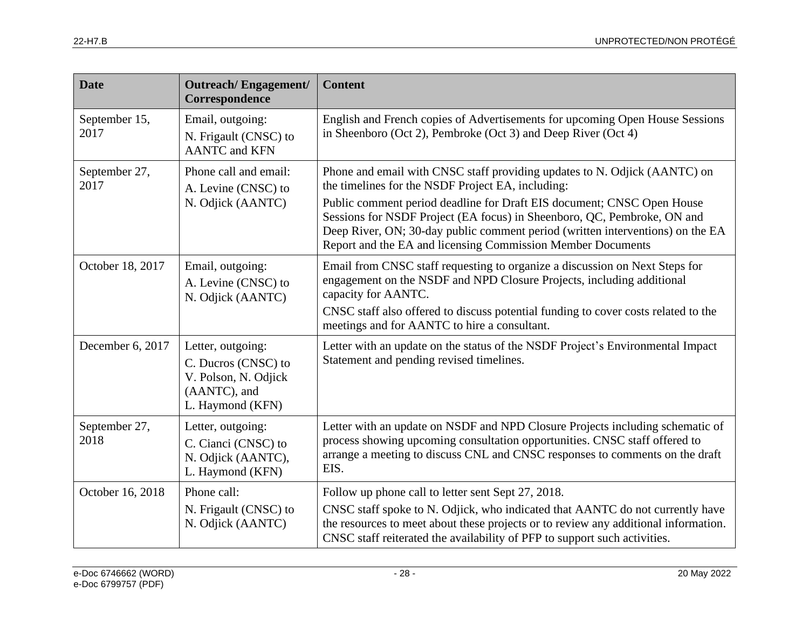| <b>Date</b>           | <b>Outreach/Engagement/</b><br>Correspondence                                                        | <b>Content</b>                                                                                                                                                                                                                                                                                                                                                                                                                       |
|-----------------------|------------------------------------------------------------------------------------------------------|--------------------------------------------------------------------------------------------------------------------------------------------------------------------------------------------------------------------------------------------------------------------------------------------------------------------------------------------------------------------------------------------------------------------------------------|
| September 15,<br>2017 | Email, outgoing:<br>N. Frigault (CNSC) to<br><b>AANTC</b> and KFN                                    | English and French copies of Advertisements for upcoming Open House Sessions<br>in Sheenboro (Oct 2), Pembroke (Oct 3) and Deep River (Oct 4)                                                                                                                                                                                                                                                                                        |
| September 27,<br>2017 | Phone call and email:<br>A. Levine (CNSC) to<br>N. Odjick (AANTC)                                    | Phone and email with CNSC staff providing updates to N. Odjick (AANTC) on<br>the timelines for the NSDF Project EA, including:<br>Public comment period deadline for Draft EIS document; CNSC Open House<br>Sessions for NSDF Project (EA focus) in Sheenboro, QC, Pembroke, ON and<br>Deep River, ON; 30-day public comment period (written interventions) on the EA<br>Report and the EA and licensing Commission Member Documents |
| October 18, 2017      | Email, outgoing:<br>A. Levine (CNSC) to<br>N. Odjick (AANTC)                                         | Email from CNSC staff requesting to organize a discussion on Next Steps for<br>engagement on the NSDF and NPD Closure Projects, including additional<br>capacity for AANTC.<br>CNSC staff also offered to discuss potential funding to cover costs related to the<br>meetings and for AANTC to hire a consultant.                                                                                                                    |
| December 6, 2017      | Letter, outgoing:<br>C. Ducros (CNSC) to<br>V. Polson, N. Odjick<br>(AANTC), and<br>L. Haymond (KFN) | Letter with an update on the status of the NSDF Project's Environmental Impact<br>Statement and pending revised timelines.                                                                                                                                                                                                                                                                                                           |
| September 27,<br>2018 | Letter, outgoing:<br>C. Cianci (CNSC) to<br>N. Odjick (AANTC),<br>L. Haymond (KFN)                   | Letter with an update on NSDF and NPD Closure Projects including schematic of<br>process showing upcoming consultation opportunities. CNSC staff offered to<br>arrange a meeting to discuss CNL and CNSC responses to comments on the draft<br>EIS.                                                                                                                                                                                  |
| October 16, 2018      | Phone call:<br>N. Frigault (CNSC) to<br>N. Odjick (AANTC)                                            | Follow up phone call to letter sent Sept 27, 2018.<br>CNSC staff spoke to N. Odjick, who indicated that AANTC do not currently have<br>the resources to meet about these projects or to review any additional information.<br>CNSC staff reiterated the availability of PFP to support such activities.                                                                                                                              |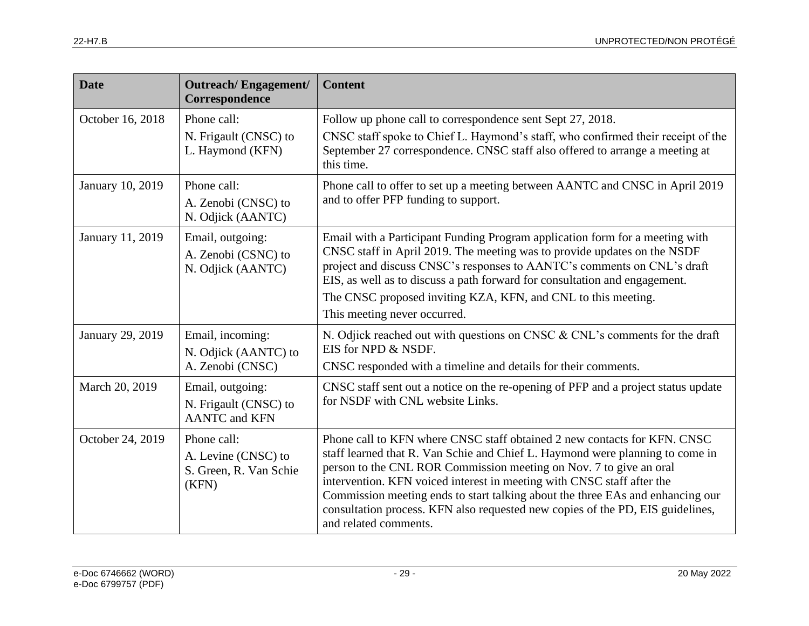| <b>Date</b>      | <b>Outreach/Engagement/</b><br>Correspondence                         | <b>Content</b>                                                                                                                                                                                                                                                                                                                                                                                                                                                                                         |
|------------------|-----------------------------------------------------------------------|--------------------------------------------------------------------------------------------------------------------------------------------------------------------------------------------------------------------------------------------------------------------------------------------------------------------------------------------------------------------------------------------------------------------------------------------------------------------------------------------------------|
| October 16, 2018 | Phone call:<br>N. Frigault (CNSC) to<br>L. Haymond (KFN)              | Follow up phone call to correspondence sent Sept 27, 2018.<br>CNSC staff spoke to Chief L. Haymond's staff, who confirmed their receipt of the<br>September 27 correspondence. CNSC staff also offered to arrange a meeting at<br>this time.                                                                                                                                                                                                                                                           |
| January 10, 2019 | Phone call:<br>A. Zenobi (CNSC) to<br>N. Odjick (AANTC)               | Phone call to offer to set up a meeting between AANTC and CNSC in April 2019<br>and to offer PFP funding to support.                                                                                                                                                                                                                                                                                                                                                                                   |
| January 11, 2019 | Email, outgoing:<br>A. Zenobi (CSNC) to<br>N. Odjick (AANTC)          | Email with a Participant Funding Program application form for a meeting with<br>CNSC staff in April 2019. The meeting was to provide updates on the NSDF<br>project and discuss CNSC's responses to AANTC's comments on CNL's draft<br>EIS, as well as to discuss a path forward for consultation and engagement.<br>The CNSC proposed inviting KZA, KFN, and CNL to this meeting.<br>This meeting never occurred.                                                                                     |
| January 29, 2019 | Email, incoming:<br>N. Odjick (AANTC) to<br>A. Zenobi (CNSC)          | N. Odjick reached out with questions on CNSC & CNL's comments for the draft<br>EIS for NPD & NSDF.<br>CNSC responded with a timeline and details for their comments.                                                                                                                                                                                                                                                                                                                                   |
| March 20, 2019   | Email, outgoing:<br>N. Frigault (CNSC) to<br><b>AANTC</b> and KFN     | CNSC staff sent out a notice on the re-opening of PFP and a project status update<br>for NSDF with CNL website Links.                                                                                                                                                                                                                                                                                                                                                                                  |
| October 24, 2019 | Phone call:<br>A. Levine (CNSC) to<br>S. Green, R. Van Schie<br>(KFN) | Phone call to KFN where CNSC staff obtained 2 new contacts for KFN. CNSC<br>staff learned that R. Van Schie and Chief L. Haymond were planning to come in<br>person to the CNL ROR Commission meeting on Nov. 7 to give an oral<br>intervention. KFN voiced interest in meeting with CNSC staff after the<br>Commission meeting ends to start talking about the three EAs and enhancing our<br>consultation process. KFN also requested new copies of the PD, EIS guidelines,<br>and related comments. |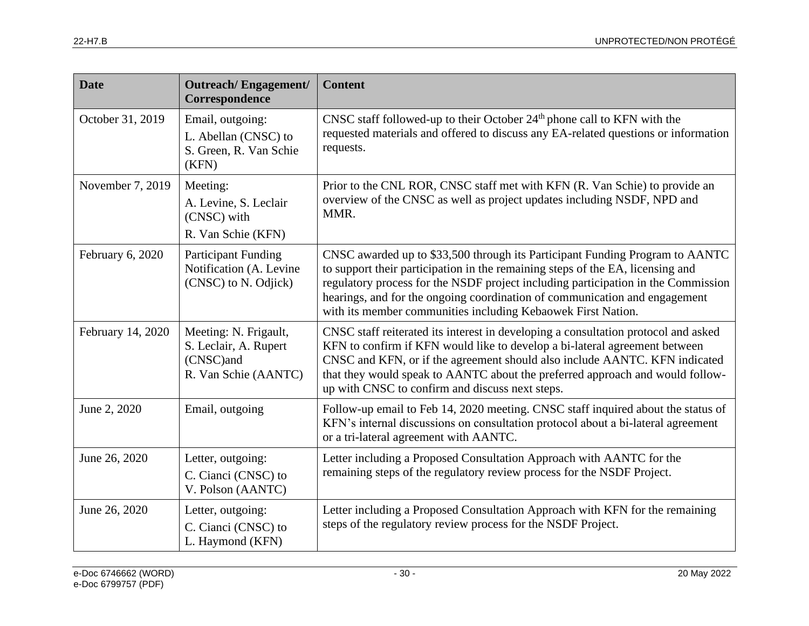| <b>Date</b>       | <b>Outreach/Engagement/</b><br>Correspondence                                       | <b>Content</b>                                                                                                                                                                                                                                                                                                                                                                                    |
|-------------------|-------------------------------------------------------------------------------------|---------------------------------------------------------------------------------------------------------------------------------------------------------------------------------------------------------------------------------------------------------------------------------------------------------------------------------------------------------------------------------------------------|
| October 31, 2019  | Email, outgoing:<br>L. Abellan (CNSC) to<br>S. Green, R. Van Schie<br>(KFN)         | CNSC staff followed-up to their October $24th$ phone call to KFN with the<br>requested materials and offered to discuss any EA-related questions or information<br>requests.                                                                                                                                                                                                                      |
| November 7, 2019  | Meeting:<br>A. Levine, S. Leclair<br>(CNSC) with<br>R. Van Schie (KFN)              | Prior to the CNL ROR, CNSC staff met with KFN (R. Van Schie) to provide an<br>overview of the CNSC as well as project updates including NSDF, NPD and<br>MMR.                                                                                                                                                                                                                                     |
| February 6, 2020  | <b>Participant Funding</b><br>Notification (A. Levine<br>(CNSC) to N. Odjick)       | CNSC awarded up to \$33,500 through its Participant Funding Program to AANTC<br>to support their participation in the remaining steps of the EA, licensing and<br>regulatory process for the NSDF project including participation in the Commission<br>hearings, and for the ongoing coordination of communication and engagement<br>with its member communities including Kebaowek First Nation. |
| February 14, 2020 | Meeting: N. Frigault,<br>S. Leclair, A. Rupert<br>(CNSC)and<br>R. Van Schie (AANTC) | CNSC staff reiterated its interest in developing a consultation protocol and asked<br>KFN to confirm if KFN would like to develop a bi-lateral agreement between<br>CNSC and KFN, or if the agreement should also include AANTC. KFN indicated<br>that they would speak to AANTC about the preferred approach and would follow-<br>up with CNSC to confirm and discuss next steps.                |
| June 2, 2020      | Email, outgoing                                                                     | Follow-up email to Feb 14, 2020 meeting. CNSC staff inquired about the status of<br>KFN's internal discussions on consultation protocol about a bi-lateral agreement<br>or a tri-lateral agreement with AANTC.                                                                                                                                                                                    |
| June 26, 2020     | Letter, outgoing:<br>C. Cianci (CNSC) to<br>V. Polson (AANTC)                       | Letter including a Proposed Consultation Approach with AANTC for the<br>remaining steps of the regulatory review process for the NSDF Project.                                                                                                                                                                                                                                                    |
| June 26, 2020     | Letter, outgoing:<br>C. Cianci (CNSC) to<br>L. Haymond (KFN)                        | Letter including a Proposed Consultation Approach with KFN for the remaining<br>steps of the regulatory review process for the NSDF Project.                                                                                                                                                                                                                                                      |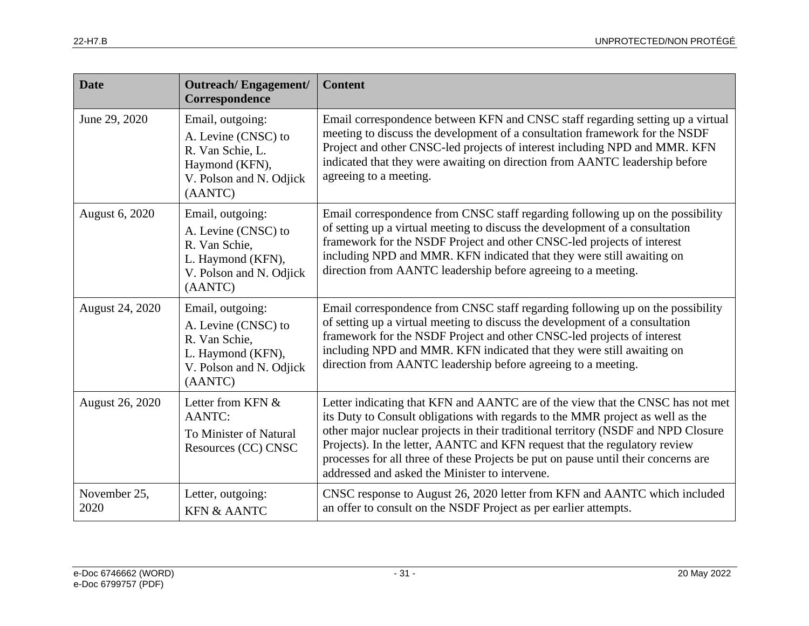| <b>Date</b>          | <b>Outreach/Engagement/</b><br>Correspondence                                                                       | <b>Content</b>                                                                                                                                                                                                                                                                                                                                                                                                                                                              |
|----------------------|---------------------------------------------------------------------------------------------------------------------|-----------------------------------------------------------------------------------------------------------------------------------------------------------------------------------------------------------------------------------------------------------------------------------------------------------------------------------------------------------------------------------------------------------------------------------------------------------------------------|
| June 29, 2020        | Email, outgoing:<br>A. Levine (CNSC) to<br>R. Van Schie, L.<br>Haymond (KFN),<br>V. Polson and N. Odjick<br>(AANTC) | Email correspondence between KFN and CNSC staff regarding setting up a virtual<br>meeting to discuss the development of a consultation framework for the NSDF<br>Project and other CNSC-led projects of interest including NPD and MMR. KFN<br>indicated that they were awaiting on direction from AANTC leadership before<br>agreeing to a meeting.                                                                                                                        |
| August 6, 2020       | Email, outgoing:<br>A. Levine (CNSC) to<br>R. Van Schie,<br>L. Haymond (KFN),<br>V. Polson and N. Odjick<br>(AANTC) | Email correspondence from CNSC staff regarding following up on the possibility<br>of setting up a virtual meeting to discuss the development of a consultation<br>framework for the NSDF Project and other CNSC-led projects of interest<br>including NPD and MMR. KFN indicated that they were still awaiting on<br>direction from AANTC leadership before agreeing to a meeting.                                                                                          |
| August 24, 2020      | Email, outgoing:<br>A. Levine (CNSC) to<br>R. Van Schie,<br>L. Haymond (KFN),<br>V. Polson and N. Odjick<br>(AANTC) | Email correspondence from CNSC staff regarding following up on the possibility<br>of setting up a virtual meeting to discuss the development of a consultation<br>framework for the NSDF Project and other CNSC-led projects of interest<br>including NPD and MMR. KFN indicated that they were still awaiting on<br>direction from AANTC leadership before agreeing to a meeting.                                                                                          |
| August 26, 2020      | Letter from KFN &<br><b>AANTC:</b><br>To Minister of Natural<br>Resources (CC) CNSC                                 | Letter indicating that KFN and AANTC are of the view that the CNSC has not met<br>its Duty to Consult obligations with regards to the MMR project as well as the<br>other major nuclear projects in their traditional territory (NSDF and NPD Closure<br>Projects). In the letter, AANTC and KFN request that the regulatory review<br>processes for all three of these Projects be put on pause until their concerns are<br>addressed and asked the Minister to intervene. |
| November 25,<br>2020 | Letter, outgoing:<br><b>KFN &amp; AANTC</b>                                                                         | CNSC response to August 26, 2020 letter from KFN and AANTC which included<br>an offer to consult on the NSDF Project as per earlier attempts.                                                                                                                                                                                                                                                                                                                               |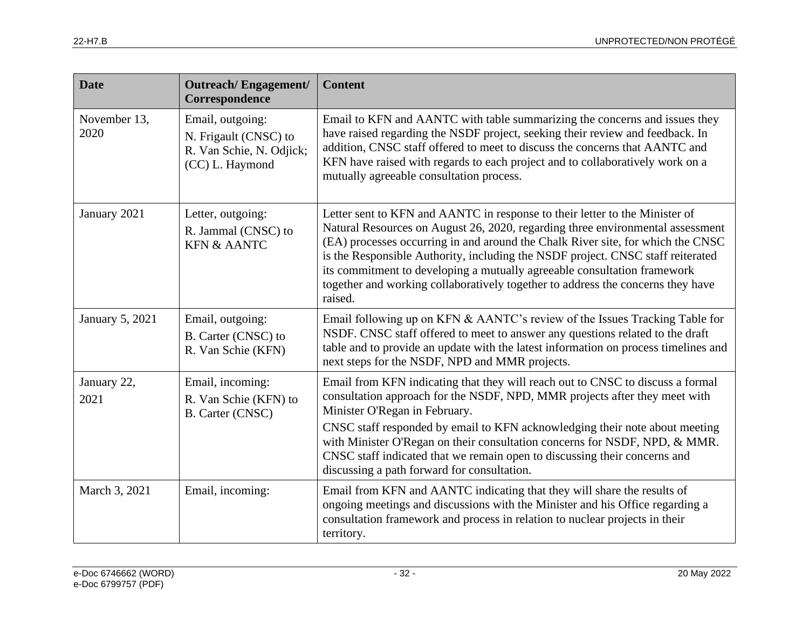| <b>Date</b>          | <b>Outreach/Engagement/</b><br>Correspondence                                            | <b>Content</b>                                                                                                                                                                                                                                                                                                                                                                                                                                                                                                |
|----------------------|------------------------------------------------------------------------------------------|---------------------------------------------------------------------------------------------------------------------------------------------------------------------------------------------------------------------------------------------------------------------------------------------------------------------------------------------------------------------------------------------------------------------------------------------------------------------------------------------------------------|
| November 13,<br>2020 | Email, outgoing:<br>N. Frigault (CNSC) to<br>R. Van Schie, N. Odjick;<br>(CC) L. Haymond | Email to KFN and AANTC with table summarizing the concerns and issues they<br>have raised regarding the NSDF project, seeking their review and feedback. In<br>addition, CNSC staff offered to meet to discuss the concerns that AANTC and<br>KFN have raised with regards to each project and to collaboratively work on a<br>mutually agreeable consultation process.                                                                                                                                       |
| January 2021         | Letter, outgoing:<br>R. Jammal (CNSC) to<br><b>KFN &amp; AANTC</b>                       | Letter sent to KFN and AANTC in response to their letter to the Minister of<br>Natural Resources on August 26, 2020, regarding three environmental assessment<br>(EA) processes occurring in and around the Chalk River site, for which the CNSC<br>is the Responsible Authority, including the NSDF project. CNSC staff reiterated<br>its commitment to developing a mutually agreeable consultation framework<br>together and working collaboratively together to address the concerns they have<br>raised. |
| January 5, 2021      | Email, outgoing:<br>B. Carter (CNSC) to<br>R. Van Schie (KFN)                            | Email following up on KFN & AANTC's review of the Issues Tracking Table for<br>NSDF. CNSC staff offered to meet to answer any questions related to the draft<br>table and to provide an update with the latest information on process timelines and<br>next steps for the NSDF, NPD and MMR projects.                                                                                                                                                                                                         |
| January 22,<br>2021  | Email, incoming:<br>R. Van Schie (KFN) to<br>B. Carter (CNSC)                            | Email from KFN indicating that they will reach out to CNSC to discuss a formal<br>consultation approach for the NSDF, NPD, MMR projects after they meet with<br>Minister O'Regan in February.                                                                                                                                                                                                                                                                                                                 |
|                      |                                                                                          | CNSC staff responded by email to KFN acknowledging their note about meeting<br>with Minister O'Regan on their consultation concerns for NSDF, NPD, & MMR.<br>CNSC staff indicated that we remain open to discussing their concerns and<br>discussing a path forward for consultation.                                                                                                                                                                                                                         |
| March 3, 2021        | Email, incoming:                                                                         | Email from KFN and AANTC indicating that they will share the results of<br>ongoing meetings and discussions with the Minister and his Office regarding a<br>consultation framework and process in relation to nuclear projects in their<br>territory.                                                                                                                                                                                                                                                         |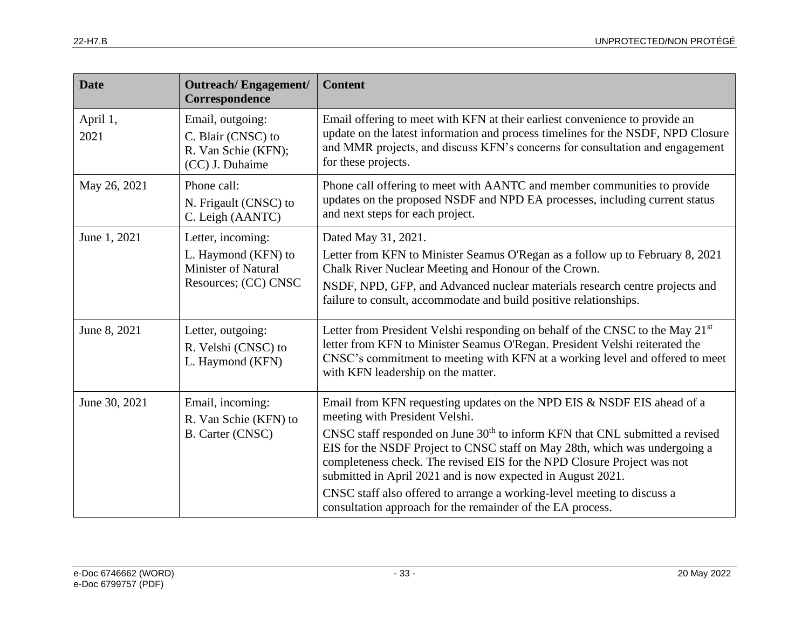| <b>Date</b>      | <b>Outreach/Engagement/</b><br>Correspondence                                                  | <b>Content</b>                                                                                                                                                                                                                                                                                                                                                                                                                                                                                                                                                        |
|------------------|------------------------------------------------------------------------------------------------|-----------------------------------------------------------------------------------------------------------------------------------------------------------------------------------------------------------------------------------------------------------------------------------------------------------------------------------------------------------------------------------------------------------------------------------------------------------------------------------------------------------------------------------------------------------------------|
| April 1,<br>2021 | Email, outgoing:<br>C. Blair (CNSC) to<br>R. Van Schie (KFN);<br>(CC) J. Duhaime               | Email offering to meet with KFN at their earliest convenience to provide an<br>update on the latest information and process timelines for the NSDF, NPD Closure<br>and MMR projects, and discuss KFN's concerns for consultation and engagement<br>for these projects.                                                                                                                                                                                                                                                                                                |
| May 26, 2021     | Phone call:<br>N. Frigault (CNSC) to<br>C. Leigh (AANTC)                                       | Phone call offering to meet with AANTC and member communities to provide<br>updates on the proposed NSDF and NPD EA processes, including current status<br>and next steps for each project.                                                                                                                                                                                                                                                                                                                                                                           |
| June 1, 2021     | Letter, incoming:<br>L. Haymond (KFN) to<br><b>Minister of Natural</b><br>Resources; (CC) CNSC | Dated May 31, 2021.<br>Letter from KFN to Minister Seamus O'Regan as a follow up to February 8, 2021<br>Chalk River Nuclear Meeting and Honour of the Crown.<br>NSDF, NPD, GFP, and Advanced nuclear materials research centre projects and<br>failure to consult, accommodate and build positive relationships.                                                                                                                                                                                                                                                      |
| June 8, 2021     | Letter, outgoing:<br>R. Velshi (CNSC) to<br>L. Haymond (KFN)                                   | Letter from President Velshi responding on behalf of the CNSC to the May 21st<br>letter from KFN to Minister Seamus O'Regan. President Velshi reiterated the<br>CNSC's commitment to meeting with KFN at a working level and offered to meet<br>with KFN leadership on the matter.                                                                                                                                                                                                                                                                                    |
| June 30, 2021    | Email, incoming:<br>R. Van Schie (KFN) to<br><b>B.</b> Carter (CNSC)                           | Email from KFN requesting updates on the NPD EIS & NSDF EIS ahead of a<br>meeting with President Velshi.<br>CNSC staff responded on June 30 <sup>th</sup> to inform KFN that CNL submitted a revised<br>EIS for the NSDF Project to CNSC staff on May 28th, which was undergoing a<br>completeness check. The revised EIS for the NPD Closure Project was not<br>submitted in April 2021 and is now expected in August 2021.<br>CNSC staff also offered to arrange a working-level meeting to discuss a<br>consultation approach for the remainder of the EA process. |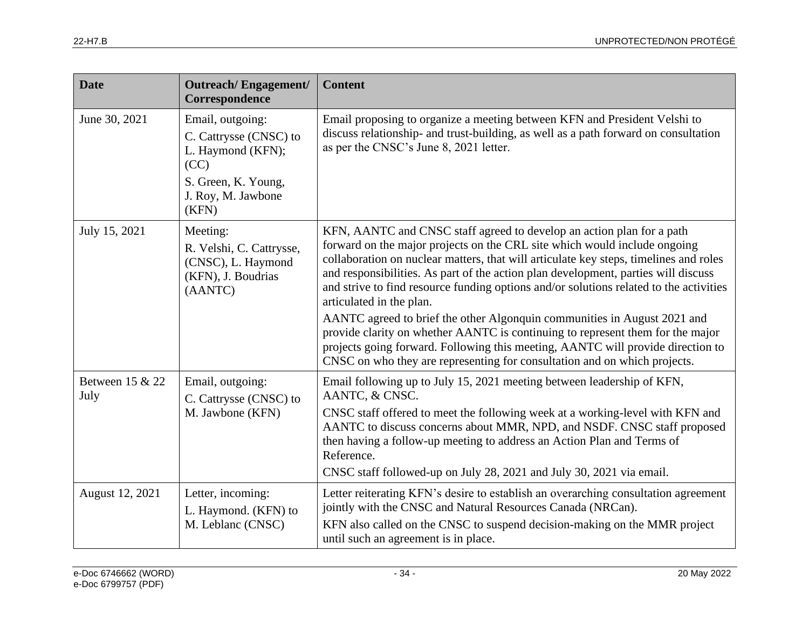| <b>Date</b>             | <b>Outreach/Engagement/</b><br>Correspondence                                                                                 | <b>Content</b>                                                                                                                                                                                                                                                                                                                                                                                                                                                                                                                                                                                                                                                                                                                                                                        |
|-------------------------|-------------------------------------------------------------------------------------------------------------------------------|---------------------------------------------------------------------------------------------------------------------------------------------------------------------------------------------------------------------------------------------------------------------------------------------------------------------------------------------------------------------------------------------------------------------------------------------------------------------------------------------------------------------------------------------------------------------------------------------------------------------------------------------------------------------------------------------------------------------------------------------------------------------------------------|
| June 30, 2021           | Email, outgoing:<br>C. Cattrysse (CNSC) to<br>L. Haymond (KFN);<br>(CC)<br>S. Green, K. Young,<br>J. Roy, M. Jawbone<br>(KFN) | Email proposing to organize a meeting between KFN and President Velshi to<br>discuss relationship- and trust-building, as well as a path forward on consultation<br>as per the CNSC's June 8, 2021 letter.                                                                                                                                                                                                                                                                                                                                                                                                                                                                                                                                                                            |
| July 15, 2021           | Meeting:<br>R. Velshi, C. Cattrysse,<br>(CNSC), L. Haymond<br>(KFN), J. Boudrias<br>(AANTC)                                   | KFN, AANTC and CNSC staff agreed to develop an action plan for a path<br>forward on the major projects on the CRL site which would include ongoing<br>collaboration on nuclear matters, that will articulate key steps, timelines and roles<br>and responsibilities. As part of the action plan development, parties will discuss<br>and strive to find resource funding options and/or solutions related to the activities<br>articulated in the plan.<br>AANTC agreed to brief the other Algonquin communities in August 2021 and<br>provide clarity on whether AANTC is continuing to represent them for the major<br>projects going forward. Following this meeting, AANTC will provide direction to<br>CNSC on who they are representing for consultation and on which projects. |
| Between 15 & 22<br>July | Email, outgoing:<br>C. Cattrysse (CNSC) to<br>M. Jawbone (KFN)                                                                | Email following up to July 15, 2021 meeting between leadership of KFN,<br>AANTC, & CNSC.<br>CNSC staff offered to meet the following week at a working-level with KFN and<br>AANTC to discuss concerns about MMR, NPD, and NSDF. CNSC staff proposed<br>then having a follow-up meeting to address an Action Plan and Terms of<br>Reference.<br>CNSC staff followed-up on July 28, 2021 and July 30, 2021 via email.                                                                                                                                                                                                                                                                                                                                                                  |
| August 12, 2021         | Letter, incoming:<br>L. Haymond. (KFN) to<br>M. Leblanc (CNSC)                                                                | Letter reiterating KFN's desire to establish an overarching consultation agreement<br>jointly with the CNSC and Natural Resources Canada (NRCan).<br>KFN also called on the CNSC to suspend decision-making on the MMR project<br>until such an agreement is in place.                                                                                                                                                                                                                                                                                                                                                                                                                                                                                                                |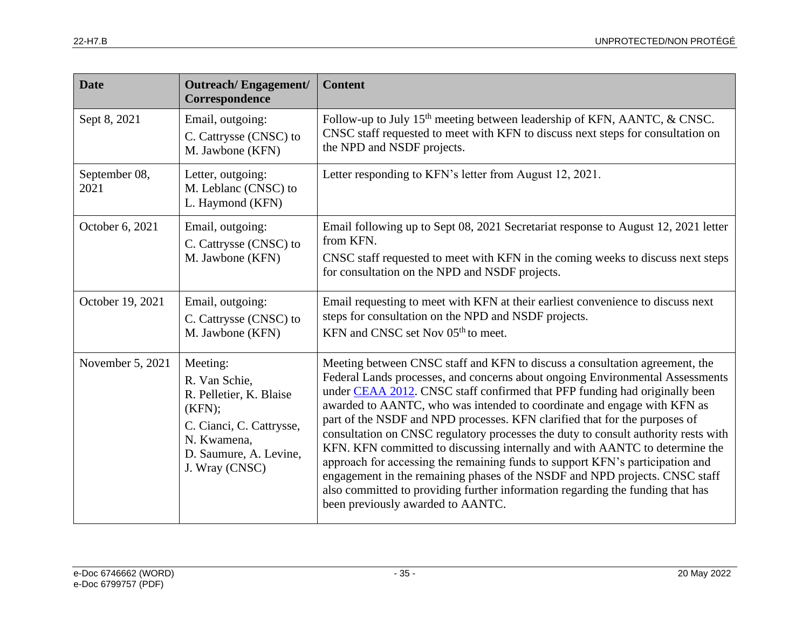| <b>Date</b>           | <b>Outreach/Engagement/</b><br>Correspondence                                                                                                         | <b>Content</b>                                                                                                                                                                                                                                                                                                                                                                                                                                                                                                                                                                                                                                                                                                                                                                                                                                                  |
|-----------------------|-------------------------------------------------------------------------------------------------------------------------------------------------------|-----------------------------------------------------------------------------------------------------------------------------------------------------------------------------------------------------------------------------------------------------------------------------------------------------------------------------------------------------------------------------------------------------------------------------------------------------------------------------------------------------------------------------------------------------------------------------------------------------------------------------------------------------------------------------------------------------------------------------------------------------------------------------------------------------------------------------------------------------------------|
| Sept 8, 2021          | Email, outgoing:<br>C. Cattrysse (CNSC) to<br>M. Jawbone (KFN)                                                                                        | Follow-up to July 15 <sup>th</sup> meeting between leadership of KFN, AANTC, & CNSC.<br>CNSC staff requested to meet with KFN to discuss next steps for consultation on<br>the NPD and NSDF projects.                                                                                                                                                                                                                                                                                                                                                                                                                                                                                                                                                                                                                                                           |
| September 08,<br>2021 | Letter, outgoing:<br>M. Leblanc (CNSC) to<br>L. Haymond (KFN)                                                                                         | Letter responding to KFN's letter from August 12, 2021.                                                                                                                                                                                                                                                                                                                                                                                                                                                                                                                                                                                                                                                                                                                                                                                                         |
| October 6, 2021       | Email, outgoing:<br>C. Cattrysse (CNSC) to<br>M. Jawbone (KFN)                                                                                        | Email following up to Sept 08, 2021 Secretariat response to August 12, 2021 letter<br>from KFN.<br>CNSC staff requested to meet with KFN in the coming weeks to discuss next steps<br>for consultation on the NPD and NSDF projects.                                                                                                                                                                                                                                                                                                                                                                                                                                                                                                                                                                                                                            |
| October 19, 2021      | Email, outgoing:<br>C. Cattrysse (CNSC) to<br>M. Jawbone (KFN)                                                                                        | Email requesting to meet with KFN at their earliest convenience to discuss next<br>steps for consultation on the NPD and NSDF projects.<br>KFN and CNSC set Nov 05 <sup>th</sup> to meet.                                                                                                                                                                                                                                                                                                                                                                                                                                                                                                                                                                                                                                                                       |
| November 5, 2021      | Meeting:<br>R. Van Schie,<br>R. Pelletier, K. Blaise<br>(KFN);<br>C. Cianci, C. Cattrysse,<br>N. Kwamena,<br>D. Saumure, A. Levine,<br>J. Wray (CNSC) | Meeting between CNSC staff and KFN to discuss a consultation agreement, the<br>Federal Lands processes, and concerns about ongoing Environmental Assessments<br>under CEAA 2012. CNSC staff confirmed that PFP funding had originally been<br>awarded to AANTC, who was intended to coordinate and engage with KFN as<br>part of the NSDF and NPD processes. KFN clarified that for the purposes of<br>consultation on CNSC regulatory processes the duty to consult authority rests with<br>KFN. KFN committed to discussing internally and with AANTC to determine the<br>approach for accessing the remaining funds to support KFN's participation and<br>engagement in the remaining phases of the NSDF and NPD projects. CNSC staff<br>also committed to providing further information regarding the funding that has<br>been previously awarded to AANTC. |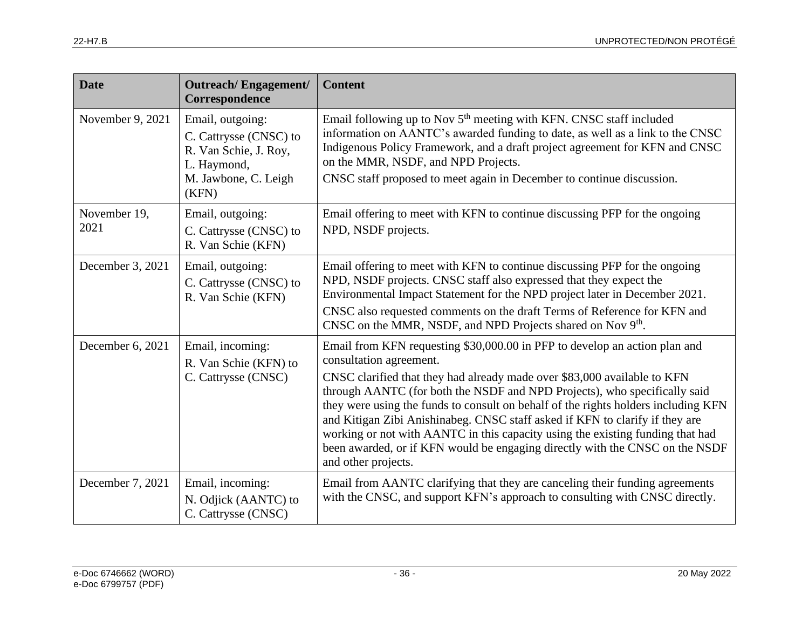| <b>Date</b>          | <b>Outreach/Engagement/</b><br>Correspondence                                                                       | <b>Content</b>                                                                                                                                                                                                                                                                                                                                                                                                                                                                                                                                                                                                                |
|----------------------|---------------------------------------------------------------------------------------------------------------------|-------------------------------------------------------------------------------------------------------------------------------------------------------------------------------------------------------------------------------------------------------------------------------------------------------------------------------------------------------------------------------------------------------------------------------------------------------------------------------------------------------------------------------------------------------------------------------------------------------------------------------|
| November 9, 2021     | Email, outgoing:<br>C. Cattrysse (CNSC) to<br>R. Van Schie, J. Roy,<br>L. Haymond,<br>M. Jawbone, C. Leigh<br>(KFN) | Email following up to Nov 5 <sup>th</sup> meeting with KFN. CNSC staff included<br>information on AANTC's awarded funding to date, as well as a link to the CNSC<br>Indigenous Policy Framework, and a draft project agreement for KFN and CNSC<br>on the MMR, NSDF, and NPD Projects.<br>CNSC staff proposed to meet again in December to continue discussion.                                                                                                                                                                                                                                                               |
| November 19,<br>2021 | Email, outgoing:<br>C. Cattrysse (CNSC) to<br>R. Van Schie (KFN)                                                    | Email offering to meet with KFN to continue discussing PFP for the ongoing<br>NPD, NSDF projects.                                                                                                                                                                                                                                                                                                                                                                                                                                                                                                                             |
| December 3, 2021     | Email, outgoing:<br>C. Cattrysse (CNSC) to<br>R. Van Schie (KFN)                                                    | Email offering to meet with KFN to continue discussing PFP for the ongoing<br>NPD, NSDF projects. CNSC staff also expressed that they expect the<br>Environmental Impact Statement for the NPD project later in December 2021.<br>CNSC also requested comments on the draft Terms of Reference for KFN and<br>CNSC on the MMR, NSDF, and NPD Projects shared on Nov 9 <sup>th</sup> .                                                                                                                                                                                                                                         |
| December 6, 2021     | Email, incoming:<br>R. Van Schie (KFN) to<br>C. Cattrysse (CNSC)                                                    | Email from KFN requesting \$30,000.00 in PFP to develop an action plan and<br>consultation agreement.<br>CNSC clarified that they had already made over \$83,000 available to KFN<br>through AANTC (for both the NSDF and NPD Projects), who specifically said<br>they were using the funds to consult on behalf of the rights holders including KFN<br>and Kitigan Zibi Anishinabeg. CNSC staff asked if KFN to clarify if they are<br>working or not with AANTC in this capacity using the existing funding that had<br>been awarded, or if KFN would be engaging directly with the CNSC on the NSDF<br>and other projects. |
| December 7, 2021     | Email, incoming:<br>N. Odjick (AANTC) to<br>C. Cattrysse (CNSC)                                                     | Email from AANTC clarifying that they are canceling their funding agreements<br>with the CNSC, and support KFN's approach to consulting with CNSC directly.                                                                                                                                                                                                                                                                                                                                                                                                                                                                   |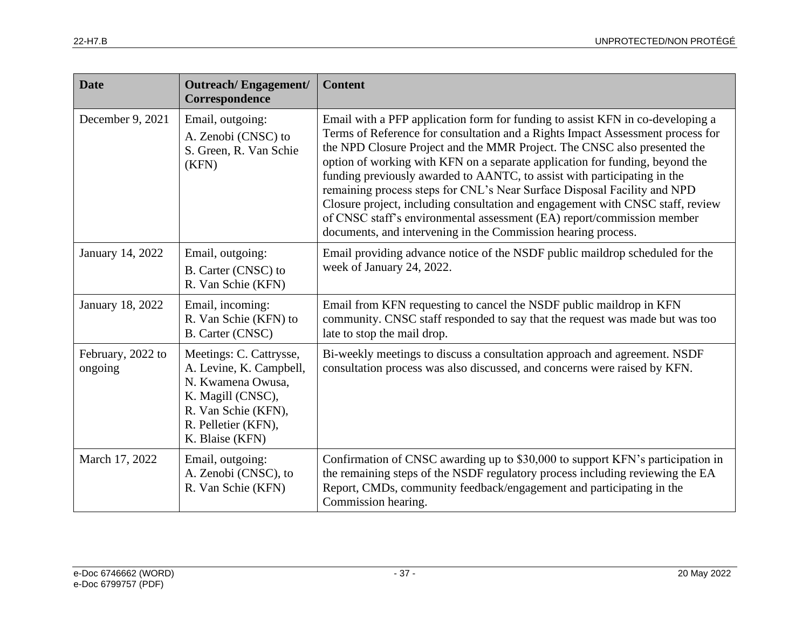| <b>Date</b>                  | <b>Outreach/Engagement/</b><br>Correspondence                                                                                                                 | <b>Content</b>                                                                                                                                                                                                                                                                                                                                                                                                                                                                                                                                                                                                                                                                                                    |
|------------------------------|---------------------------------------------------------------------------------------------------------------------------------------------------------------|-------------------------------------------------------------------------------------------------------------------------------------------------------------------------------------------------------------------------------------------------------------------------------------------------------------------------------------------------------------------------------------------------------------------------------------------------------------------------------------------------------------------------------------------------------------------------------------------------------------------------------------------------------------------------------------------------------------------|
| December 9, 2021             | Email, outgoing:<br>A. Zenobi (CNSC) to<br>S. Green, R. Van Schie<br>(KFN)                                                                                    | Email with a PFP application form for funding to assist KFN in co-developing a<br>Terms of Reference for consultation and a Rights Impact Assessment process for<br>the NPD Closure Project and the MMR Project. The CNSC also presented the<br>option of working with KFN on a separate application for funding, beyond the<br>funding previously awarded to AANTC, to assist with participating in the<br>remaining process steps for CNL's Near Surface Disposal Facility and NPD<br>Closure project, including consultation and engagement with CNSC staff, review<br>of CNSC staff's environmental assessment (EA) report/commission member<br>documents, and intervening in the Commission hearing process. |
| January 14, 2022             | Email, outgoing:<br>B. Carter (CNSC) to<br>R. Van Schie (KFN)                                                                                                 | Email providing advance notice of the NSDF public maildrop scheduled for the<br>week of January 24, 2022.                                                                                                                                                                                                                                                                                                                                                                                                                                                                                                                                                                                                         |
| January 18, 2022             | Email, incoming:<br>R. Van Schie (KFN) to<br><b>B.</b> Carter (CNSC)                                                                                          | Email from KFN requesting to cancel the NSDF public maildrop in KFN<br>community. CNSC staff responded to say that the request was made but was too<br>late to stop the mail drop.                                                                                                                                                                                                                                                                                                                                                                                                                                                                                                                                |
| February, 2022 to<br>ongoing | Meetings: C. Cattrysse,<br>A. Levine, K. Campbell,<br>N. Kwamena Owusa,<br>K. Magill (CNSC),<br>R. Van Schie (KFN),<br>R. Pelletier (KFN),<br>K. Blaise (KFN) | Bi-weekly meetings to discuss a consultation approach and agreement. NSDF<br>consultation process was also discussed, and concerns were raised by KFN.                                                                                                                                                                                                                                                                                                                                                                                                                                                                                                                                                            |
| March 17, 2022               | Email, outgoing:<br>A. Zenobi (CNSC), to<br>R. Van Schie (KFN)                                                                                                | Confirmation of CNSC awarding up to \$30,000 to support KFN's participation in<br>the remaining steps of the NSDF regulatory process including reviewing the EA<br>Report, CMDs, community feedback/engagement and participating in the<br>Commission hearing.                                                                                                                                                                                                                                                                                                                                                                                                                                                    |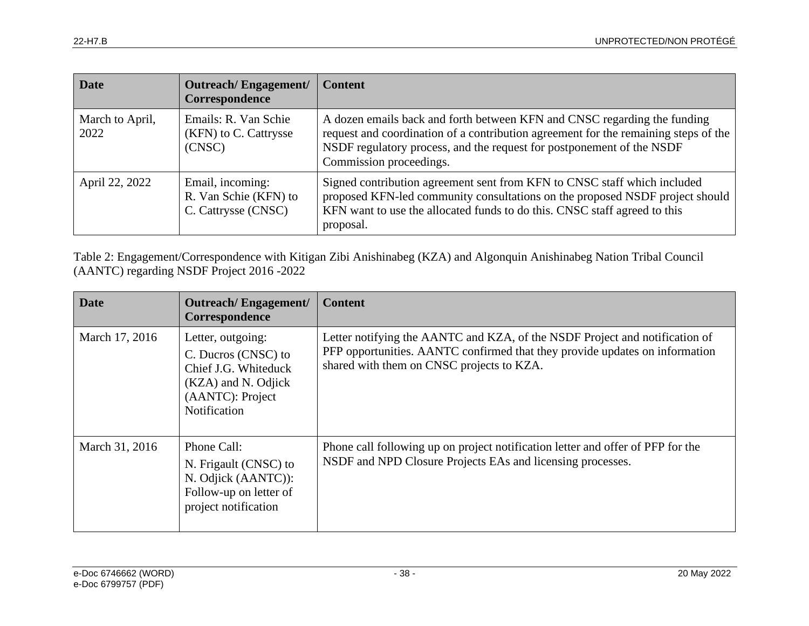| <b>Date</b>             | <b>Outreach/Engagement/</b><br>Correspondence                    | <b>Content</b>                                                                                                                                                                                                                                                      |
|-------------------------|------------------------------------------------------------------|---------------------------------------------------------------------------------------------------------------------------------------------------------------------------------------------------------------------------------------------------------------------|
| March to April,<br>2022 | Emails: R. Van Schie<br>(KFN) to C. Cattrysse<br>(CNSC)          | A dozen emails back and forth between KFN and CNSC regarding the funding<br>request and coordination of a contribution agreement for the remaining steps of the<br>NSDF regulatory process, and the request for postponement of the NSDF<br>Commission proceedings. |
| April 22, 2022          | Email, incoming:<br>R. Van Schie (KFN) to<br>C. Cattrysse (CNSC) | Signed contribution agreement sent from KFN to CNSC staff which included<br>proposed KFN-led community consultations on the proposed NSDF project should<br>KFN want to use the allocated funds to do this. CNSC staff agreed to this<br>proposal.                  |

Table 2: Engagement/Correspondence with Kitigan Zibi Anishinabeg (KZA) and Algonquin Anishinabeg Nation Tribal Council (AANTC) regarding NSDF Project 2016 -2022

| Date           | <b>Outreach/Engagement/</b><br>Correspondence                                                                               | <b>Content</b>                                                                                                                                                                                          |
|----------------|-----------------------------------------------------------------------------------------------------------------------------|---------------------------------------------------------------------------------------------------------------------------------------------------------------------------------------------------------|
| March 17, 2016 | Letter, outgoing:<br>C. Ducros (CNSC) to<br>Chief J.G. Whiteduck<br>(KZA) and N. Odjick<br>(AANTC): Project<br>Notification | Letter notifying the AANTC and KZA, of the NSDF Project and notification of<br>PFP opportunities. AANTC confirmed that they provide updates on information<br>shared with them on CNSC projects to KZA. |
| March 31, 2016 | Phone Call:<br>N. Frigault (CNSC) to<br>N. Odjick (AANTC)):<br>Follow-up on letter of<br>project notification               | Phone call following up on project notification letter and offer of PFP for the<br>NSDF and NPD Closure Projects EAs and licensing processes.                                                           |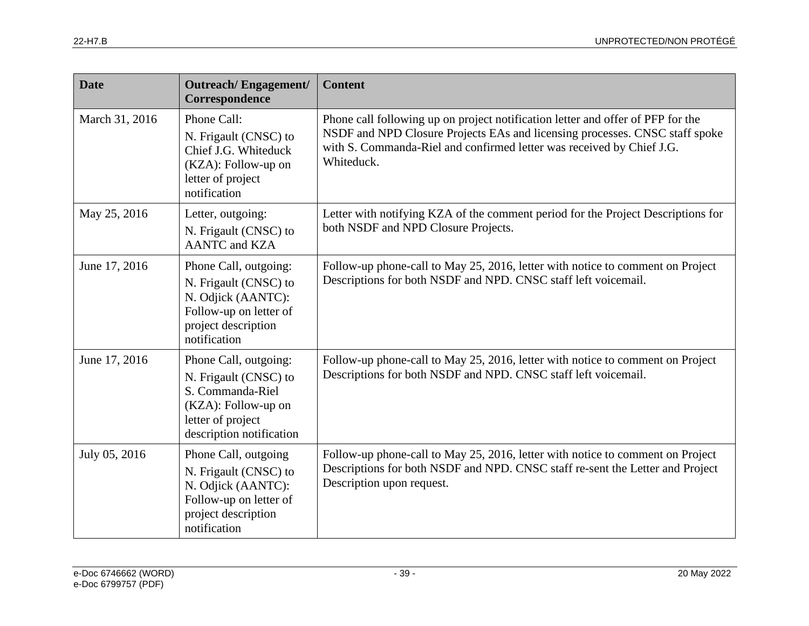| <b>Date</b>    | <b>Outreach/Engagement/</b><br>Correspondence                                                                                              | <b>Content</b>                                                                                                                                                                                                                                        |
|----------------|--------------------------------------------------------------------------------------------------------------------------------------------|-------------------------------------------------------------------------------------------------------------------------------------------------------------------------------------------------------------------------------------------------------|
| March 31, 2016 | Phone Call:<br>N. Frigault (CNSC) to<br>Chief J.G. Whiteduck<br>(KZA): Follow-up on<br>letter of project<br>notification                   | Phone call following up on project notification letter and offer of PFP for the<br>NSDF and NPD Closure Projects EAs and licensing processes. CNSC staff spoke<br>with S. Commanda-Riel and confirmed letter was received by Chief J.G.<br>Whiteduck. |
| May 25, 2016   | Letter, outgoing:<br>N. Frigault (CNSC) to<br><b>AANTC</b> and <b>KZA</b>                                                                  | Letter with notifying KZA of the comment period for the Project Descriptions for<br>both NSDF and NPD Closure Projects.                                                                                                                               |
| June 17, 2016  | Phone Call, outgoing:<br>N. Frigault (CNSC) to<br>N. Odjick (AANTC):<br>Follow-up on letter of<br>project description<br>notification      | Follow-up phone-call to May 25, 2016, letter with notice to comment on Project<br>Descriptions for both NSDF and NPD. CNSC staff left voicemail.                                                                                                      |
| June 17, 2016  | Phone Call, outgoing:<br>N. Frigault (CNSC) to<br>S. Commanda-Riel<br>(KZA): Follow-up on<br>letter of project<br>description notification | Follow-up phone-call to May 25, 2016, letter with notice to comment on Project<br>Descriptions for both NSDF and NPD. CNSC staff left voicemail.                                                                                                      |
| July 05, 2016  | Phone Call, outgoing<br>N. Frigault (CNSC) to<br>N. Odjick (AANTC):<br>Follow-up on letter of<br>project description<br>notification       | Follow-up phone-call to May 25, 2016, letter with notice to comment on Project<br>Descriptions for both NSDF and NPD. CNSC staff re-sent the Letter and Project<br>Description upon request.                                                          |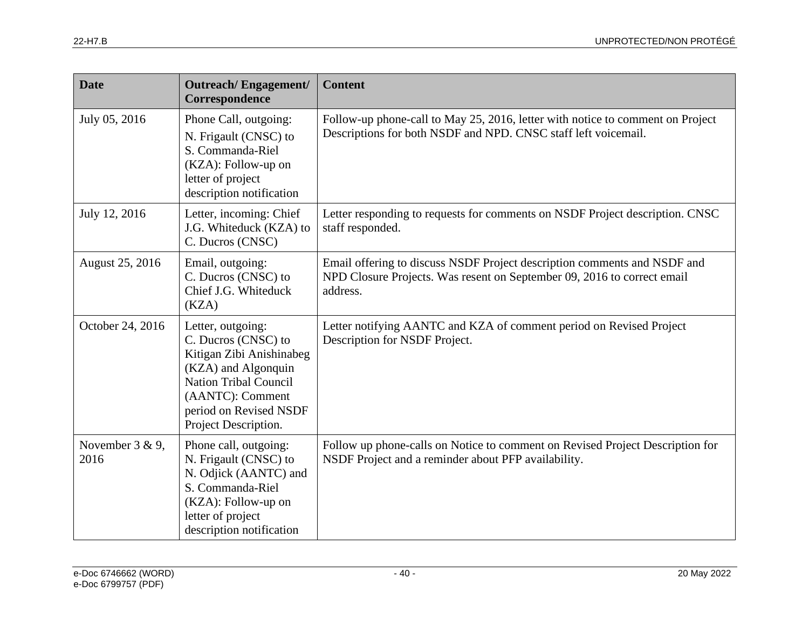| <b>Date</b>             | <b>Outreach/Engagement/</b><br>Correspondence                                                                                                                                                     | <b>Content</b>                                                                                                                                                  |
|-------------------------|---------------------------------------------------------------------------------------------------------------------------------------------------------------------------------------------------|-----------------------------------------------------------------------------------------------------------------------------------------------------------------|
| July 05, 2016           | Phone Call, outgoing:<br>N. Frigault (CNSC) to<br>S. Commanda-Riel<br>(KZA): Follow-up on<br>letter of project<br>description notification                                                        | Follow-up phone-call to May 25, 2016, letter with notice to comment on Project<br>Descriptions for both NSDF and NPD. CNSC staff left voicemail.                |
| July 12, 2016           | Letter, incoming: Chief<br>J.G. Whiteduck (KZA) to<br>C. Ducros (CNSC)                                                                                                                            | Letter responding to requests for comments on NSDF Project description. CNSC<br>staff responded.                                                                |
| August 25, 2016         | Email, outgoing:<br>C. Ducros (CNSC) to<br>Chief J.G. Whiteduck<br>(KZA)                                                                                                                          | Email offering to discuss NSDF Project description comments and NSDF and<br>NPD Closure Projects. Was resent on September 09, 2016 to correct email<br>address. |
| October 24, 2016        | Letter, outgoing:<br>C. Ducros (CNSC) to<br>Kitigan Zibi Anishinabeg<br>(KZA) and Algonquin<br><b>Nation Tribal Council</b><br>(AANTC): Comment<br>period on Revised NSDF<br>Project Description. | Letter notifying AANTC and KZA of comment period on Revised Project<br>Description for NSDF Project.                                                            |
| November 3 & 9,<br>2016 | Phone call, outgoing:<br>N. Frigault (CNSC) to<br>N. Odjick (AANTC) and<br>S. Commanda-Riel<br>(KZA): Follow-up on<br>letter of project<br>description notification                               | Follow up phone-calls on Notice to comment on Revised Project Description for<br>NSDF Project and a reminder about PFP availability.                            |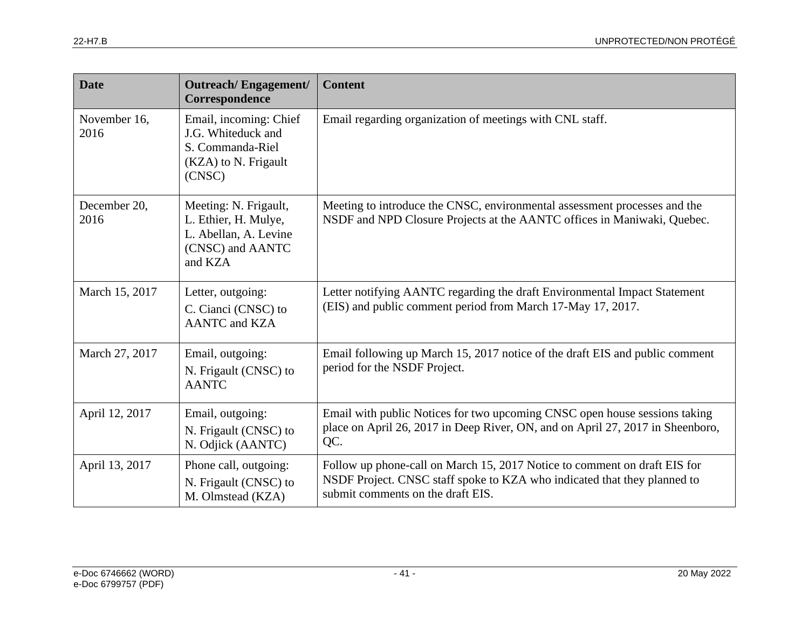| <b>Date</b>          | <b>Outreach/Engagement/</b><br>Correspondence                                                         | <b>Content</b>                                                                                                                                                                             |
|----------------------|-------------------------------------------------------------------------------------------------------|--------------------------------------------------------------------------------------------------------------------------------------------------------------------------------------------|
| November 16,<br>2016 | Email, incoming: Chief<br>J.G. Whiteduck and<br>S. Commanda-Riel<br>(KZA) to N. Frigault<br>(CNSC)    | Email regarding organization of meetings with CNL staff.                                                                                                                                   |
| December 20,<br>2016 | Meeting: N. Frigault,<br>L. Ethier, H. Mulye,<br>L. Abellan, A. Levine<br>(CNSC) and AANTC<br>and KZA | Meeting to introduce the CNSC, environmental assessment processes and the<br>NSDF and NPD Closure Projects at the AANTC offices in Maniwaki, Quebec.                                       |
| March 15, 2017       | Letter, outgoing:<br>C. Cianci (CNSC) to<br><b>AANTC</b> and <b>KZA</b>                               | Letter notifying AANTC regarding the draft Environmental Impact Statement<br>(EIS) and public comment period from March 17-May 17, 2017.                                                   |
| March 27, 2017       | Email, outgoing:<br>N. Frigault (CNSC) to<br><b>AANTC</b>                                             | Email following up March 15, 2017 notice of the draft EIS and public comment<br>period for the NSDF Project.                                                                               |
| April 12, 2017       | Email, outgoing:<br>N. Frigault (CNSC) to<br>N. Odjick (AANTC)                                        | Email with public Notices for two upcoming CNSC open house sessions taking<br>place on April 26, 2017 in Deep River, ON, and on April 27, 2017 in Sheenboro,<br>QC.                        |
| April 13, 2017       | Phone call, outgoing:<br>N. Frigault (CNSC) to<br>M. Olmstead (KZA)                                   | Follow up phone-call on March 15, 2017 Notice to comment on draft EIS for<br>NSDF Project. CNSC staff spoke to KZA who indicated that they planned to<br>submit comments on the draft EIS. |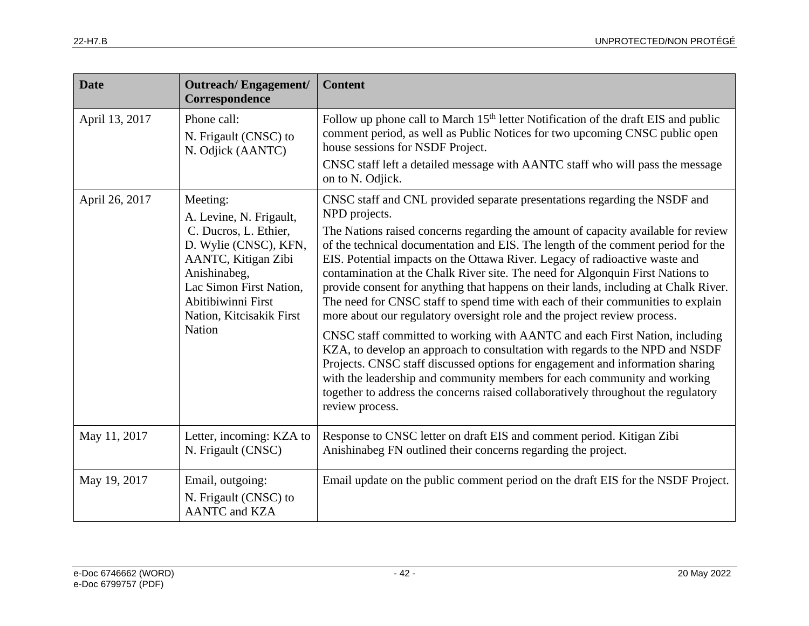| <b>Date</b>    | <b>Outreach/Engagement/</b><br>Correspondence                                                                                                                                                                       | <b>Content</b>                                                                                                                                                                                                                                                                                                                                                                                                                                                                                                                                                                                                                                                                                                                                                                                                                                                                                                                                                                                                                                                                                                                 |
|----------------|---------------------------------------------------------------------------------------------------------------------------------------------------------------------------------------------------------------------|--------------------------------------------------------------------------------------------------------------------------------------------------------------------------------------------------------------------------------------------------------------------------------------------------------------------------------------------------------------------------------------------------------------------------------------------------------------------------------------------------------------------------------------------------------------------------------------------------------------------------------------------------------------------------------------------------------------------------------------------------------------------------------------------------------------------------------------------------------------------------------------------------------------------------------------------------------------------------------------------------------------------------------------------------------------------------------------------------------------------------------|
| April 13, 2017 | Phone call:<br>N. Frigault (CNSC) to<br>N. Odjick (AANTC)                                                                                                                                                           | Follow up phone call to March 15 <sup>th</sup> letter Notification of the draft EIS and public<br>comment period, as well as Public Notices for two upcoming CNSC public open<br>house sessions for NSDF Project.<br>CNSC staff left a detailed message with AANTC staff who will pass the message<br>on to N. Odjick.                                                                                                                                                                                                                                                                                                                                                                                                                                                                                                                                                                                                                                                                                                                                                                                                         |
| April 26, 2017 | Meeting:<br>A. Levine, N. Frigault,<br>C. Ducros, L. Ethier,<br>D. Wylie (CNSC), KFN,<br>AANTC, Kitigan Zibi<br>Anishinabeg,<br>Lac Simon First Nation,<br>Abitibiwinni First<br>Nation, Kitcisakik First<br>Nation | CNSC staff and CNL provided separate presentations regarding the NSDF and<br>NPD projects.<br>The Nations raised concerns regarding the amount of capacity available for review<br>of the technical documentation and EIS. The length of the comment period for the<br>EIS. Potential impacts on the Ottawa River. Legacy of radioactive waste and<br>contamination at the Chalk River site. The need for Algonquin First Nations to<br>provide consent for anything that happens on their lands, including at Chalk River.<br>The need for CNSC staff to spend time with each of their communities to explain<br>more about our regulatory oversight role and the project review process.<br>CNSC staff committed to working with AANTC and each First Nation, including<br>KZA, to develop an approach to consultation with regards to the NPD and NSDF<br>Projects. CNSC staff discussed options for engagement and information sharing<br>with the leadership and community members for each community and working<br>together to address the concerns raised collaboratively throughout the regulatory<br>review process. |
| May 11, 2017   | Letter, incoming: KZA to<br>N. Frigault (CNSC)                                                                                                                                                                      | Response to CNSC letter on draft EIS and comment period. Kitigan Zibi<br>Anishinabeg FN outlined their concerns regarding the project.                                                                                                                                                                                                                                                                                                                                                                                                                                                                                                                                                                                                                                                                                                                                                                                                                                                                                                                                                                                         |
| May 19, 2017   | Email, outgoing:<br>N. Frigault (CNSC) to<br><b>AANTC</b> and <b>KZA</b>                                                                                                                                            | Email update on the public comment period on the draft EIS for the NSDF Project.                                                                                                                                                                                                                                                                                                                                                                                                                                                                                                                                                                                                                                                                                                                                                                                                                                                                                                                                                                                                                                               |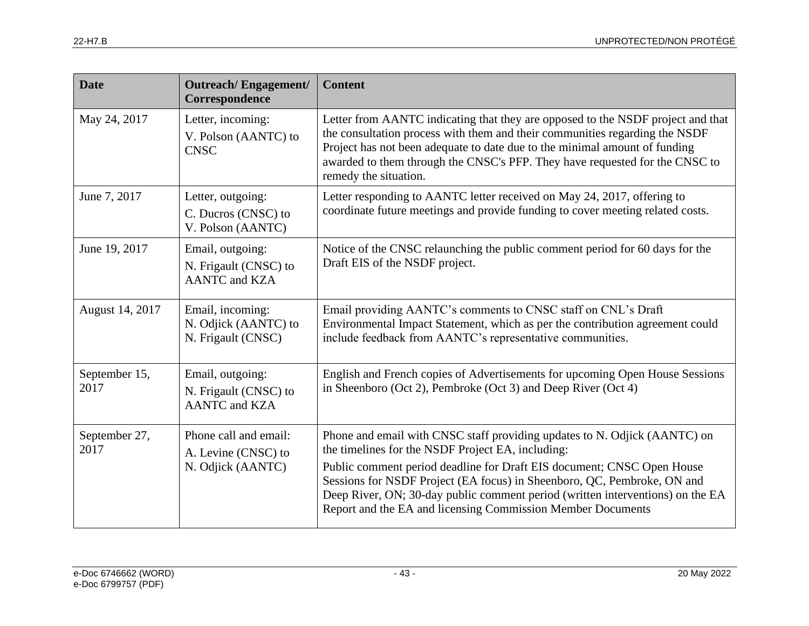| <b>Date</b>           | <b>Outreach/Engagement/</b><br>Correspondence                            | <b>Content</b>                                                                                                                                                                                                                                                                                                                                                                                                                       |
|-----------------------|--------------------------------------------------------------------------|--------------------------------------------------------------------------------------------------------------------------------------------------------------------------------------------------------------------------------------------------------------------------------------------------------------------------------------------------------------------------------------------------------------------------------------|
| May 24, 2017          | Letter, incoming:<br>V. Polson (AANTC) to<br><b>CNSC</b>                 | Letter from AANTC indicating that they are opposed to the NSDF project and that<br>the consultation process with them and their communities regarding the NSDF<br>Project has not been adequate to date due to the minimal amount of funding<br>awarded to them through the CNSC's PFP. They have requested for the CNSC to<br>remedy the situation.                                                                                 |
| June 7, 2017          | Letter, outgoing:<br>C. Ducros (CNSC) to<br>V. Polson (AANTC)            | Letter responding to AANTC letter received on May 24, 2017, offering to<br>coordinate future meetings and provide funding to cover meeting related costs.                                                                                                                                                                                                                                                                            |
| June 19, 2017         | Email, outgoing:<br>N. Frigault (CNSC) to<br><b>AANTC</b> and <b>KZA</b> | Notice of the CNSC relaunching the public comment period for 60 days for the<br>Draft EIS of the NSDF project.                                                                                                                                                                                                                                                                                                                       |
| August 14, 2017       | Email, incoming:<br>N. Odjick (AANTC) to<br>N. Frigault (CNSC)           | Email providing AANTC's comments to CNSC staff on CNL's Draft<br>Environmental Impact Statement, which as per the contribution agreement could<br>include feedback from AANTC's representative communities.                                                                                                                                                                                                                          |
| September 15,<br>2017 | Email, outgoing:<br>N. Frigault (CNSC) to<br><b>AANTC</b> and <b>KZA</b> | English and French copies of Advertisements for upcoming Open House Sessions<br>in Sheenboro (Oct 2), Pembroke (Oct 3) and Deep River (Oct 4)                                                                                                                                                                                                                                                                                        |
| September 27,<br>2017 | Phone call and email:<br>A. Levine (CNSC) to<br>N. Odjick (AANTC)        | Phone and email with CNSC staff providing updates to N. Odjick (AANTC) on<br>the timelines for the NSDF Project EA, including:<br>Public comment period deadline for Draft EIS document; CNSC Open House<br>Sessions for NSDF Project (EA focus) in Sheenboro, QC, Pembroke, ON and<br>Deep River, ON; 30-day public comment period (written interventions) on the EA<br>Report and the EA and licensing Commission Member Documents |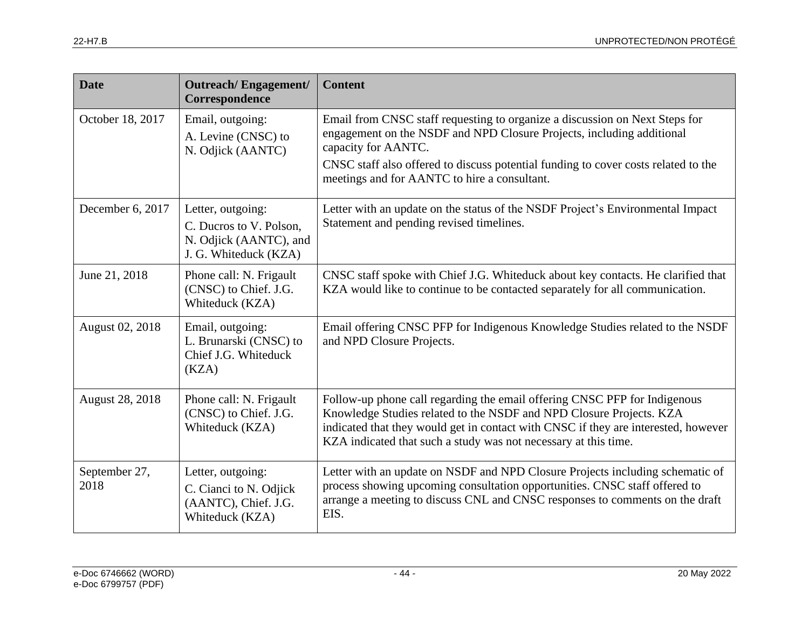| <b>Date</b>            | <b>Outreach/Engagement/</b><br>Correspondence                                                   | <b>Content</b>                                                                                                                                                                                                                                                                                                    |
|------------------------|-------------------------------------------------------------------------------------------------|-------------------------------------------------------------------------------------------------------------------------------------------------------------------------------------------------------------------------------------------------------------------------------------------------------------------|
| October 18, 2017       | Email, outgoing:<br>A. Levine (CNSC) to<br>N. Odjick (AANTC)                                    | Email from CNSC staff requesting to organize a discussion on Next Steps for<br>engagement on the NSDF and NPD Closure Projects, including additional<br>capacity for AANTC.<br>CNSC staff also offered to discuss potential funding to cover costs related to the<br>meetings and for AANTC to hire a consultant. |
| December 6, 2017       | Letter, outgoing:<br>C. Ducros to V. Polson,<br>N. Odjick (AANTC), and<br>J. G. Whiteduck (KZA) | Letter with an update on the status of the NSDF Project's Environmental Impact<br>Statement and pending revised timelines.                                                                                                                                                                                        |
| June 21, 2018          | Phone call: N. Frigault<br>(CNSC) to Chief. J.G.<br>Whiteduck (KZA)                             | CNSC staff spoke with Chief J.G. Whiteduck about key contacts. He clarified that<br>KZA would like to continue to be contacted separately for all communication.                                                                                                                                                  |
| August 02, 2018        | Email, outgoing:<br>L. Brunarski (CNSC) to<br>Chief J.G. Whiteduck<br>(KZA)                     | Email offering CNSC PFP for Indigenous Knowledge Studies related to the NSDF<br>and NPD Closure Projects.                                                                                                                                                                                                         |
| <b>August 28, 2018</b> | Phone call: N. Frigault<br>(CNSC) to Chief. J.G.<br>Whiteduck (KZA)                             | Follow-up phone call regarding the email offering CNSC PFP for Indigenous<br>Knowledge Studies related to the NSDF and NPD Closure Projects. KZA<br>indicated that they would get in contact with CNSC if they are interested, however<br>KZA indicated that such a study was not necessary at this time.         |
| September 27,<br>2018  | Letter, outgoing:<br>C. Cianci to N. Odjick<br>(AANTC), Chief. J.G.<br>Whiteduck (KZA)          | Letter with an update on NSDF and NPD Closure Projects including schematic of<br>process showing upcoming consultation opportunities. CNSC staff offered to<br>arrange a meeting to discuss CNL and CNSC responses to comments on the draft<br>EIS.                                                               |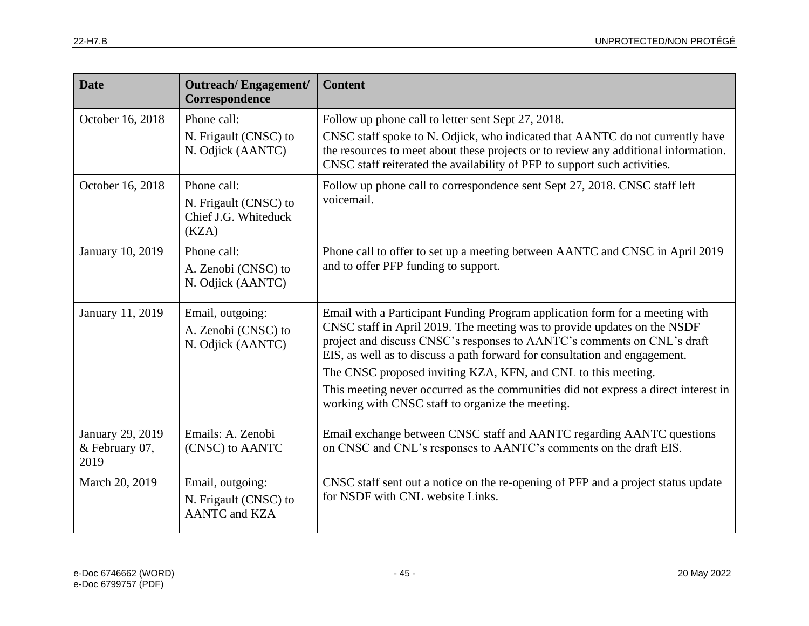| <b>Date</b>                                | <b>Outreach/Engagement/</b><br>Correspondence                            | <b>Content</b>                                                                                                                                                                                                                                                                                                                                                                                                                                                                                                                |
|--------------------------------------------|--------------------------------------------------------------------------|-------------------------------------------------------------------------------------------------------------------------------------------------------------------------------------------------------------------------------------------------------------------------------------------------------------------------------------------------------------------------------------------------------------------------------------------------------------------------------------------------------------------------------|
| October 16, 2018                           | Phone call:<br>N. Frigault (CNSC) to<br>N. Odjick (AANTC)                | Follow up phone call to letter sent Sept 27, 2018.<br>CNSC staff spoke to N. Odjick, who indicated that AANTC do not currently have<br>the resources to meet about these projects or to review any additional information.<br>CNSC staff reiterated the availability of PFP to support such activities.                                                                                                                                                                                                                       |
| October 16, 2018                           | Phone call:<br>N. Frigault (CNSC) to<br>Chief J.G. Whiteduck<br>(KZA)    | Follow up phone call to correspondence sent Sept 27, 2018. CNSC staff left<br>voicemail.                                                                                                                                                                                                                                                                                                                                                                                                                                      |
| January 10, 2019                           | Phone call:<br>A. Zenobi (CNSC) to<br>N. Odjick (AANTC)                  | Phone call to offer to set up a meeting between AANTC and CNSC in April 2019<br>and to offer PFP funding to support.                                                                                                                                                                                                                                                                                                                                                                                                          |
| January 11, 2019                           | Email, outgoing:<br>A. Zenobi (CNSC) to<br>N. Odjick (AANTC)             | Email with a Participant Funding Program application form for a meeting with<br>CNSC staff in April 2019. The meeting was to provide updates on the NSDF<br>project and discuss CNSC's responses to AANTC's comments on CNL's draft<br>EIS, as well as to discuss a path forward for consultation and engagement.<br>The CNSC proposed inviting KZA, KFN, and CNL to this meeting.<br>This meeting never occurred as the communities did not express a direct interest in<br>working with CNSC staff to organize the meeting. |
| January 29, 2019<br>& February 07,<br>2019 | Emails: A. Zenobi<br>(CNSC) to AANTC                                     | Email exchange between CNSC staff and AANTC regarding AANTC questions<br>on CNSC and CNL's responses to AANTC's comments on the draft EIS.                                                                                                                                                                                                                                                                                                                                                                                    |
| March 20, 2019                             | Email, outgoing:<br>N. Frigault (CNSC) to<br><b>AANTC</b> and <b>KZA</b> | CNSC staff sent out a notice on the re-opening of PFP and a project status update<br>for NSDF with CNL website Links.                                                                                                                                                                                                                                                                                                                                                                                                         |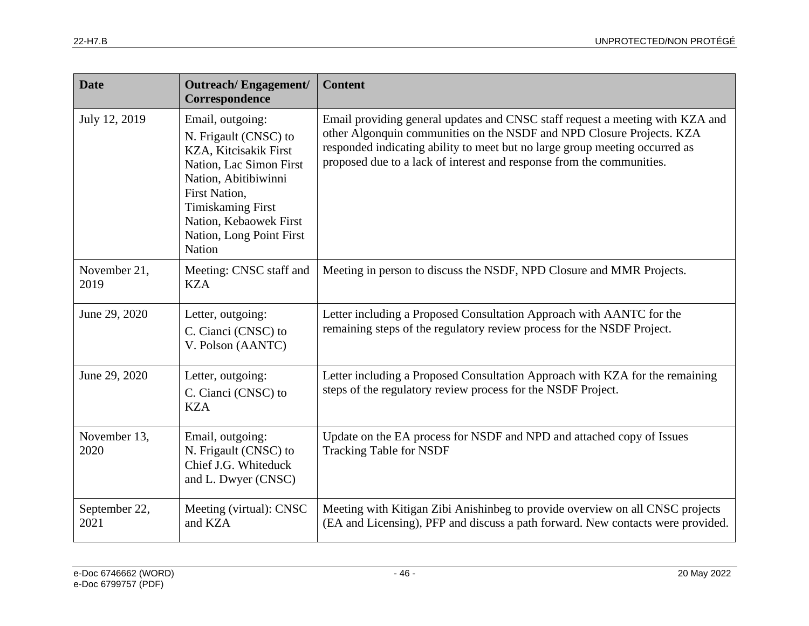| <b>Date</b>           | <b>Outreach/Engagement/</b><br>Correspondence                                                                                                                                                                                             | <b>Content</b>                                                                                                                                                                                                                                                                                                 |
|-----------------------|-------------------------------------------------------------------------------------------------------------------------------------------------------------------------------------------------------------------------------------------|----------------------------------------------------------------------------------------------------------------------------------------------------------------------------------------------------------------------------------------------------------------------------------------------------------------|
| July 12, 2019         | Email, outgoing:<br>N. Frigault (CNSC) to<br>KZA, Kitcisakik First<br>Nation, Lac Simon First<br>Nation, Abitibiwinni<br>First Nation,<br><b>Timiskaming First</b><br>Nation, Kebaowek First<br>Nation, Long Point First<br><b>Nation</b> | Email providing general updates and CNSC staff request a meeting with KZA and<br>other Algonquin communities on the NSDF and NPD Closure Projects. KZA<br>responded indicating ability to meet but no large group meeting occurred as<br>proposed due to a lack of interest and response from the communities. |
| November 21,<br>2019  | Meeting: CNSC staff and<br><b>KZA</b>                                                                                                                                                                                                     | Meeting in person to discuss the NSDF, NPD Closure and MMR Projects.                                                                                                                                                                                                                                           |
| June 29, 2020         | Letter, outgoing:<br>C. Cianci (CNSC) to<br>V. Polson (AANTC)                                                                                                                                                                             | Letter including a Proposed Consultation Approach with AANTC for the<br>remaining steps of the regulatory review process for the NSDF Project.                                                                                                                                                                 |
| June 29, 2020         | Letter, outgoing:<br>C. Cianci (CNSC) to<br><b>KZA</b>                                                                                                                                                                                    | Letter including a Proposed Consultation Approach with KZA for the remaining<br>steps of the regulatory review process for the NSDF Project.                                                                                                                                                                   |
| November 13,<br>2020  | Email, outgoing:<br>N. Frigault (CNSC) to<br>Chief J.G. Whiteduck<br>and L. Dwyer (CNSC)                                                                                                                                                  | Update on the EA process for NSDF and NPD and attached copy of Issues<br><b>Tracking Table for NSDF</b>                                                                                                                                                                                                        |
| September 22,<br>2021 | Meeting (virtual): CNSC<br>and KZA                                                                                                                                                                                                        | Meeting with Kitigan Zibi Anishinbeg to provide overview on all CNSC projects<br>(EA and Licensing), PFP and discuss a path forward. New contacts were provided.                                                                                                                                               |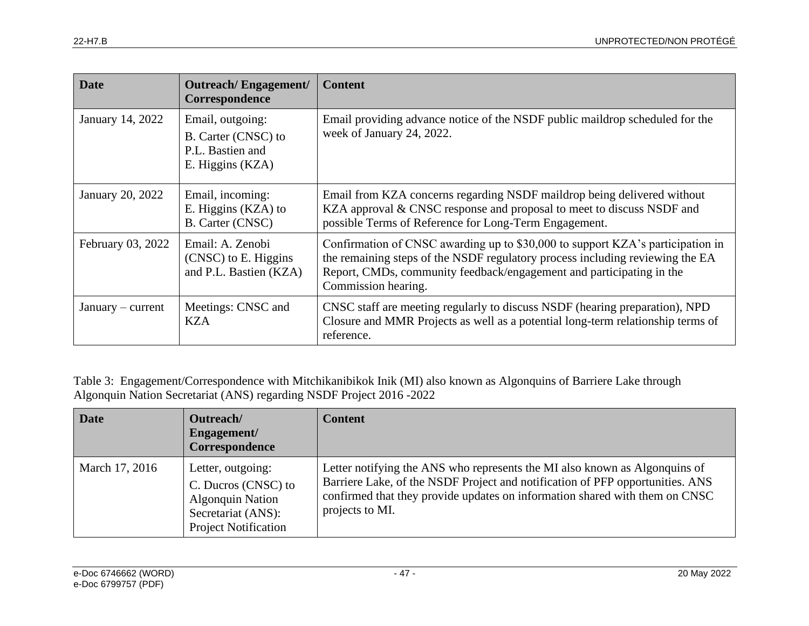| <b>Date</b>         | Outreach/Engagement/<br>Correspondence                                          | <b>Content</b>                                                                                                                                                                                                                                                 |
|---------------------|---------------------------------------------------------------------------------|----------------------------------------------------------------------------------------------------------------------------------------------------------------------------------------------------------------------------------------------------------------|
| January 14, 2022    | Email, outgoing:<br>B. Carter (CNSC) to<br>P.L. Bastien and<br>E. Higgins (KZA) | Email providing advance notice of the NSDF public maildrop scheduled for the<br>week of January 24, 2022.                                                                                                                                                      |
| January 20, 2022    | Email, incoming:<br>E. Higgins (KZA) to<br><b>B.</b> Carter (CNSC)              | Email from KZA concerns regarding NSDF maildrop being delivered without<br>KZA approval & CNSC response and proposal to meet to discuss NSDF and<br>possible Terms of Reference for Long-Term Engagement.                                                      |
| February 03, 2022   | Email: A. Zenobi<br>(CNSC) to E. Higgins<br>and P.L. Bastien (KZA)              | Confirmation of CNSC awarding up to \$30,000 to support KZA's participation in<br>the remaining steps of the NSDF regulatory process including reviewing the EA<br>Report, CMDs, community feedback/engagement and participating in the<br>Commission hearing. |
| $January - current$ | Meetings: CNSC and<br><b>KZA</b>                                                | CNSC staff are meeting regularly to discuss NSDF (hearing preparation), NPD<br>Closure and MMR Projects as well as a potential long-term relationship terms of<br>reference.                                                                                   |

Table 3: Engagement/Correspondence with Mitchikanibikok Inik (MI) also known as Algonquins of Barriere Lake through Algonquin Nation Secretariat (ANS) regarding NSDF Project 2016 -2022

| <b>Date</b>    | Outreach/<br>Engagement/<br>Correspondence                                                                               | <b>Content</b>                                                                                                                                                                                                                                                |
|----------------|--------------------------------------------------------------------------------------------------------------------------|---------------------------------------------------------------------------------------------------------------------------------------------------------------------------------------------------------------------------------------------------------------|
| March 17, 2016 | Letter, outgoing:<br>C. Ducros (CNSC) to<br><b>Algonquin Nation</b><br>Secretariat (ANS):<br><b>Project Notification</b> | Letter notifying the ANS who represents the MI also known as Algonquins of<br>Barriere Lake, of the NSDF Project and notification of PFP opportunities. ANS<br>confirmed that they provide updates on information shared with them on CNSC<br>projects to MI. |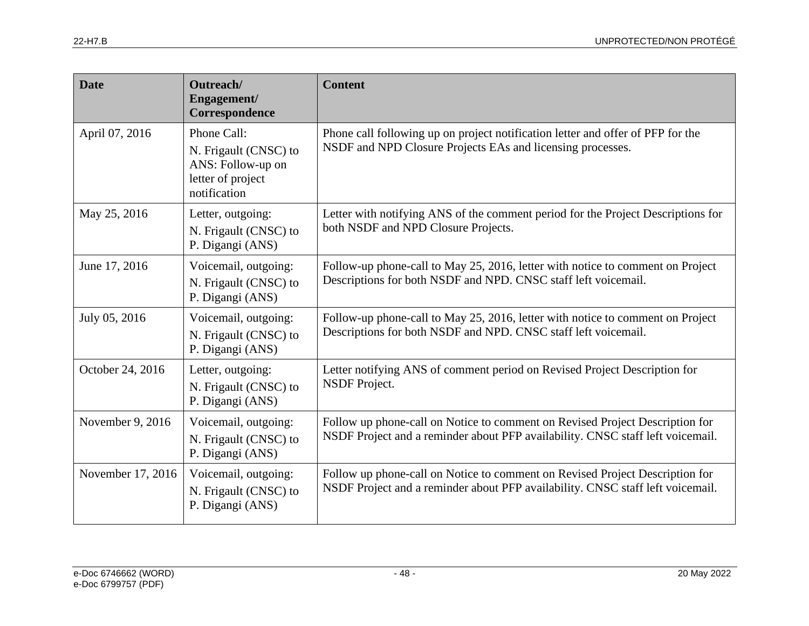| <b>Date</b>       | Outreach/<br>Engagement/<br>Correspondence                                      | <b>Content</b>                                                                                                                                                 |
|-------------------|---------------------------------------------------------------------------------|----------------------------------------------------------------------------------------------------------------------------------------------------------------|
| April 07, 2016    | Phone Call:                                                                     | Phone call following up on project notification letter and offer of PFP for the                                                                                |
|                   | N. Frigault (CNSC) to<br>ANS: Follow-up on<br>letter of project<br>notification | NSDF and NPD Closure Projects EAs and licensing processes.                                                                                                     |
| May 25, 2016      | Letter, outgoing:<br>N. Frigault (CNSC) to<br>P. Digangi (ANS)                  | Letter with notifying ANS of the comment period for the Project Descriptions for<br>both NSDF and NPD Closure Projects.                                        |
| June 17, 2016     | Voicemail, outgoing:<br>N. Frigault (CNSC) to<br>P. Digangi (ANS)               | Follow-up phone-call to May 25, 2016, letter with notice to comment on Project<br>Descriptions for both NSDF and NPD. CNSC staff left voicemail.               |
| July 05, 2016     | Voicemail, outgoing:<br>N. Frigault (CNSC) to<br>P. Digangi (ANS)               | Follow-up phone-call to May 25, 2016, letter with notice to comment on Project<br>Descriptions for both NSDF and NPD. CNSC staff left voicemail.               |
| October 24, 2016  | Letter, outgoing:<br>N. Frigault (CNSC) to<br>P. Digangi (ANS)                  | Letter notifying ANS of comment period on Revised Project Description for<br><b>NSDF</b> Project.                                                              |
| November 9, 2016  | Voicemail, outgoing:<br>N. Frigault (CNSC) to<br>P. Digangi (ANS)               | Follow up phone-call on Notice to comment on Revised Project Description for<br>NSDF Project and a reminder about PFP availability. CNSC staff left voicemail. |
| November 17, 2016 | Voicemail, outgoing:<br>N. Frigault (CNSC) to<br>P. Digangi (ANS)               | Follow up phone-call on Notice to comment on Revised Project Description for<br>NSDF Project and a reminder about PFP availability. CNSC staff left voicemail. |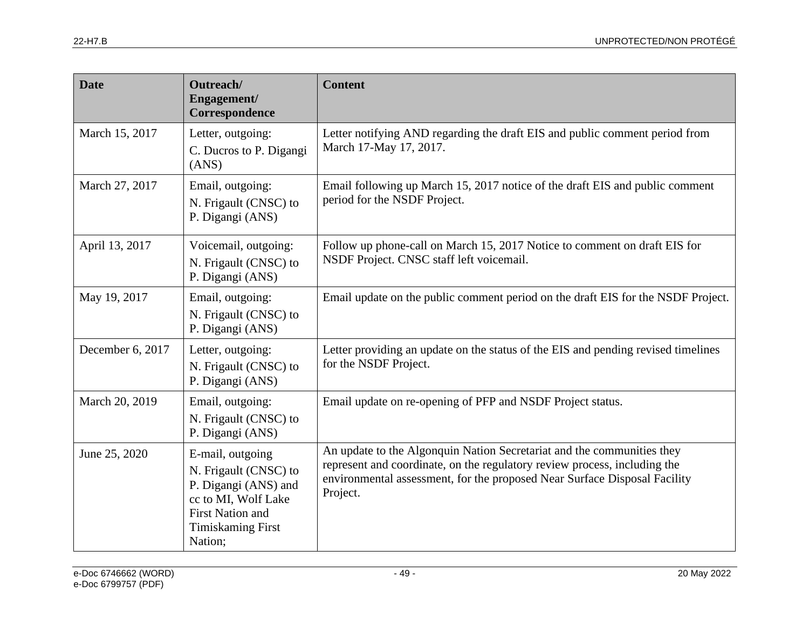| <b>Date</b>      | Outreach/<br>Engagement/<br>Correspondence                                                                                                                 | <b>Content</b>                                                                                                                                                                                                                               |
|------------------|------------------------------------------------------------------------------------------------------------------------------------------------------------|----------------------------------------------------------------------------------------------------------------------------------------------------------------------------------------------------------------------------------------------|
| March 15, 2017   | Letter, outgoing:<br>C. Ducros to P. Digangi<br>(ANS)                                                                                                      | Letter notifying AND regarding the draft EIS and public comment period from<br>March 17-May 17, 2017.                                                                                                                                        |
| March 27, 2017   | Email, outgoing:<br>N. Frigault (CNSC) to<br>P. Digangi (ANS)                                                                                              | Email following up March 15, 2017 notice of the draft EIS and public comment<br>period for the NSDF Project.                                                                                                                                 |
| April 13, 2017   | Voicemail, outgoing:<br>N. Frigault (CNSC) to<br>P. Digangi (ANS)                                                                                          | Follow up phone-call on March 15, 2017 Notice to comment on draft EIS for<br>NSDF Project. CNSC staff left voicemail.                                                                                                                        |
| May 19, 2017     | Email, outgoing:<br>N. Frigault (CNSC) to<br>P. Digangi (ANS)                                                                                              | Email update on the public comment period on the draft EIS for the NSDF Project.                                                                                                                                                             |
| December 6, 2017 | Letter, outgoing:<br>N. Frigault (CNSC) to<br>P. Digangi (ANS)                                                                                             | Letter providing an update on the status of the EIS and pending revised timelines<br>for the NSDF Project.                                                                                                                                   |
| March 20, 2019   | Email, outgoing:<br>N. Frigault (CNSC) to<br>P. Digangi (ANS)                                                                                              | Email update on re-opening of PFP and NSDF Project status.                                                                                                                                                                                   |
| June 25, 2020    | E-mail, outgoing<br>N. Frigault (CNSC) to<br>P. Digangi (ANS) and<br>cc to MI, Wolf Lake<br><b>First Nation and</b><br><b>Timiskaming First</b><br>Nation; | An update to the Algonquin Nation Secretariat and the communities they<br>represent and coordinate, on the regulatory review process, including the<br>environmental assessment, for the proposed Near Surface Disposal Facility<br>Project. |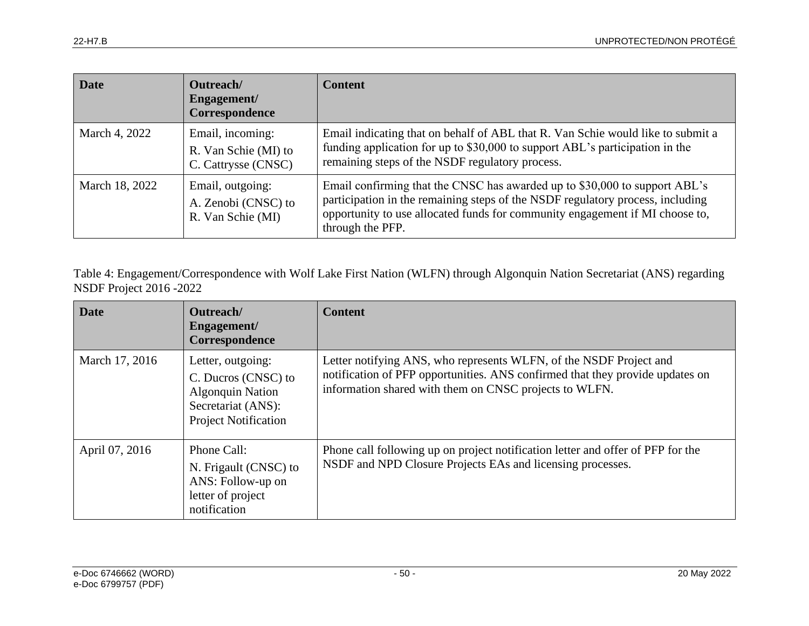| <b>Date</b>    | Outreach/<br>Engagement/<br>Correspondence                      | <b>Content</b>                                                                                                                                                                                                                                                   |
|----------------|-----------------------------------------------------------------|------------------------------------------------------------------------------------------------------------------------------------------------------------------------------------------------------------------------------------------------------------------|
| March 4, 2022  | Email, incoming:<br>R. Van Schie (MI) to<br>C. Cattrysse (CNSC) | Email indicating that on behalf of ABL that R. Van Schie would like to submit a<br>funding application for up to \$30,000 to support ABL's participation in the<br>remaining steps of the NSDF regulatory process.                                               |
| March 18, 2022 | Email, outgoing:<br>A. Zenobi (CNSC) to<br>R. Van Schie (MI)    | Email confirming that the CNSC has awarded up to \$30,000 to support ABL's<br>participation in the remaining steps of the NSDF regulatory process, including<br>opportunity to use allocated funds for community engagement if MI choose to,<br>through the PFP. |

Table 4: Engagement/Correspondence with Wolf Lake First Nation (WLFN) through Algonquin Nation Secretariat (ANS) regarding NSDF Project 2016 -2022

| Date           | Outreach/<br>Engagement/<br>Correspondence                                                                               | <b>Content</b>                                                                                                                                                                                                |
|----------------|--------------------------------------------------------------------------------------------------------------------------|---------------------------------------------------------------------------------------------------------------------------------------------------------------------------------------------------------------|
| March 17, 2016 | Letter, outgoing:<br>C. Ducros (CNSC) to<br><b>Algonquin Nation</b><br>Secretariat (ANS):<br><b>Project Notification</b> | Letter notifying ANS, who represents WLFN, of the NSDF Project and<br>notification of PFP opportunities. ANS confirmed that they provide updates on<br>information shared with them on CNSC projects to WLFN. |
| April 07, 2016 | Phone Call:<br>N. Frigault (CNSC) to<br>ANS: Follow-up on<br>letter of project<br>notification                           | Phone call following up on project notification letter and offer of PFP for the<br>NSDF and NPD Closure Projects EAs and licensing processes.                                                                 |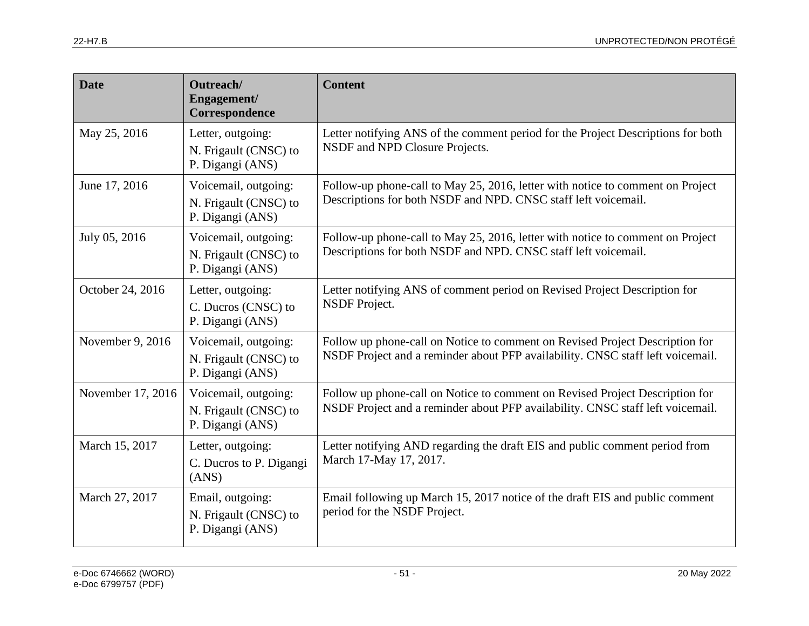| <b>Date</b>       | Outreach/<br>Engagement/<br>Correspondence                        | <b>Content</b>                                                                                                                                                 |
|-------------------|-------------------------------------------------------------------|----------------------------------------------------------------------------------------------------------------------------------------------------------------|
| May 25, 2016      | Letter, outgoing:<br>N. Frigault (CNSC) to<br>P. Digangi (ANS)    | Letter notifying ANS of the comment period for the Project Descriptions for both<br>NSDF and NPD Closure Projects.                                             |
| June 17, 2016     | Voicemail, outgoing:<br>N. Frigault (CNSC) to<br>P. Digangi (ANS) | Follow-up phone-call to May 25, 2016, letter with notice to comment on Project<br>Descriptions for both NSDF and NPD. CNSC staff left voicemail.               |
| July 05, 2016     | Voicemail, outgoing:<br>N. Frigault (CNSC) to<br>P. Digangi (ANS) | Follow-up phone-call to May 25, 2016, letter with notice to comment on Project<br>Descriptions for both NSDF and NPD. CNSC staff left voicemail.               |
| October 24, 2016  | Letter, outgoing:<br>C. Ducros (CNSC) to<br>P. Digangi (ANS)      | Letter notifying ANS of comment period on Revised Project Description for<br><b>NSDF</b> Project.                                                              |
| November 9, 2016  | Voicemail, outgoing:<br>N. Frigault (CNSC) to<br>P. Digangi (ANS) | Follow up phone-call on Notice to comment on Revised Project Description for<br>NSDF Project and a reminder about PFP availability. CNSC staff left voicemail. |
| November 17, 2016 | Voicemail, outgoing:<br>N. Frigault (CNSC) to<br>P. Digangi (ANS) | Follow up phone-call on Notice to comment on Revised Project Description for<br>NSDF Project and a reminder about PFP availability. CNSC staff left voicemail. |
| March 15, 2017    | Letter, outgoing:<br>C. Ducros to P. Digangi<br>(ANS)             | Letter notifying AND regarding the draft EIS and public comment period from<br>March 17-May 17, 2017.                                                          |
| March 27, 2017    | Email, outgoing:<br>N. Frigault (CNSC) to<br>P. Digangi (ANS)     | Email following up March 15, 2017 notice of the draft EIS and public comment<br>period for the NSDF Project.                                                   |